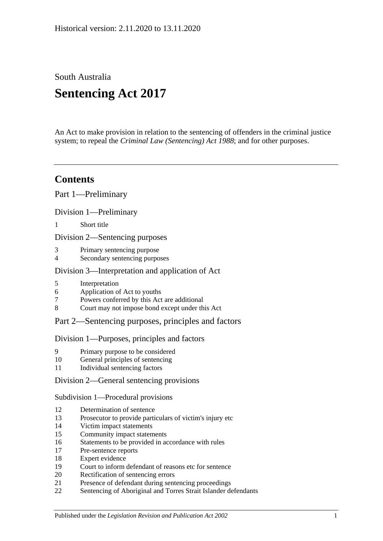South Australia

# **Sentencing Act 2017**

An Act to make provision in relation to the sentencing of offenders in the criminal justice system; to repeal the *[Criminal Law \(Sentencing\) Act](http://www.legislation.sa.gov.au/index.aspx?action=legref&type=act&legtitle=Criminal%20Law%20(Sentencing)%20Act%201988) 1988*; and for other purposes.

# **Contents**

Part [1—Preliminary](#page-4-0)

Division [1—Preliminary](#page-4-1)

1 [Short title](#page-4-2)

Division [2—Sentencing purposes](#page-4-3)

- 3 [Primary sentencing purpose](#page-4-4)
- 4 [Secondary sentencing purposes](#page-4-5)

### Division [3—Interpretation and application of Act](#page-5-0)

- 5 [Interpretation](#page-5-1)
- 6 [Application of Act to youths](#page-9-0)
- 7 [Powers conferred by this Act are additional](#page-9-1)
- 8 [Court may not impose bond except under this Act](#page-10-0)

### Part [2—Sentencing purposes, principles and factors](#page-10-1)

### Division [1—Purposes, principles and factors](#page-10-2)

- 9 [Primary purpose to be considered](#page-10-3)
- 10 [General principles of sentencing](#page-10-4)
- 11 [Individual sentencing factors](#page-10-5)

### Division [2—General sentencing provisions](#page-12-0)

Subdivision [1—Procedural provisions](#page-12-1)

- 12 [Determination of sentence](#page-12-2)
- 13 [Prosecutor to provide particulars of victim's injury etc](#page-12-3)
- 14 [Victim impact statements](#page-12-4)
- 15 [Community impact statements](#page-14-0)
- 16 [Statements to be provided in accordance with rules](#page-14-1)
- 17 [Pre-sentence reports](#page-14-2)
- 18 [Expert evidence](#page-15-0)
- 19 [Court to inform defendant of reasons etc for sentence](#page-16-0)
- 20 [Rectification of sentencing errors](#page-16-1)
- 21 [Presence of defendant during sentencing proceedings](#page-16-2)
- 22 [Sentencing of Aboriginal and Torres Strait Islander defendants](#page-17-0)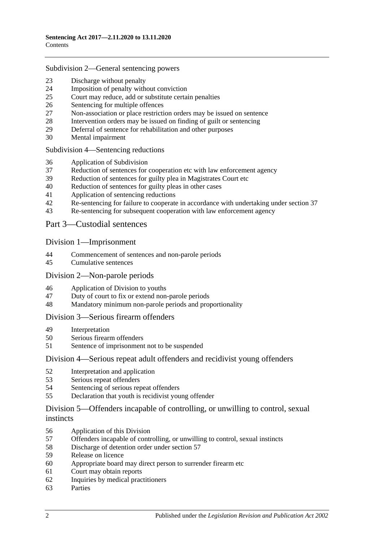### Subdivision [2—General sentencing powers](#page-18-0)

- [Discharge without penalty](#page-18-1)
- [Imposition of penalty without conviction](#page-18-2)<br>25 Court may reduce add or substitute certain
- [Court may reduce, add or substitute certain penalties](#page-19-0)
- [Sentencing for multiple offences](#page-20-0)
- [Non-association or place restriction orders may be issued on sentence](#page-20-1)
- [Intervention orders may be issued on finding of guilt or sentencing](#page-21-0)
- [Deferral of sentence for rehabilitation and other purposes](#page-22-0)
- [Mental impairment](#page-23-0)

### Subdivision [4—Sentencing reductions](#page-24-0)

- [Application of Subdivision](#page-24-1)
- [Reduction of sentences for cooperation etc with law enforcement agency](#page-25-0)
- [Reduction of sentences for guilty plea in Magistrates Court etc](#page-26-0)
- [Reduction of sentences for guilty pleas in other cases](#page-28-0)
- [Application of sentencing reductions](#page-32-0)
- [Re-sentencing for failure to cooperate in accordance with undertaking under section](#page-32-1) 37
- [Re-sentencing for subsequent cooperation with law enforcement agency](#page-33-0)

### Part [3—Custodial sentences](#page-34-0)

### Division [1—Imprisonment](#page-34-1)

- [Commencement of sentences and non-parole periods](#page-34-2)
- [Cumulative sentences](#page-35-0)

### Division [2—Non-parole periods](#page-36-0)

- [Application of Division to youths](#page-36-1)
- [Duty of court to fix or extend non-parole periods](#page-36-2)
- [Mandatory minimum non-parole periods and proportionality](#page-39-0)

### Division [3—Serious firearm offenders](#page-40-0)

- [Interpretation](#page-40-1)
- [Serious firearm offenders](#page-41-0)
- [Sentence of imprisonment not to be suspended](#page-42-0)

### Division [4—Serious repeat adult offenders and recidivist young offenders](#page-42-1)

- [Interpretation and application](#page-42-2)
- [Serious repeat offenders](#page-44-0)
- [Sentencing of serious repeat offenders](#page-45-0)
- [Declaration that youth is recidivist young offender](#page-45-1)

### Division [5—Offenders incapable of controlling, or unwilling to control, sexual](#page-46-0)  [instincts](#page-46-0)

- [Application of this Division](#page-46-1)
- [Offenders incapable of controlling, or unwilling to control, sexual instincts](#page-46-2)
- [Discharge of detention order under section](#page-49-0) 57
- [Release on licence](#page-50-0)
- [Appropriate board may direct person to surrender firearm etc](#page-53-0)
- [Court may obtain reports](#page-53-1)
- [Inquiries by medical practitioners](#page-54-0)
- [Parties](#page-54-1)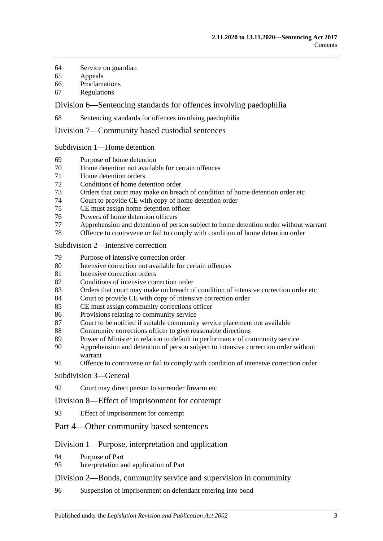- [Service on guardian](#page-54-2)
- [Appeals](#page-54-3)
- [Proclamations](#page-55-0)
- [Regulations](#page-55-1)

Division [6—Sentencing standards for offences involving paedophilia](#page-55-2)

[Sentencing standards for offences involving paedophilia](#page-55-3)

Division [7—Community based custodial sentences](#page-56-0)

Subdivision [1—Home detention](#page-56-1)

- [Purpose of home detention](#page-56-2)
- [Home detention not available for certain offences](#page-56-3)
- [Home detention orders](#page-56-4)
- [Conditions of home detention order](#page-61-0)
- [Orders that court may make on breach of condition of home detention order etc](#page-63-0)
- [Court to provide CE with copy of home detention order](#page-65-0)<br>75 CE must assign home detention officer
- [CE must assign home detention officer](#page-65-1)
- [Powers of home detention officers](#page-65-2)
- [Apprehension and detention of person subject to home detention order without warrant](#page-66-0)
- [Offence to contravene or fail to comply with condition of home detention order](#page-66-1)

### Subdivision [2—Intensive correction](#page-66-2)

- [Purpose of intensive correction order](#page-66-3)
- [Intensive correction not available for certain offences](#page-66-4)
- [Intensive correction orders](#page-67-0)
- [Conditions of intensive correction order](#page-71-0)
- [Orders that court may make on breach of condition of intensive correction order etc](#page-72-0)
- [Court to provide CE with copy of intensive correction order](#page-75-0)
- [CE must assign community corrections officer](#page-75-1)
- [Provisions relating to community service](#page-75-2)
- [Court to be notified if suitable community service placement not available](#page-76-0)
- [Community corrections officer to give reasonable directions](#page-76-1)
- [Power of Minister in relation to default in performance of community service](#page-77-0)
- [Apprehension and detention of person subject to intensive correction order without](#page-77-1)  [warrant](#page-77-1)
- [Offence to contravene or fail to comply with condition of intensive correction order](#page-78-0)

### [Subdivision](#page-78-1) 3—General

[Court may direct person to surrender firearm etc](#page-78-2)

### Division [8—Effect of imprisonment for contempt](#page-78-3)

- [Effect of imprisonment for contempt](#page-78-4)
- Part [4—Other community based sentences](#page-78-5)

### Division [1—Purpose, interpretation and application](#page-78-6)

- [Purpose of Part](#page-78-7)
- [Interpretation and application of Part](#page-79-0)

### Division [2—Bonds, community service and supervision in community](#page-79-1)

[Suspension of imprisonment on defendant entering into bond](#page-79-2)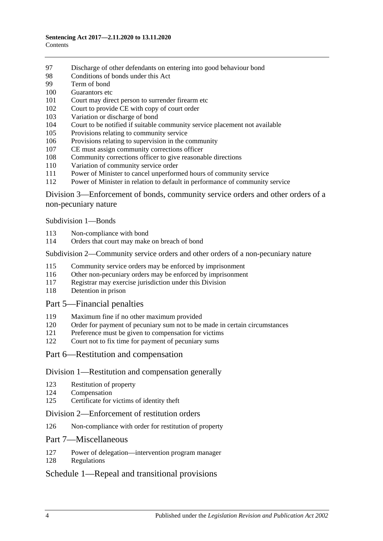- [Discharge of other defendants on entering into good behaviour bond](#page-84-0)
- [Conditions of bonds under this Act](#page-85-0)
- [Term of bond](#page-86-0)
- [Guarantors etc](#page-86-1)
- [Court may direct person to surrender firearm etc](#page-87-0)
- [Court to provide CE with copy of court order](#page-87-1)
- [Variation or discharge of bond](#page-87-2)
- [Court to be notified if suitable community service placement not available](#page-88-0)
- [Provisions relating to community service](#page-88-1)
- [Provisions relating to supervision in the community](#page-89-0)
- [CE must assign community corrections officer](#page-90-0)
- [Community corrections officer to give reasonable directions](#page-90-1)
- [Variation of community service order](#page-91-0)
- [Power of Minister to cancel unperformed hours of community service](#page-91-1)
- [Power of Minister in relation to default in performance of community service](#page-92-0)

Division [3—Enforcement of bonds, community service orders and other orders of a](#page-92-1)  [non-pecuniary nature](#page-92-1)

[Subdivision](#page-92-2) 1—Bonds

- [Non-compliance with bond](#page-92-3)
- [Orders that court may make on breach of bond](#page-93-0)

### Subdivision [2—Community service orders and other orders of a non-pecuniary nature](#page-95-0)

- [Community service orders may be enforced by imprisonment](#page-95-1)
- [Other non-pecuniary orders may be enforced by imprisonment](#page-96-0)
- [Registrar may exercise jurisdiction under this Division](#page-97-0)
- [Detention in prison](#page-97-1)

### Part [5—Financial penalties](#page-97-2)

- [Maximum fine if no other maximum provided](#page-97-3)
- [Order for payment of pecuniary sum not to be made in certain circumstances](#page-98-0)
- [Preference must be given to compensation for victims](#page-98-1)
- [Court not to fix time for payment of pecuniary sums](#page-98-2)
- Part [6—Restitution and compensation](#page-99-0)

### Division [1—Restitution and compensation generally](#page-99-1)

- [Restitution of property](#page-99-2)
- [Compensation](#page-99-3)
- [Certificate for victims of identity theft](#page-100-0)

### Division [2—Enforcement of restitution orders](#page-100-1)

[Non-compliance with order for restitution of property](#page-100-2)

### Part [7—Miscellaneous](#page-101-0)

- [Power of delegation—intervention program manager](#page-101-1)
- [Regulations](#page-101-2)

### Schedule [1—Repeal and transitional provisions](#page-102-0)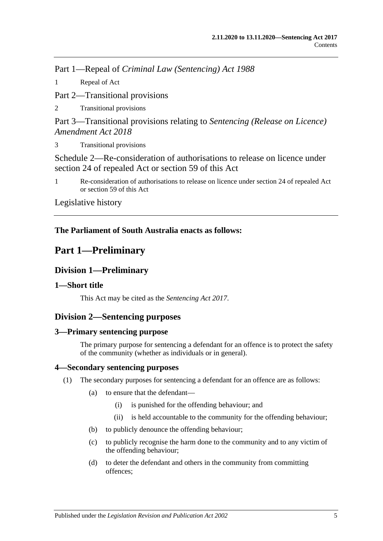Part 1—Repeal of *Criminal Law (Sentencing) Act 1988*

1 [Repeal of Act](#page-102-1)

Part 2—Transitional provisions

2 [Transitional provisions](#page-102-2)

Part 3—Transitional provisions relating to *Sentencing (Release on Licence) Amendment Act 2018*

3 [Transitional provisions](#page-103-0)

[Schedule 2—Re-consideration of authorisations to release on licence under](#page-104-0)  [section 24 of repealed Act or section](#page-104-0) 59 of this Act

1 [Re-consideration of authorisations to release on licence under section 24 of repealed Act](#page-104-1)  or [section](#page-50-0) 59 [of this Act](#page-104-1)

[Legislative history](#page-106-0)

## <span id="page-4-0"></span>**The Parliament of South Australia enacts as follows:**

# **Part 1—Preliminary**

# <span id="page-4-1"></span>**Division 1—Preliminary**

### <span id="page-4-2"></span>**1—Short title**

This Act may be cited as the *Sentencing Act 2017*.

## <span id="page-4-3"></span>**Division 2—Sentencing purposes**

### <span id="page-4-4"></span>**3—Primary sentencing purpose**

The primary purpose for sentencing a defendant for an offence is to protect the safety of the community (whether as individuals or in general).

### <span id="page-4-5"></span>**4—Secondary sentencing purposes**

- <span id="page-4-6"></span>(1) The secondary purposes for sentencing a defendant for an offence are as follows:
	- (a) to ensure that the defendant—
		- (i) is punished for the offending behaviour; and
		- (ii) is held accountable to the community for the offending behaviour;
	- (b) to publicly denounce the offending behaviour;
	- (c) to publicly recognise the harm done to the community and to any victim of the offending behaviour;
	- (d) to deter the defendant and others in the community from committing offences;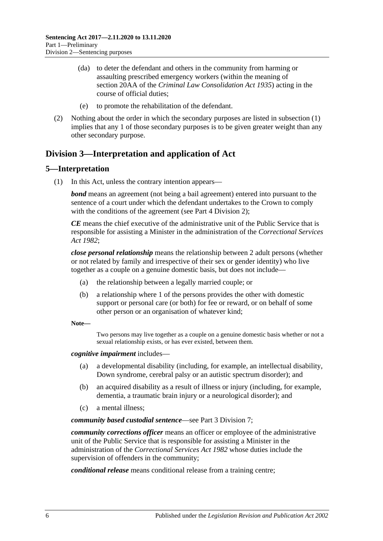- (da) to deter the defendant and others in the community from harming or assaulting prescribed emergency workers (within the meaning of section 20AA of the *[Criminal Law Consolidation Act](http://www.legislation.sa.gov.au/index.aspx?action=legref&type=act&legtitle=Criminal%20Law%20Consolidation%20Act%201935) 1935*) acting in the course of official duties;
- (e) to promote the rehabilitation of the defendant.
- (2) Nothing about the order in which the secondary purposes are listed in [subsection](#page-4-6) (1) implies that any 1 of those secondary purposes is to be given greater weight than any other secondary purpose.

## <span id="page-5-0"></span>**Division 3—Interpretation and application of Act**

### <span id="page-5-1"></span>**5—Interpretation**

(1) In this Act, unless the contrary intention appears—

*bond* means an agreement (not being a bail agreement) entered into pursuant to the sentence of a court under which the defendant undertakes to the Crown to comply with the conditions of the agreement (see Part [4 Division](#page-79-1) 2):

*CE* means the chief executive of the administrative unit of the Public Service that is responsible for assisting a Minister in the administration of the *[Correctional Services](http://www.legislation.sa.gov.au/index.aspx?action=legref&type=act&legtitle=Correctional%20Services%20Act%201982)  Act [1982](http://www.legislation.sa.gov.au/index.aspx?action=legref&type=act&legtitle=Correctional%20Services%20Act%201982)*;

*close personal relationship* means the relationship between 2 adult persons (whether or not related by family and irrespective of their sex or gender identity) who live together as a couple on a genuine domestic basis, but does not include—

- (a) the relationship between a legally married couple; or
- (b) a relationship where 1 of the persons provides the other with domestic support or personal care (or both) for fee or reward, or on behalf of some other person or an organisation of whatever kind;

**Note—**

Two persons may live together as a couple on a genuine domestic basis whether or not a sexual relationship exists, or has ever existed, between them.

*cognitive impairment* includes—

- (a) a developmental disability (including, for example, an intellectual disability, Down syndrome, cerebral palsy or an autistic spectrum disorder); and
- (b) an acquired disability as a result of illness or injury (including, for example, dementia, a traumatic brain injury or a neurological disorder); and
- (c) a mental illness;

*community based custodial sentence*—see Part [3 Division](#page-56-0) 7;

*community corrections officer* means an officer or employee of the administrative unit of the Public Service that is responsible for assisting a Minister in the administration of the *[Correctional Services Act](http://www.legislation.sa.gov.au/index.aspx?action=legref&type=act&legtitle=Correctional%20Services%20Act%201982) 1982* whose duties include the supervision of offenders in the community;

*conditional release* means conditional release from a training centre;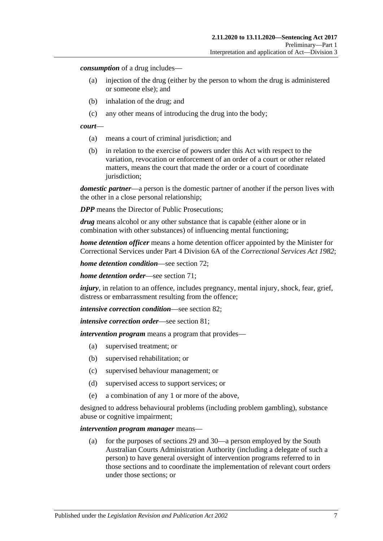*consumption* of a drug includes—

- (a) injection of the drug (either by the person to whom the drug is administered or someone else); and
- (b) inhalation of the drug; and
- (c) any other means of introducing the drug into the body;

#### *court*—

- (a) means a court of criminal jurisdiction; and
- (b) in relation to the exercise of powers under this Act with respect to the variation, revocation or enforcement of an order of a court or other related matters, means the court that made the order or a court of coordinate jurisdiction;

*domestic partner*—a person is the domestic partner of another if the person lives with the other in a close personal relationship;

*DPP* means the Director of Public Prosecutions;

*drug* means alcohol or any other substance that is capable (either alone or in combination with other substances) of influencing mental functioning;

*home detention officer* means a home detention officer appointed by the Minister for Correctional Services under Part 4 Division 6A of the *[Correctional Services Act](http://www.legislation.sa.gov.au/index.aspx?action=legref&type=act&legtitle=Correctional%20Services%20Act%201982) 1982*;

*home detention condition*—see [section](#page-61-0) 72;

*home detention order*—see [section](#page-56-4) 71;

*injury*, in relation to an offence, includes pregnancy, mental injury, shock, fear, grief, distress or embarrassment resulting from the offence;

*intensive correction condition*—see [section](#page-71-0) 82;

*intensive correction order*—see [section](#page-67-0) 81;

*intervention program* means a program that provides—

- (a) supervised treatment; or
- (b) supervised rehabilitation; or
- (c) supervised behaviour management; or
- (d) supervised access to support services; or
- (e) a combination of any 1 or more of the above,

designed to address behavioural problems (including problem gambling), substance abuse or cognitive impairment;

#### *intervention program manager* means—

(a) for the purposes of [sections](#page-22-0) 29 and [30—](#page-23-0)a person employed by the South Australian Courts Administration Authority (including a delegate of such a person) to have general oversight of intervention programs referred to in those sections and to coordinate the implementation of relevant court orders under those sections; or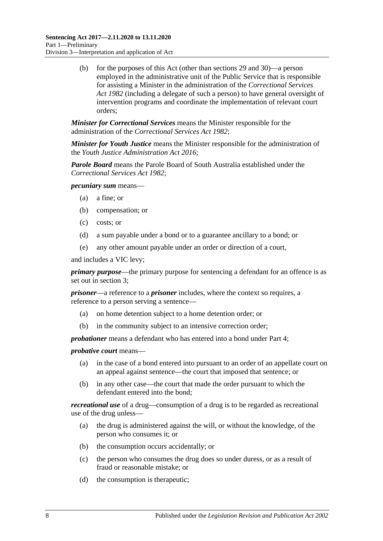(b) for the purposes of this Act (other than [sections](#page-22-0) 29 and [30\)](#page-23-0)—a person employed in the administrative unit of the Public Service that is responsible for assisting a Minister in the administration of the *[Correctional Services](http://www.legislation.sa.gov.au/index.aspx?action=legref&type=act&legtitle=Correctional%20Services%20Act%201982)  Act [1982](http://www.legislation.sa.gov.au/index.aspx?action=legref&type=act&legtitle=Correctional%20Services%20Act%201982)* (including a delegate of such a person) to have general oversight of intervention programs and coordinate the implementation of relevant court orders;

*Minister for Correctional Services* means the Minister responsible for the administration of the *[Correctional Services Act](http://www.legislation.sa.gov.au/index.aspx?action=legref&type=act&legtitle=Correctional%20Services%20Act%201982) 1982*;

*Minister for Youth Justice* means the Minister responsible for the administration of the *[Youth Justice Administration Act](http://www.legislation.sa.gov.au/index.aspx?action=legref&type=act&legtitle=Youth%20Justice%20Administration%20Act%202016) 2016*;

*Parole Board* means the Parole Board of South Australia established under the *[Correctional Services Act](http://www.legislation.sa.gov.au/index.aspx?action=legref&type=act&legtitle=Correctional%20Services%20Act%201982) 1982*;

*pecuniary sum* means—

- (a) a fine; or
- (b) compensation; or
- (c) costs; or
- (d) a sum payable under a bond or to a guarantee ancillary to a bond; or
- (e) any other amount payable under an order or direction of a court,

and includes a VIC levy;

*primary purpose*—the primary purpose for sentencing a defendant for an offence is as set out in [section](#page-4-4) 3;

*prisoner*—a reference to a *prisoner* includes, where the context so requires, a reference to a person serving a sentence—

- (a) on home detention subject to a home detention order; or
- (b) in the community subject to an intensive correction order;

*probationer* means a defendant who has entered into a bond under [Part](#page-78-5) 4;

*probative court* means—

- (a) in the case of a bond entered into pursuant to an order of an appellate court on an appeal against sentence—the court that imposed that sentence; or
- (b) in any other case—the court that made the order pursuant to which the defendant entered into the bond;

*recreational use* of a drug—consumption of a drug is to be regarded as recreational use of the drug unless—

- (a) the drug is administered against the will, or without the knowledge, of the person who consumes it; or
- (b) the consumption occurs accidentally; or
- (c) the person who consumes the drug does so under duress, or as a result of fraud or reasonable mistake; or
- (d) the consumption is therapeutic;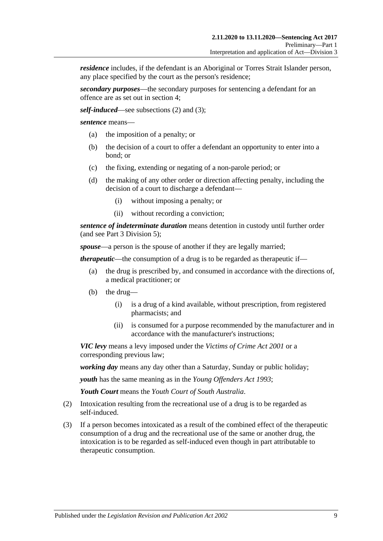*residence* includes, if the defendant is an Aboriginal or Torres Strait Islander person, any place specified by the court as the person's residence;

*secondary purposes*—the secondary purposes for sentencing a defendant for an offence are as set out in [section](#page-4-5) 4;

*self-induced*—see [subsections \(2\)](#page-8-0) and [\(3\);](#page-8-1)

*sentence* means—

- (a) the imposition of a penalty; or
- (b) the decision of a court to offer a defendant an opportunity to enter into a bond; or
- (c) the fixing, extending or negating of a non-parole period; or
- (d) the making of any other order or direction affecting penalty, including the decision of a court to discharge a defendant—
	- (i) without imposing a penalty; or
	- (ii) without recording a conviction;

*sentence of indeterminate duration* means detention in custody until further order (and see Part [3 Division](#page-46-0) 5);

*spouse*—a person is the spouse of another if they are legally married;

*therapeutic*—the consumption of a drug is to be regarded as therapeutic if—

- (a) the drug is prescribed by, and consumed in accordance with the directions of, a medical practitioner; or
- (b) the drug—
	- (i) is a drug of a kind available, without prescription, from registered pharmacists; and
	- (ii) is consumed for a purpose recommended by the manufacturer and in accordance with the manufacturer's instructions;

*VIC levy* means a levy imposed under the *[Victims of Crime Act](http://www.legislation.sa.gov.au/index.aspx?action=legref&type=act&legtitle=Victims%20of%20Crime%20Act%202001) 2001* or a corresponding previous law;

*working day* means any day other than a Saturday, Sunday or public holiday;

*youth* has the same meaning as in the *[Young Offenders Act](http://www.legislation.sa.gov.au/index.aspx?action=legref&type=act&legtitle=Young%20Offenders%20Act%201993) 1993*;

*Youth Court* means the *Youth Court of South Australia*.

- <span id="page-8-0"></span>(2) Intoxication resulting from the recreational use of a drug is to be regarded as self-induced.
- <span id="page-8-1"></span>(3) If a person becomes intoxicated as a result of the combined effect of the therapeutic consumption of a drug and the recreational use of the same or another drug, the intoxication is to be regarded as self-induced even though in part attributable to therapeutic consumption.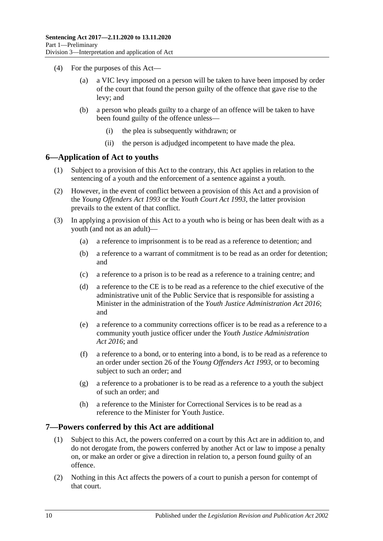- (4) For the purposes of this Act—
	- (a) a VIC levy imposed on a person will be taken to have been imposed by order of the court that found the person guilty of the offence that gave rise to the levy; and
	- (b) a person who pleads guilty to a charge of an offence will be taken to have been found guilty of the offence unless—
		- (i) the plea is subsequently withdrawn; or
		- (ii) the person is adjudged incompetent to have made the plea.

### <span id="page-9-0"></span>**6—Application of Act to youths**

- (1) Subject to a provision of this Act to the contrary, this Act applies in relation to the sentencing of a youth and the enforcement of a sentence against a youth.
- (2) However, in the event of conflict between a provision of this Act and a provision of the *[Young Offenders Act](http://www.legislation.sa.gov.au/index.aspx?action=legref&type=act&legtitle=Young%20Offenders%20Act%201993) 1993* or the *[Youth Court Act](http://www.legislation.sa.gov.au/index.aspx?action=legref&type=act&legtitle=Youth%20Court%20Act%201993) 1993*, the latter provision prevails to the extent of that conflict.
- (3) In applying a provision of this Act to a youth who is being or has been dealt with as a youth (and not as an adult)—
	- (a) a reference to imprisonment is to be read as a reference to detention; and
	- (b) a reference to a warrant of commitment is to be read as an order for detention; and
	- (c) a reference to a prison is to be read as a reference to a training centre; and
	- (d) a reference to the CE is to be read as a reference to the chief executive of the administrative unit of the Public Service that is responsible for assisting a Minister in the administration of the *[Youth Justice Administration Act](http://www.legislation.sa.gov.au/index.aspx?action=legref&type=act&legtitle=Youth%20Justice%20Administration%20Act%202016) 2016*; and
	- (e) a reference to a community corrections officer is to be read as a reference to a community youth justice officer under the *[Youth Justice Administration](http://www.legislation.sa.gov.au/index.aspx?action=legref&type=act&legtitle=Youth%20Justice%20Administration%20Act%202016)  Act [2016](http://www.legislation.sa.gov.au/index.aspx?action=legref&type=act&legtitle=Youth%20Justice%20Administration%20Act%202016)*; and
	- (f) a reference to a bond, or to entering into a bond, is to be read as a reference to an order under section 26 of the *[Young Offenders Act](http://www.legislation.sa.gov.au/index.aspx?action=legref&type=act&legtitle=Young%20Offenders%20Act%201993) 1993*, or to becoming subject to such an order; and
	- (g) a reference to a probationer is to be read as a reference to a youth the subject of such an order; and
	- (h) a reference to the Minister for Correctional Services is to be read as a reference to the Minister for Youth Justice.

### <span id="page-9-1"></span>**7—Powers conferred by this Act are additional**

- (1) Subject to this Act, the powers conferred on a court by this Act are in addition to, and do not derogate from, the powers conferred by another Act or law to impose a penalty on, or make an order or give a direction in relation to, a person found guilty of an offence.
- (2) Nothing in this Act affects the powers of a court to punish a person for contempt of that court.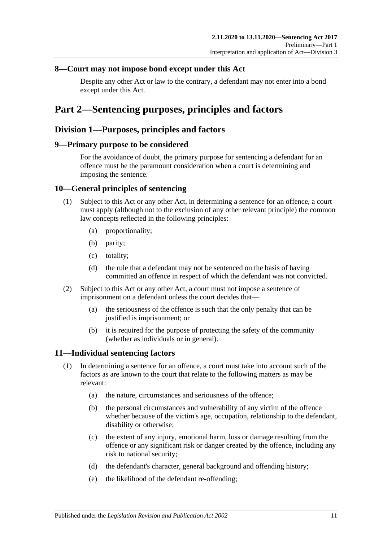### <span id="page-10-0"></span>**8—Court may not impose bond except under this Act**

Despite any other Act or law to the contrary, a defendant may not enter into a bond except under this Act.

# <span id="page-10-1"></span>**Part 2—Sentencing purposes, principles and factors**

### <span id="page-10-2"></span>**Division 1—Purposes, principles and factors**

### <span id="page-10-3"></span>**9—Primary purpose to be considered**

For the avoidance of doubt, the primary purpose for sentencing a defendant for an offence must be the paramount consideration when a court is determining and imposing the sentence.

### <span id="page-10-4"></span>**10—General principles of sentencing**

- (1) Subject to this Act or any other Act, in determining a sentence for an offence, a court must apply (although not to the exclusion of any other relevant principle) the common law concepts reflected in the following principles:
	- (a) proportionality;
	- (b) parity;
	- (c) totality;
	- (d) the rule that a defendant may not be sentenced on the basis of having committed an offence in respect of which the defendant was not convicted.
- (2) Subject to this Act or any other Act, a court must not impose a sentence of imprisonment on a defendant unless the court decides that—
	- (a) the seriousness of the offence is such that the only penalty that can be justified is imprisonment; or
	- (b) it is required for the purpose of protecting the safety of the community (whether as individuals or in general).

### <span id="page-10-6"></span><span id="page-10-5"></span>**11—Individual sentencing factors**

- <span id="page-10-7"></span>(1) In determining a sentence for an offence, a court must take into account such of the factors as are known to the court that relate to the following matters as may be relevant:
	- (a) the nature, circumstances and seriousness of the offence;
	- (b) the personal circumstances and vulnerability of any victim of the offence whether because of the victim's age, occupation, relationship to the defendant, disability or otherwise;
	- (c) the extent of any injury, emotional harm, loss or damage resulting from the offence or any significant risk or danger created by the offence, including any risk to national security;
	- (d) the defendant's character, general background and offending history;
	- (e) the likelihood of the defendant re-offending;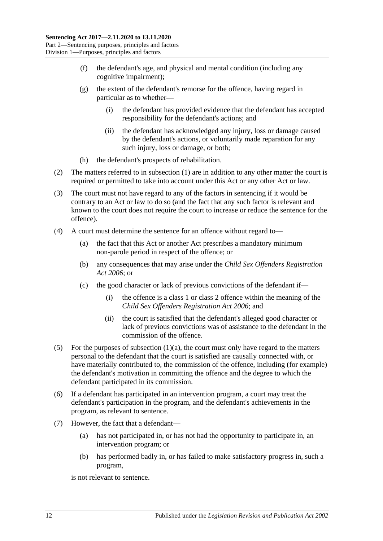- (f) the defendant's age, and physical and mental condition (including any cognitive impairment);
- (g) the extent of the defendant's remorse for the offence, having regard in particular as to whether—
	- (i) the defendant has provided evidence that the defendant has accepted responsibility for the defendant's actions; and
	- (ii) the defendant has acknowledged any injury, loss or damage caused by the defendant's actions, or voluntarily made reparation for any such injury, loss or damage, or both;
- (h) the defendant's prospects of rehabilitation.
- (2) The matters referred to in [subsection](#page-10-6) (1) are in addition to any other matter the court is required or permitted to take into account under this Act or any other Act or law.
- (3) The court must not have regard to any of the factors in sentencing if it would be contrary to an Act or law to do so (and the fact that any such factor is relevant and known to the court does not require the court to increase or reduce the sentence for the offence).
- (4) A court must determine the sentence for an offence without regard to—
	- (a) the fact that this Act or another Act prescribes a mandatory minimum non-parole period in respect of the offence; or
	- (b) any consequences that may arise under the *[Child Sex Offenders Registration](http://www.legislation.sa.gov.au/index.aspx?action=legref&type=act&legtitle=Child%20Sex%20Offenders%20Registration%20Act%202006)  Act [2006](http://www.legislation.sa.gov.au/index.aspx?action=legref&type=act&legtitle=Child%20Sex%20Offenders%20Registration%20Act%202006)*; or
	- (c) the good character or lack of previous convictions of the defendant if—
		- (i) the offence is a class 1 or class 2 offence within the meaning of the *[Child Sex Offenders Registration Act](http://www.legislation.sa.gov.au/index.aspx?action=legref&type=act&legtitle=Child%20Sex%20Offenders%20Registration%20Act%202006) 2006*; and
		- (ii) the court is satisfied that the defendant's alleged good character or lack of previous convictions was of assistance to the defendant in the commission of the offence.
- (5) For the purposes of [subsection](#page-10-7)  $(1)(a)$ , the court must only have regard to the matters personal to the defendant that the court is satisfied are causally connected with, or have materially contributed to, the commission of the offence, including (for example) the defendant's motivation in committing the offence and the degree to which the defendant participated in its commission.
- (6) If a defendant has participated in an intervention program, a court may treat the defendant's participation in the program, and the defendant's achievements in the program, as relevant to sentence.
- (7) However, the fact that a defendant—
	- (a) has not participated in, or has not had the opportunity to participate in, an intervention program; or
	- (b) has performed badly in, or has failed to make satisfactory progress in, such a program,

is not relevant to sentence.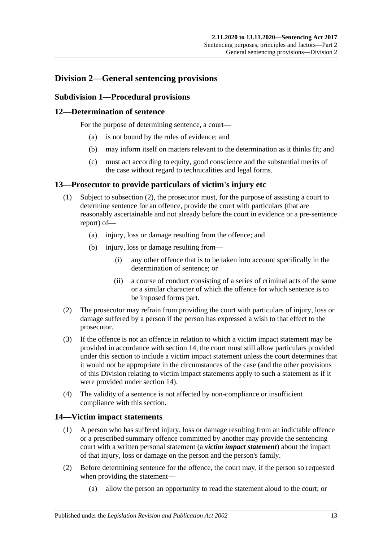# <span id="page-12-1"></span><span id="page-12-0"></span>**Division 2—General sentencing provisions**

### **Subdivision 1—Procedural provisions**

### <span id="page-12-2"></span>**12—Determination of sentence**

For the purpose of determining sentence, a court—

- (a) is not bound by the rules of evidence; and
- (b) may inform itself on matters relevant to the determination as it thinks fit; and
- (c) must act according to equity, good conscience and the substantial merits of the case without regard to technicalities and legal forms.

### <span id="page-12-3"></span>**13—Prosecutor to provide particulars of victim's injury etc**

- (1) Subject to [subsection](#page-12-5) (2), the prosecutor must, for the purpose of assisting a court to determine sentence for an offence, provide the court with particulars (that are reasonably ascertainable and not already before the court in evidence or a pre-sentence report) of—
	- (a) injury, loss or damage resulting from the offence; and
	- (b) injury, loss or damage resulting from—
		- (i) any other offence that is to be taken into account specifically in the determination of sentence; or
		- (ii) a course of conduct consisting of a series of criminal acts of the same or a similar character of which the offence for which sentence is to be imposed forms part.
- <span id="page-12-5"></span>(2) The prosecutor may refrain from providing the court with particulars of injury, loss or damage suffered by a person if the person has expressed a wish to that effect to the prosecutor.
- (3) If the offence is not an offence in relation to which a victim impact statement may be provided in accordance with [section](#page-12-4) 14, the court must still allow particulars provided under this section to include a victim impact statement unless the court determines that it would not be appropriate in the circumstances of the case (and the other provisions of this Division relating to victim impact statements apply to such a statement as if it were provided under [section](#page-12-4) 14).
- (4) The validity of a sentence is not affected by non-compliance or insufficient compliance with this section.

### <span id="page-12-4"></span>**14—Victim impact statements**

- (1) A person who has suffered injury, loss or damage resulting from an indictable offence or a prescribed summary offence committed by another may provide the sentencing court with a written personal statement (a *victim impact statement*) about the impact of that injury, loss or damage on the person and the person's family.
- (2) Before determining sentence for the offence, the court may, if the person so requested when providing the statement—
	- (a) allow the person an opportunity to read the statement aloud to the court; or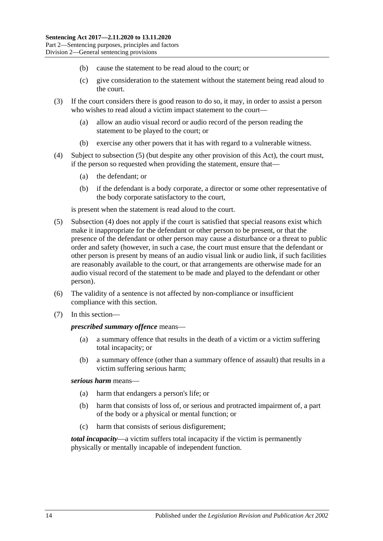- (b) cause the statement to be read aloud to the court; or
- (c) give consideration to the statement without the statement being read aloud to the court.
- (3) If the court considers there is good reason to do so, it may, in order to assist a person who wishes to read aloud a victim impact statement to the court—
	- (a) allow an audio visual record or audio record of the person reading the statement to be played to the court; or
	- (b) exercise any other powers that it has with regard to a vulnerable witness.
- <span id="page-13-1"></span>(4) Subject to [subsection](#page-13-0) (5) (but despite any other provision of this Act), the court must, if the person so requested when providing the statement, ensure that—
	- (a) the defendant; or
	- (b) if the defendant is a body corporate, a director or some other representative of the body corporate satisfactory to the court,

is present when the statement is read aloud to the court.

- <span id="page-13-0"></span>(5) [Subsection](#page-13-1) (4) does not apply if the court is satisfied that special reasons exist which make it inappropriate for the defendant or other person to be present, or that the presence of the defendant or other person may cause a disturbance or a threat to public order and safety (however, in such a case, the court must ensure that the defendant or other person is present by means of an audio visual link or audio link, if such facilities are reasonably available to the court, or that arrangements are otherwise made for an audio visual record of the statement to be made and played to the defendant or other person).
- (6) The validity of a sentence is not affected by non-compliance or insufficient compliance with this section.
- (7) In this section—

#### *prescribed summary offence* means—

- (a) a summary offence that results in the death of a victim or a victim suffering total incapacity; or
- (b) a summary offence (other than a summary offence of assault) that results in a victim suffering serious harm;

### *serious harm* means—

- (a) harm that endangers a person's life; or
- (b) harm that consists of loss of, or serious and protracted impairment of, a part of the body or a physical or mental function; or
- (c) harm that consists of serious disfigurement;

*total incapacity*—a victim suffers total incapacity if the victim is permanently physically or mentally incapable of independent function.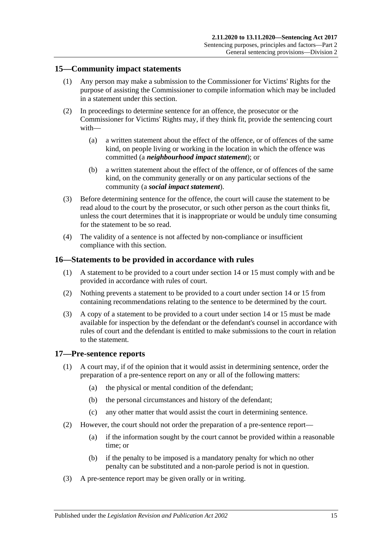### <span id="page-14-0"></span>**15—Community impact statements**

- (1) Any person may make a submission to the Commissioner for Victims' Rights for the purpose of assisting the Commissioner to compile information which may be included in a statement under this section.
- (2) In proceedings to determine sentence for an offence, the prosecutor or the Commissioner for Victims' Rights may, if they think fit, provide the sentencing court with—
	- (a) a written statement about the effect of the offence, or of offences of the same kind, on people living or working in the location in which the offence was committed (a *neighbourhood impact statement*); or
	- (b) a written statement about the effect of the offence, or of offences of the same kind, on the community generally or on any particular sections of the community (a *social impact statement*).
- (3) Before determining sentence for the offence, the court will cause the statement to be read aloud to the court by the prosecutor, or such other person as the court thinks fit, unless the court determines that it is inappropriate or would be unduly time consuming for the statement to be so read.
- (4) The validity of a sentence is not affected by non-compliance or insufficient compliance with this section.

### <span id="page-14-1"></span>**16—Statements to be provided in accordance with rules**

- (1) A statement to be provided to a court under [section](#page-12-4) 14 or [15](#page-14-0) must comply with and be provided in accordance with rules of court.
- (2) Nothing prevents a statement to be provided to a court under [section](#page-12-4) 14 or [15](#page-14-0) from containing recommendations relating to the sentence to be determined by the court.
- (3) A copy of a statement to be provided to a court under [section](#page-12-4) 14 or [15](#page-14-0) must be made available for inspection by the defendant or the defendant's counsel in accordance with rules of court and the defendant is entitled to make submissions to the court in relation to the statement.

### <span id="page-14-2"></span>**17—Pre-sentence reports**

- (1) A court may, if of the opinion that it would assist in determining sentence, order the preparation of a pre-sentence report on any or all of the following matters:
	- (a) the physical or mental condition of the defendant;
	- (b) the personal circumstances and history of the defendant;
	- (c) any other matter that would assist the court in determining sentence.
- (2) However, the court should not order the preparation of a pre-sentence report—
	- (a) if the information sought by the court cannot be provided within a reasonable time; or
	- (b) if the penalty to be imposed is a mandatory penalty for which no other penalty can be substituted and a non-parole period is not in question.
- (3) A pre-sentence report may be given orally or in writing.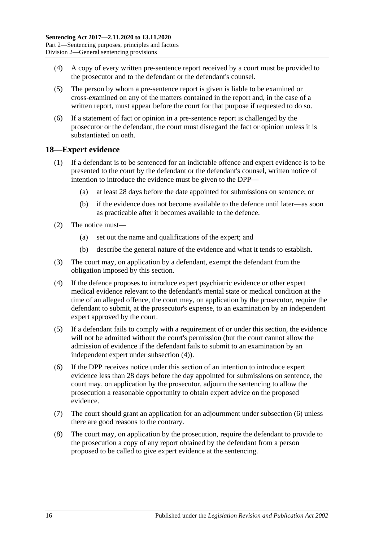- (4) A copy of every written pre-sentence report received by a court must be provided to the prosecutor and to the defendant or the defendant's counsel.
- (5) The person by whom a pre-sentence report is given is liable to be examined or cross-examined on any of the matters contained in the report and, in the case of a written report, must appear before the court for that purpose if requested to do so.
- (6) If a statement of fact or opinion in a pre-sentence report is challenged by the prosecutor or the defendant, the court must disregard the fact or opinion unless it is substantiated on oath.

### <span id="page-15-0"></span>**18—Expert evidence**

- (1) If a defendant is to be sentenced for an indictable offence and expert evidence is to be presented to the court by the defendant or the defendant's counsel, written notice of intention to introduce the evidence must be given to the DPP—
	- (a) at least 28 days before the date appointed for submissions on sentence; or
	- (b) if the evidence does not become available to the defence until later—as soon as practicable after it becomes available to the defence.
- (2) The notice must—
	- (a) set out the name and qualifications of the expert; and
	- (b) describe the general nature of the evidence and what it tends to establish.
- (3) The court may, on application by a defendant, exempt the defendant from the obligation imposed by this section.
- <span id="page-15-1"></span>(4) If the defence proposes to introduce expert psychiatric evidence or other expert medical evidence relevant to the defendant's mental state or medical condition at the time of an alleged offence, the court may, on application by the prosecutor, require the defendant to submit, at the prosecutor's expense, to an examination by an independent expert approved by the court.
- (5) If a defendant fails to comply with a requirement of or under this section, the evidence will not be admitted without the court's permission (but the court cannot allow the admission of evidence if the defendant fails to submit to an examination by an independent expert under [subsection](#page-15-1) (4)).
- <span id="page-15-2"></span>(6) If the DPP receives notice under this section of an intention to introduce expert evidence less than 28 days before the day appointed for submissions on sentence, the court may, on application by the prosecutor, adjourn the sentencing to allow the prosecution a reasonable opportunity to obtain expert advice on the proposed evidence.
- (7) The court should grant an application for an adjournment under [subsection](#page-15-2) (6) unless there are good reasons to the contrary.
- (8) The court may, on application by the prosecution, require the defendant to provide to the prosecution a copy of any report obtained by the defendant from a person proposed to be called to give expert evidence at the sentencing.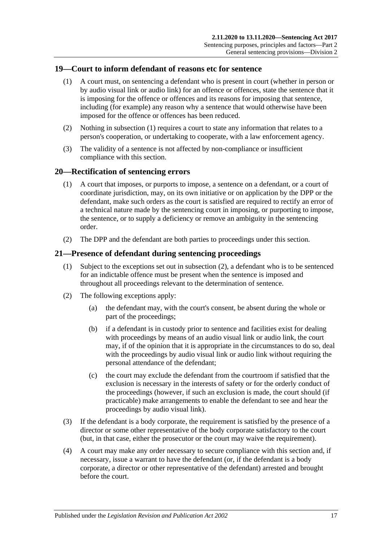### <span id="page-16-3"></span><span id="page-16-0"></span>**19—Court to inform defendant of reasons etc for sentence**

- (1) A court must, on sentencing a defendant who is present in court (whether in person or by audio visual link or audio link) for an offence or offences, state the sentence that it is imposing for the offence or offences and its reasons for imposing that sentence, including (for example) any reason why a sentence that would otherwise have been imposed for the offence or offences has been reduced.
- (2) Nothing in [subsection](#page-16-3) (1) requires a court to state any information that relates to a person's cooperation, or undertaking to cooperate, with a law enforcement agency.
- (3) The validity of a sentence is not affected by non-compliance or insufficient compliance with this section.

### <span id="page-16-1"></span>**20—Rectification of sentencing errors**

- (1) A court that imposes, or purports to impose, a sentence on a defendant, or a court of coordinate jurisdiction, may, on its own initiative or on application by the DPP or the defendant, make such orders as the court is satisfied are required to rectify an error of a technical nature made by the sentencing court in imposing, or purporting to impose, the sentence, or to supply a deficiency or remove an ambiguity in the sentencing order.
- (2) The DPP and the defendant are both parties to proceedings under this section.

### <span id="page-16-2"></span>**21—Presence of defendant during sentencing proceedings**

- (1) Subject to the exceptions set out in [subsection](#page-16-4) (2), a defendant who is to be sentenced for an indictable offence must be present when the sentence is imposed and throughout all proceedings relevant to the determination of sentence.
- <span id="page-16-4"></span>(2) The following exceptions apply:
	- (a) the defendant may, with the court's consent, be absent during the whole or part of the proceedings;
	- (b) if a defendant is in custody prior to sentence and facilities exist for dealing with proceedings by means of an audio visual link or audio link, the court may, if of the opinion that it is appropriate in the circumstances to do so, deal with the proceedings by audio visual link or audio link without requiring the personal attendance of the defendant;
	- (c) the court may exclude the defendant from the courtroom if satisfied that the exclusion is necessary in the interests of safety or for the orderly conduct of the proceedings (however, if such an exclusion is made, the court should (if practicable) make arrangements to enable the defendant to see and hear the proceedings by audio visual link).
- (3) If the defendant is a body corporate, the requirement is satisfied by the presence of a director or some other representative of the body corporate satisfactory to the court (but, in that case, either the prosecutor or the court may waive the requirement).
- (4) A court may make any order necessary to secure compliance with this section and, if necessary, issue a warrant to have the defendant (or, if the defendant is a body corporate, a director or other representative of the defendant) arrested and brought before the court.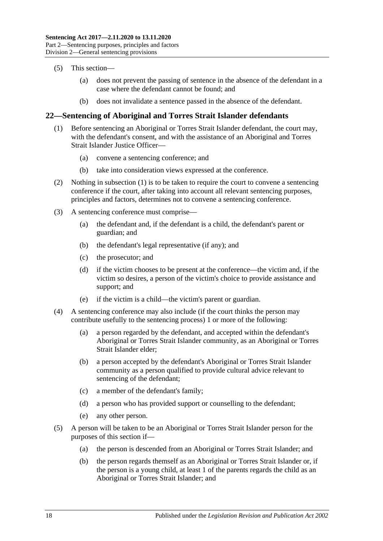- (5) This section—
	- (a) does not prevent the passing of sentence in the absence of the defendant in a case where the defendant cannot be found; and
	- (b) does not invalidate a sentence passed in the absence of the defendant.

### <span id="page-17-1"></span><span id="page-17-0"></span>**22—Sentencing of Aboriginal and Torres Strait Islander defendants**

- (1) Before sentencing an Aboriginal or Torres Strait Islander defendant, the court may, with the defendant's consent, and with the assistance of an Aboriginal and Torres Strait Islander Justice Officer—
	- (a) convene a sentencing conference; and
	- (b) take into consideration views expressed at the conference.
- (2) Nothing in [subsection](#page-17-1) (1) is to be taken to require the court to convene a sentencing conference if the court, after taking into account all relevant sentencing purposes, principles and factors, determines not to convene a sentencing conference.
- (3) A sentencing conference must comprise—
	- (a) the defendant and, if the defendant is a child, the defendant's parent or guardian; and
	- (b) the defendant's legal representative (if any); and
	- (c) the prosecutor; and
	- (d) if the victim chooses to be present at the conference—the victim and, if the victim so desires, a person of the victim's choice to provide assistance and support; and
	- (e) if the victim is a child—the victim's parent or guardian.
- (4) A sentencing conference may also include (if the court thinks the person may contribute usefully to the sentencing process) 1 or more of the following:
	- (a) a person regarded by the defendant, and accepted within the defendant's Aboriginal or Torres Strait Islander community, as an Aboriginal or Torres Strait Islander elder;
	- (b) a person accepted by the defendant's Aboriginal or Torres Strait Islander community as a person qualified to provide cultural advice relevant to sentencing of the defendant;
	- (c) a member of the defendant's family;
	- (d) a person who has provided support or counselling to the defendant;
	- (e) any other person.
- (5) A person will be taken to be an Aboriginal or Torres Strait Islander person for the purposes of this section if—
	- (a) the person is descended from an Aboriginal or Torres Strait Islander; and
	- (b) the person regards themself as an Aboriginal or Torres Strait Islander or, if the person is a young child, at least 1 of the parents regards the child as an Aboriginal or Torres Strait Islander; and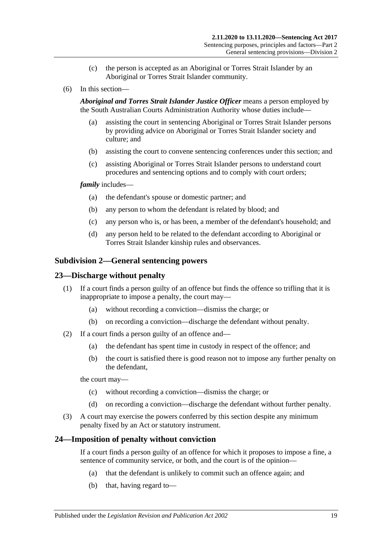- (c) the person is accepted as an Aboriginal or Torres Strait Islander by an Aboriginal or Torres Strait Islander community.
- (6) In this section—

*Aboriginal and Torres Strait Islander Justice Officer* means a person employed by the South Australian Courts Administration Authority whose duties include—

- (a) assisting the court in sentencing Aboriginal or Torres Strait Islander persons by providing advice on Aboriginal or Torres Strait Islander society and culture; and
- (b) assisting the court to convene sentencing conferences under this section; and
- (c) assisting Aboriginal or Torres Strait Islander persons to understand court procedures and sentencing options and to comply with court orders;

#### *family* includes—

- (a) the defendant's spouse or domestic partner; and
- (b) any person to whom the defendant is related by blood; and
- (c) any person who is, or has been, a member of the defendant's household; and
- (d) any person held to be related to the defendant according to Aboriginal or Torres Strait Islander kinship rules and observances.

### <span id="page-18-0"></span>**Subdivision 2—General sentencing powers**

### <span id="page-18-1"></span>**23—Discharge without penalty**

- (1) If a court finds a person guilty of an offence but finds the offence so trifling that it is inappropriate to impose a penalty, the court may—
	- (a) without recording a conviction—dismiss the charge; or
	- (b) on recording a conviction—discharge the defendant without penalty.
- (2) If a court finds a person guilty of an offence and—
	- (a) the defendant has spent time in custody in respect of the offence; and
	- (b) the court is satisfied there is good reason not to impose any further penalty on the defendant,

the court may—

- (c) without recording a conviction—dismiss the charge; or
- (d) on recording a conviction—discharge the defendant without further penalty.
- (3) A court may exercise the powers conferred by this section despite any minimum penalty fixed by an Act or statutory instrument.

### <span id="page-18-2"></span>**24—Imposition of penalty without conviction**

If a court finds a person guilty of an offence for which it proposes to impose a fine, a sentence of community service, or both, and the court is of the opinion—

- (a) that the defendant is unlikely to commit such an offence again; and
- (b) that, having regard to—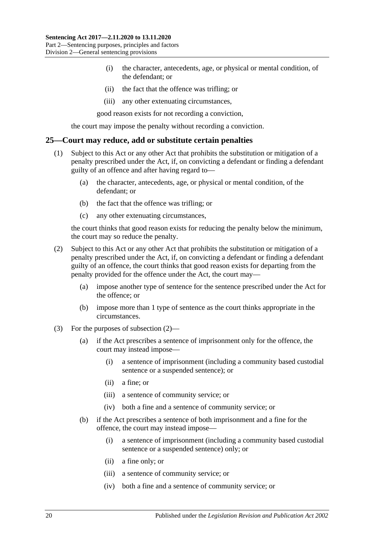- (i) the character, antecedents, age, or physical or mental condition, of the defendant; or
- (ii) the fact that the offence was trifling; or
- (iii) any other extenuating circumstances,

good reason exists for not recording a conviction,

the court may impose the penalty without recording a conviction.

#### <span id="page-19-0"></span>**25—Court may reduce, add or substitute certain penalties**

- (1) Subject to this Act or any other Act that prohibits the substitution or mitigation of a penalty prescribed under the Act, if, on convicting a defendant or finding a defendant guilty of an offence and after having regard to—
	- (a) the character, antecedents, age, or physical or mental condition, of the defendant; or
	- (b) the fact that the offence was trifling; or
	- (c) any other extenuating circumstances,

the court thinks that good reason exists for reducing the penalty below the minimum, the court may so reduce the penalty.

- <span id="page-19-1"></span>(2) Subject to this Act or any other Act that prohibits the substitution or mitigation of a penalty prescribed under the Act, if, on convicting a defendant or finding a defendant guilty of an offence, the court thinks that good reason exists for departing from the penalty provided for the offence under the Act, the court may—
	- (a) impose another type of sentence for the sentence prescribed under the Act for the offence; or
	- (b) impose more than 1 type of sentence as the court thinks appropriate in the circumstances.
- (3) For the purposes of [subsection](#page-19-1) (2)—
	- (a) if the Act prescribes a sentence of imprisonment only for the offence, the court may instead impose—
		- (i) a sentence of imprisonment (including a community based custodial sentence or a suspended sentence); or
		- (ii) a fine; or
		- (iii) a sentence of community service; or
		- (iv) both a fine and a sentence of community service; or
	- (b) if the Act prescribes a sentence of both imprisonment and a fine for the offence, the court may instead impose—
		- (i) a sentence of imprisonment (including a community based custodial sentence or a suspended sentence) only; or
		- (ii) a fine only; or
		- (iii) a sentence of community service; or
		- (iv) both a fine and a sentence of community service; or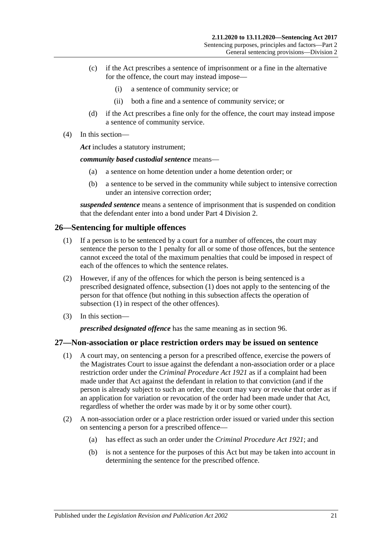- (c) if the Act prescribes a sentence of imprisonment or a fine in the alternative for the offence, the court may instead impose—
	- (i) a sentence of community service; or
	- (ii) both a fine and a sentence of community service; or
- (d) if the Act prescribes a fine only for the offence, the court may instead impose a sentence of community service.
- (4) In this section—

*Act* includes a statutory instrument;

*community based custodial sentence* means—

- (a) a sentence on home detention under a home detention order; or
- (b) a sentence to be served in the community while subject to intensive correction under an intensive correction order;

*suspended sentence* means a sentence of imprisonment that is suspended on condition that the defendant enter into a bond under Part [4 Division](#page-79-1) 2.

### <span id="page-20-2"></span><span id="page-20-0"></span>**26—Sentencing for multiple offences**

- (1) If a person is to be sentenced by a court for a number of offences, the court may sentence the person to the 1 penalty for all or some of those offences, but the sentence cannot exceed the total of the maximum penalties that could be imposed in respect of each of the offences to which the sentence relates.
- (2) However, if any of the offences for which the person is being sentenced is a prescribed designated offence, [subsection](#page-20-2) (1) does not apply to the sentencing of the person for that offence (but nothing in this subsection affects the operation of [subsection](#page-20-2) (1) in respect of the other offences).
- (3) In this section—

*prescribed designated offence* has the same meaning as in [section](#page-79-2) 96.

### <span id="page-20-1"></span>**27—Non-association or place restriction orders may be issued on sentence**

- (1) A court may, on sentencing a person for a prescribed offence, exercise the powers of the Magistrates Court to issue against the defendant a non-association order or a place restriction order under the *[Criminal Procedure Act](http://www.legislation.sa.gov.au/index.aspx?action=legref&type=act&legtitle=Criminal%20Procedure%20Act%201921) 1921* as if a complaint had been made under that Act against the defendant in relation to that conviction (and if the person is already subject to such an order, the court may vary or revoke that order as if an application for variation or revocation of the order had been made under that Act, regardless of whether the order was made by it or by some other court).
- (2) A non-association order or a place restriction order issued or varied under this section on sentencing a person for a prescribed offence—
	- (a) has effect as such an order under the *[Criminal Procedure Act](http://www.legislation.sa.gov.au/index.aspx?action=legref&type=act&legtitle=Criminal%20Procedure%20Act%201921) 1921*; and
	- (b) is not a sentence for the purposes of this Act but may be taken into account in determining the sentence for the prescribed offence.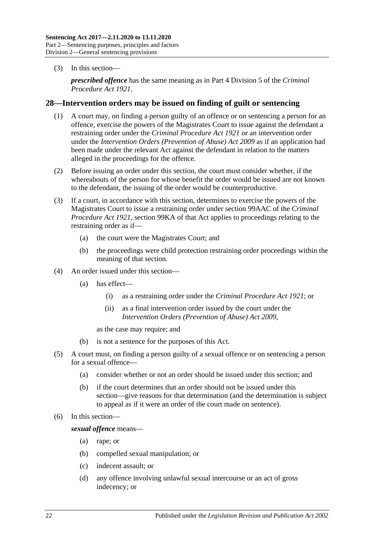(3) In this section—

*prescribed offence* has the same meaning as in Part 4 Division 5 of the *[Criminal](http://www.legislation.sa.gov.au/index.aspx?action=legref&type=act&legtitle=Criminal%20Procedure%20Act%201921)  [Procedure Act](http://www.legislation.sa.gov.au/index.aspx?action=legref&type=act&legtitle=Criminal%20Procedure%20Act%201921) 1921*.

### <span id="page-21-0"></span>**28—Intervention orders may be issued on finding of guilt or sentencing**

- (1) A court may, on finding a person guilty of an offence or on sentencing a person for an offence, exercise the powers of the Magistrates Court to issue against the defendant a restraining order under the *[Criminal Procedure Act](http://www.legislation.sa.gov.au/index.aspx?action=legref&type=act&legtitle=Criminal%20Procedure%20Act%201921) 1921* or an intervention order under the *[Intervention Orders \(Prevention of Abuse\) Act](http://www.legislation.sa.gov.au/index.aspx?action=legref&type=act&legtitle=Intervention%20Orders%20(Prevention%20of%20Abuse)%20Act%202009) 2009* as if an application had been made under the relevant Act against the defendant in relation to the matters alleged in the proceedings for the offence.
- (2) Before issuing an order under this section, the court must consider whether, if the whereabouts of the person for whose benefit the order would be issued are not known to the defendant, the issuing of the order would be counterproductive.
- (3) If a court, in accordance with this section, determines to exercise the powers of the Magistrates Court to issue a restraining order under section 99AAC of the *[Criminal](http://www.legislation.sa.gov.au/index.aspx?action=legref&type=act&legtitle=Criminal%20Procedure%20Act%201921)  [Procedure Act](http://www.legislation.sa.gov.au/index.aspx?action=legref&type=act&legtitle=Criminal%20Procedure%20Act%201921) 1921*, section 99KA of that Act applies to proceedings relating to the restraining order as if—
	- (a) the court were the Magistrates Court; and
	- (b) the proceedings were child protection restraining order proceedings within the meaning of that section.
- (4) An order issued under this section—
	- (a) has effect—
		- (i) as a restraining order under the *[Criminal Procedure Act](http://www.legislation.sa.gov.au/index.aspx?action=legref&type=act&legtitle=Criminal%20Procedure%20Act%201921) 1921*; or
		- (ii) as a final intervention order issued by the court under the *[Intervention Orders \(Prevention of Abuse\) Act](http://www.legislation.sa.gov.au/index.aspx?action=legref&type=act&legtitle=Intervention%20Orders%20(Prevention%20of%20Abuse)%20Act%202009) 2009*,

as the case may require; and

- (b) is not a sentence for the purposes of this Act.
- (5) A court must, on finding a person guilty of a sexual offence or on sentencing a person for a sexual offence—
	- (a) consider whether or not an order should be issued under this section; and
	- (b) if the court determines that an order should not be issued under this section—give reasons for that determination (and the determination is subject to appeal as if it were an order of the court made on sentence).
- (6) In this section—

*sexual offence* means—

- (a) rape; or
- (b) compelled sexual manipulation; or
- (c) indecent assault; or
- (d) any offence involving unlawful sexual intercourse or an act of gross indecency; or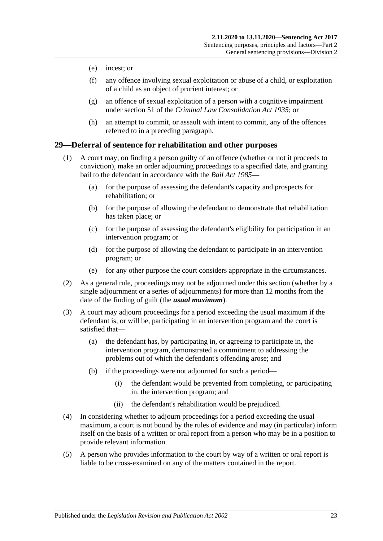- (e) incest; or
- (f) any offence involving sexual exploitation or abuse of a child, or exploitation of a child as an object of prurient interest; or
- (g) an offence of sexual exploitation of a person with a cognitive impairment under section 51 of the *[Criminal Law Consolidation Act](http://www.legislation.sa.gov.au/index.aspx?action=legref&type=act&legtitle=Criminal%20Law%20Consolidation%20Act%201935) 1935*; or
- (h) an attempt to commit, or assault with intent to commit, any of the offences referred to in a preceding paragraph.

### <span id="page-22-0"></span>**29—Deferral of sentence for rehabilitation and other purposes**

- (1) A court may, on finding a person guilty of an offence (whether or not it proceeds to conviction), make an order adjourning proceedings to a specified date, and granting bail to the defendant in accordance with the *[Bail Act](http://www.legislation.sa.gov.au/index.aspx?action=legref&type=act&legtitle=Bail%20Act%201985) 1985*—
	- (a) for the purpose of assessing the defendant's capacity and prospects for rehabilitation; or
	- (b) for the purpose of allowing the defendant to demonstrate that rehabilitation has taken place; or
	- (c) for the purpose of assessing the defendant's eligibility for participation in an intervention program; or
	- (d) for the purpose of allowing the defendant to participate in an intervention program; or
	- (e) for any other purpose the court considers appropriate in the circumstances.
- (2) As a general rule, proceedings may not be adjourned under this section (whether by a single adjournment or a series of adjournments) for more than 12 months from the date of the finding of guilt (the *usual maximum*).
- (3) A court may adjourn proceedings for a period exceeding the usual maximum if the defendant is, or will be, participating in an intervention program and the court is satisfied that—
	- (a) the defendant has, by participating in, or agreeing to participate in, the intervention program, demonstrated a commitment to addressing the problems out of which the defendant's offending arose; and
	- (b) if the proceedings were not adjourned for such a period—
		- (i) the defendant would be prevented from completing, or participating in, the intervention program; and
		- (ii) the defendant's rehabilitation would be prejudiced.
- (4) In considering whether to adjourn proceedings for a period exceeding the usual maximum, a court is not bound by the rules of evidence and may (in particular) inform itself on the basis of a written or oral report from a person who may be in a position to provide relevant information.
- (5) A person who provides information to the court by way of a written or oral report is liable to be cross-examined on any of the matters contained in the report.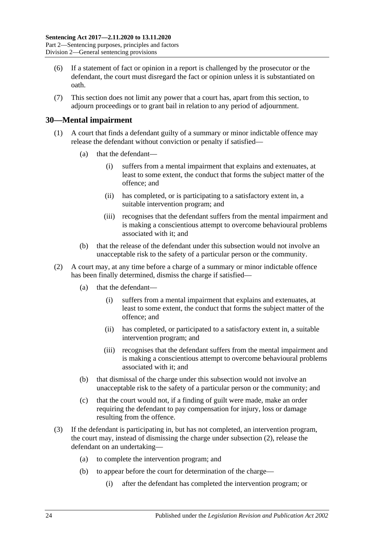- (6) If a statement of fact or opinion in a report is challenged by the prosecutor or the defendant, the court must disregard the fact or opinion unless it is substantiated on oath.
- (7) This section does not limit any power that a court has, apart from this section, to adjourn proceedings or to grant bail in relation to any period of adjournment.

### <span id="page-23-0"></span>**30—Mental impairment**

- (1) A court that finds a defendant guilty of a summary or minor indictable offence may release the defendant without conviction or penalty if satisfied—
	- (a) that the defendant—
		- (i) suffers from a mental impairment that explains and extenuates, at least to some extent, the conduct that forms the subject matter of the offence; and
		- (ii) has completed, or is participating to a satisfactory extent in, a suitable intervention program; and
		- (iii) recognises that the defendant suffers from the mental impairment and is making a conscientious attempt to overcome behavioural problems associated with it; and
	- (b) that the release of the defendant under this subsection would not involve an unacceptable risk to the safety of a particular person or the community.
- <span id="page-23-1"></span>(2) A court may, at any time before a charge of a summary or minor indictable offence has been finally determined, dismiss the charge if satisfied—
	- (a) that the defendant—
		- (i) suffers from a mental impairment that explains and extenuates, at least to some extent, the conduct that forms the subject matter of the offence; and
		- (ii) has completed, or participated to a satisfactory extent in, a suitable intervention program; and
		- (iii) recognises that the defendant suffers from the mental impairment and is making a conscientious attempt to overcome behavioural problems associated with it; and
	- (b) that dismissal of the charge under this subsection would not involve an unacceptable risk to the safety of a particular person or the community; and
	- (c) that the court would not, if a finding of guilt were made, make an order requiring the defendant to pay compensation for injury, loss or damage resulting from the offence.
- <span id="page-23-2"></span>(3) If the defendant is participating in, but has not completed, an intervention program, the court may, instead of dismissing the charge under [subsection](#page-23-1) (2), release the defendant on an undertaking—
	- (a) to complete the intervention program; and
	- (b) to appear before the court for determination of the charge—
		- (i) after the defendant has completed the intervention program; or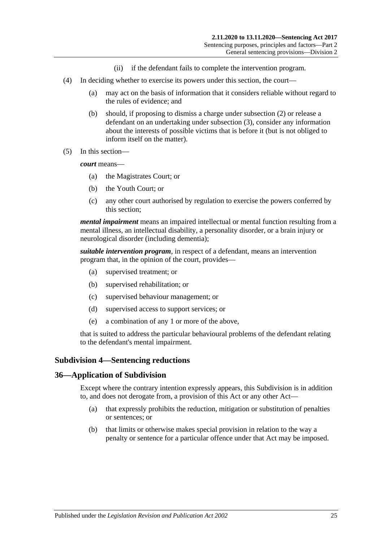- (ii) if the defendant fails to complete the intervention program.
- (4) In deciding whether to exercise its powers under this section, the court—
	- (a) may act on the basis of information that it considers reliable without regard to the rules of evidence; and
	- (b) should, if proposing to dismiss a charge under [subsection](#page-23-1) (2) or release a defendant on an undertaking under [subsection](#page-23-2) (3), consider any information about the interests of possible victims that is before it (but is not obliged to inform itself on the matter).
- (5) In this section—

*court* means—

- (a) the Magistrates Court; or
- (b) the Youth Court; or
- (c) any other court authorised by regulation to exercise the powers conferred by this section;

*mental impairment* means an impaired intellectual or mental function resulting from a mental illness, an intellectual disability, a personality disorder, or a brain injury or neurological disorder (including dementia);

*suitable intervention program*, in respect of a defendant, means an intervention program that, in the opinion of the court, provides—

- (a) supervised treatment; or
- (b) supervised rehabilitation; or
- (c) supervised behaviour management; or
- (d) supervised access to support services; or
- (e) a combination of any 1 or more of the above,

that is suited to address the particular behavioural problems of the defendant relating to the defendant's mental impairment.

### <span id="page-24-0"></span>**Subdivision 4—Sentencing reductions**

### <span id="page-24-1"></span>**36—Application of Subdivision**

Except where the contrary intention expressly appears, this Subdivision is in addition to, and does not derogate from, a provision of this Act or any other Act—

- (a) that expressly prohibits the reduction, mitigation or substitution of penalties or sentences; or
- (b) that limits or otherwise makes special provision in relation to the way a penalty or sentence for a particular offence under that Act may be imposed.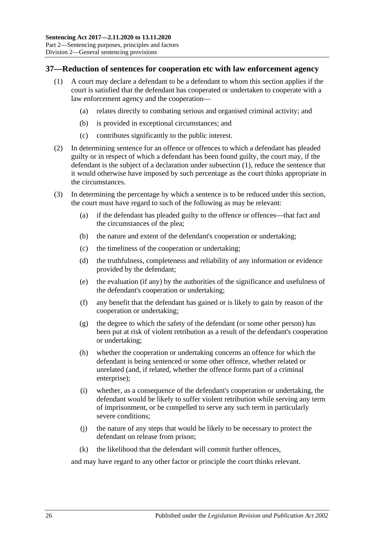### <span id="page-25-1"></span><span id="page-25-0"></span>**37—Reduction of sentences for cooperation etc with law enforcement agency**

- (1) A court may declare a defendant to be a defendant to whom this section applies if the court is satisfied that the defendant has cooperated or undertaken to cooperate with a law enforcement agency and the cooperation—
	- (a) relates directly to combating serious and organised criminal activity; and
	- (b) is provided in exceptional circumstances; and
	- (c) contributes significantly to the public interest.
- (2) In determining sentence for an offence or offences to which a defendant has pleaded guilty or in respect of which a defendant has been found guilty, the court may, if the defendant is the subject of a declaration under [subsection](#page-25-1) (1), reduce the sentence that it would otherwise have imposed by such percentage as the court thinks appropriate in the circumstances.
- (3) In determining the percentage by which a sentence is to be reduced under this section, the court must have regard to such of the following as may be relevant:
	- (a) if the defendant has pleaded guilty to the offence or offences—that fact and the circumstances of the plea;
	- (b) the nature and extent of the defendant's cooperation or undertaking;
	- (c) the timeliness of the cooperation or undertaking;
	- (d) the truthfulness, completeness and reliability of any information or evidence provided by the defendant;
	- (e) the evaluation (if any) by the authorities of the significance and usefulness of the defendant's cooperation or undertaking;
	- (f) any benefit that the defendant has gained or is likely to gain by reason of the cooperation or undertaking;
	- (g) the degree to which the safety of the defendant (or some other person) has been put at risk of violent retribution as a result of the defendant's cooperation or undertaking;
	- (h) whether the cooperation or undertaking concerns an offence for which the defendant is being sentenced or some other offence, whether related or unrelated (and, if related, whether the offence forms part of a criminal enterprise);
	- (i) whether, as a consequence of the defendant's cooperation or undertaking, the defendant would be likely to suffer violent retribution while serving any term of imprisonment, or be compelled to serve any such term in particularly severe conditions;
	- (j) the nature of any steps that would be likely to be necessary to protect the defendant on release from prison;
	- (k) the likelihood that the defendant will commit further offences,

and may have regard to any other factor or principle the court thinks relevant.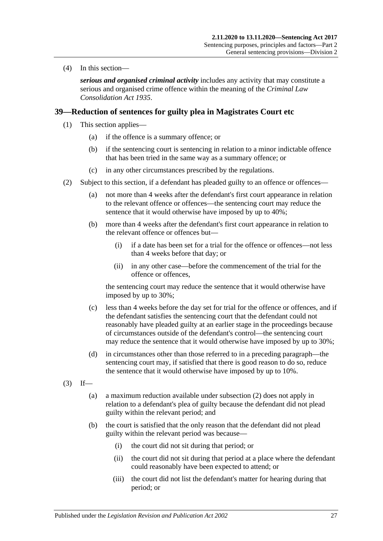(4) In this section—

*serious and organised criminal activity* includes any activity that may constitute a serious and organised crime offence within the meaning of the *[Criminal Law](http://www.legislation.sa.gov.au/index.aspx?action=legref&type=act&legtitle=Criminal%20Law%20Consolidation%20Act%201935)  [Consolidation Act](http://www.legislation.sa.gov.au/index.aspx?action=legref&type=act&legtitle=Criminal%20Law%20Consolidation%20Act%201935) 1935*.

### <span id="page-26-4"></span><span id="page-26-0"></span>**39—Reduction of sentences for guilty plea in Magistrates Court etc**

- (1) This section applies—
	- (a) if the offence is a summary offence; or
	- (b) if the sentencing court is sentencing in relation to a minor indictable offence that has been tried in the same way as a summary offence; or
	- (c) in any other circumstances prescribed by the regulations.
- <span id="page-26-3"></span><span id="page-26-1"></span>(2) Subject to this section, if a defendant has pleaded guilty to an offence or offences—
	- (a) not more than 4 weeks after the defendant's first court appearance in relation to the relevant offence or offences—the sentencing court may reduce the sentence that it would otherwise have imposed by up to 40%;
	- (b) more than 4 weeks after the defendant's first court appearance in relation to the relevant offence or offences but—
		- (i) if a date has been set for a trial for the offence or offences—not less than 4 weeks before that day; or
		- (ii) in any other case—before the commencement of the trial for the offence or offences,

the sentencing court may reduce the sentence that it would otherwise have imposed by up to 30%;

- (c) less than 4 weeks before the day set for trial for the offence or offences, and if the defendant satisfies the sentencing court that the defendant could not reasonably have pleaded guilty at an earlier stage in the proceedings because of circumstances outside of the defendant's control—the sentencing court may reduce the sentence that it would otherwise have imposed by up to 30%;
- (d) in circumstances other than those referred to in a preceding paragraph—the sentencing court may, if satisfied that there is good reason to do so, reduce the sentence that it would otherwise have imposed by up to 10%.
- <span id="page-26-2"></span> $(3)$  If—
	- (a) a maximum reduction available under [subsection](#page-26-1) (2) does not apply in relation to a defendant's plea of guilty because the defendant did not plead guilty within the relevant period; and
	- (b) the court is satisfied that the only reason that the defendant did not plead guilty within the relevant period was because—
		- (i) the court did not sit during that period; or
		- (ii) the court did not sit during that period at a place where the defendant could reasonably have been expected to attend; or
		- (iii) the court did not list the defendant's matter for hearing during that period; or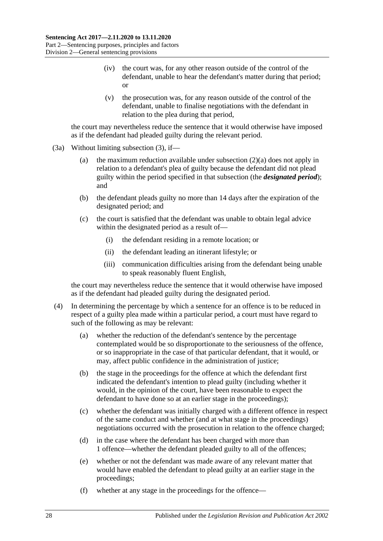- (iv) the court was, for any other reason outside of the control of the defendant, unable to hear the defendant's matter during that period; or
- (v) the prosecution was, for any reason outside of the control of the defendant, unable to finalise negotiations with the defendant in relation to the plea during that period,

the court may nevertheless reduce the sentence that it would otherwise have imposed as if the defendant had pleaded guilty during the relevant period.

- (3a) Without limiting [subsection](#page-26-2) (3), if
	- (a) the maximum reduction available under [subsection](#page-26-3)  $(2)(a)$  does not apply in relation to a defendant's plea of guilty because the defendant did not plead guilty within the period specified in that subsection (the *designated period*); and
	- (b) the defendant pleads guilty no more than 14 days after the expiration of the designated period; and
	- (c) the court is satisfied that the defendant was unable to obtain legal advice within the designated period as a result of—
		- (i) the defendant residing in a remote location; or
		- (ii) the defendant leading an itinerant lifestyle; or
		- (iii) communication difficulties arising from the defendant being unable to speak reasonably fluent English,

the court may nevertheless reduce the sentence that it would otherwise have imposed as if the defendant had pleaded guilty during the designated period.

- (4) In determining the percentage by which a sentence for an offence is to be reduced in respect of a guilty plea made within a particular period, a court must have regard to such of the following as may be relevant:
	- (a) whether the reduction of the defendant's sentence by the percentage contemplated would be so disproportionate to the seriousness of the offence, or so inappropriate in the case of that particular defendant, that it would, or may, affect public confidence in the administration of justice;
	- (b) the stage in the proceedings for the offence at which the defendant first indicated the defendant's intention to plead guilty (including whether it would, in the opinion of the court, have been reasonable to expect the defendant to have done so at an earlier stage in the proceedings);
	- (c) whether the defendant was initially charged with a different offence in respect of the same conduct and whether (and at what stage in the proceedings) negotiations occurred with the prosecution in relation to the offence charged;
	- (d) in the case where the defendant has been charged with more than 1 offence—whether the defendant pleaded guilty to all of the offences;
	- (e) whether or not the defendant was made aware of any relevant matter that would have enabled the defendant to plead guilty at an earlier stage in the proceedings;
	- (f) whether at any stage in the proceedings for the offence—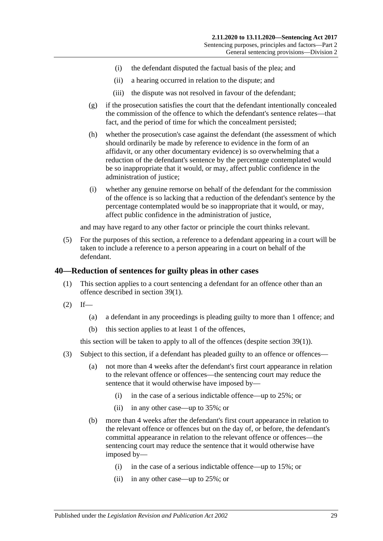- (i) the defendant disputed the factual basis of the plea; and
- (ii) a hearing occurred in relation to the dispute; and
- (iii) the dispute was not resolved in favour of the defendant;
- (g) if the prosecution satisfies the court that the defendant intentionally concealed the commission of the offence to which the defendant's sentence relates—that fact, and the period of time for which the concealment persisted;
- (h) whether the prosecution's case against the defendant (the assessment of which should ordinarily be made by reference to evidence in the form of an affidavit, or any other documentary evidence) is so overwhelming that a reduction of the defendant's sentence by the percentage contemplated would be so inappropriate that it would, or may, affect public confidence in the administration of justice;
- (i) whether any genuine remorse on behalf of the defendant for the commission of the offence is so lacking that a reduction of the defendant's sentence by the percentage contemplated would be so inappropriate that it would, or may, affect public confidence in the administration of justice,

and may have regard to any other factor or principle the court thinks relevant.

(5) For the purposes of this section, a reference to a defendant appearing in a court will be taken to include a reference to a person appearing in a court on behalf of the defendant.

### <span id="page-28-0"></span>**40—Reduction of sentences for guilty pleas in other cases**

- (1) This section applies to a court sentencing a defendant for an offence other than an offence described in [section](#page-26-4) 39(1).
- $(2)$  If—
	- (a) a defendant in any proceedings is pleading guilty to more than 1 offence; and
	- (b) this section applies to at least 1 of the offences,

this section will be taken to apply to all of the offences (despite [section](#page-26-4) 39(1)).

- <span id="page-28-1"></span>(3) Subject to this section, if a defendant has pleaded guilty to an offence or offences—
	- (a) not more than 4 weeks after the defendant's first court appearance in relation to the relevant offence or offences—the sentencing court may reduce the sentence that it would otherwise have imposed by—
		- (i) in the case of a serious indictable offence—up to 25%; or
		- (ii) in any other case—up to 35%; or
	- (b) more than 4 weeks after the defendant's first court appearance in relation to the relevant offence or offences but on the day of, or before, the defendant's committal appearance in relation to the relevant offence or offences—the sentencing court may reduce the sentence that it would otherwise have imposed by—
		- (i) in the case of a serious indictable offence—up to 15%; or
		- (ii) in any other case—up to 25%; or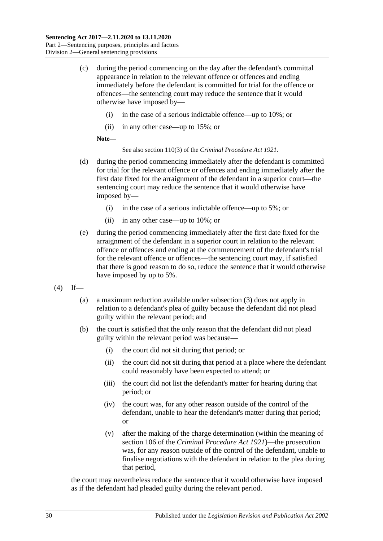- (c) during the period commencing on the day after the defendant's committal appearance in relation to the relevant offence or offences and ending immediately before the defendant is committed for trial for the offence or offences—the sentencing court may reduce the sentence that it would otherwise have imposed by—
	- (i) in the case of a serious indictable offence—up to 10%; or
	- (ii) in any other case—up to 15%; or

#### **Note—**

See also section 110(3) of the *[Criminal Procedure Act](http://www.legislation.sa.gov.au/index.aspx?action=legref&type=act&legtitle=Criminal%20Procedure%20Act%201921) 1921*.

- (d) during the period commencing immediately after the defendant is committed for trial for the relevant offence or offences and ending immediately after the first date fixed for the arraignment of the defendant in a superior court—the sentencing court may reduce the sentence that it would otherwise have imposed by—
	- (i) in the case of a serious indictable offence—up to 5%; or
	- (ii) in any other case—up to 10%; or
- (e) during the period commencing immediately after the first date fixed for the arraignment of the defendant in a superior court in relation to the relevant offence or offences and ending at the commencement of the defendant's trial for the relevant offence or offences—the sentencing court may, if satisfied that there is good reason to do so, reduce the sentence that it would otherwise have imposed by up to 5%.
- <span id="page-29-0"></span> $(4)$  If—
	- (a) a maximum reduction available under subsection (3) does not apply in relation to a defendant's plea of guilty because the defendant did not plead guilty within the relevant period; and
	- (b) the court is satisfied that the only reason that the defendant did not plead guilty within the relevant period was because—
		- (i) the court did not sit during that period; or
		- (ii) the court did not sit during that period at a place where the defendant could reasonably have been expected to attend; or
		- (iii) the court did not list the defendant's matter for hearing during that period; or
		- (iv) the court was, for any other reason outside of the control of the defendant, unable to hear the defendant's matter during that period; or
		- (v) after the making of the charge determination (within the meaning of section 106 of the *[Criminal Procedure Act](http://www.legislation.sa.gov.au/index.aspx?action=legref&type=act&legtitle=Criminal%20Procedure%20Act%201921) 1921*)—the prosecution was, for any reason outside of the control of the defendant, unable to finalise negotiations with the defendant in relation to the plea during that period,

the court may nevertheless reduce the sentence that it would otherwise have imposed as if the defendant had pleaded guilty during the relevant period.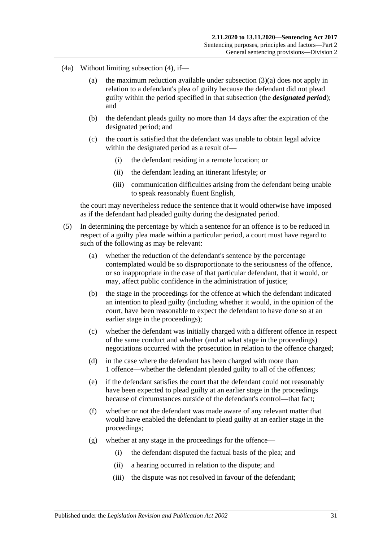- (4a) Without limiting [subsection](#page-29-0) (4), if—
	- (a) the maximum reduction available under [subsection](#page-28-1) (3)(a) does not apply in relation to a defendant's plea of guilty because the defendant did not plead guilty within the period specified in that subsection (the *designated period*); and
	- (b) the defendant pleads guilty no more than 14 days after the expiration of the designated period; and
	- (c) the court is satisfied that the defendant was unable to obtain legal advice within the designated period as a result of—
		- (i) the defendant residing in a remote location; or
		- (ii) the defendant leading an itinerant lifestyle; or
		- (iii) communication difficulties arising from the defendant being unable to speak reasonably fluent English,

the court may nevertheless reduce the sentence that it would otherwise have imposed as if the defendant had pleaded guilty during the designated period.

- (5) In determining the percentage by which a sentence for an offence is to be reduced in respect of a guilty plea made within a particular period, a court must have regard to such of the following as may be relevant:
	- (a) whether the reduction of the defendant's sentence by the percentage contemplated would be so disproportionate to the seriousness of the offence, or so inappropriate in the case of that particular defendant, that it would, or may, affect public confidence in the administration of justice;
	- (b) the stage in the proceedings for the offence at which the defendant indicated an intention to plead guilty (including whether it would, in the opinion of the court, have been reasonable to expect the defendant to have done so at an earlier stage in the proceedings);
	- (c) whether the defendant was initially charged with a different offence in respect of the same conduct and whether (and at what stage in the proceedings) negotiations occurred with the prosecution in relation to the offence charged;
	- (d) in the case where the defendant has been charged with more than 1 offence—whether the defendant pleaded guilty to all of the offences;
	- (e) if the defendant satisfies the court that the defendant could not reasonably have been expected to plead guilty at an earlier stage in the proceedings because of circumstances outside of the defendant's control—that fact;
	- (f) whether or not the defendant was made aware of any relevant matter that would have enabled the defendant to plead guilty at an earlier stage in the proceedings;
	- (g) whether at any stage in the proceedings for the offence—
		- (i) the defendant disputed the factual basis of the plea; and
		- (ii) a hearing occurred in relation to the dispute; and
		- (iii) the dispute was not resolved in favour of the defendant;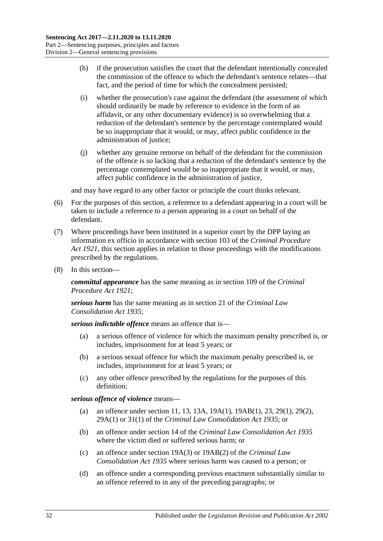- (h) if the prosecution satisfies the court that the defendant intentionally concealed the commission of the offence to which the defendant's sentence relates—that fact, and the period of time for which the concealment persisted;
- (i) whether the prosecution's case against the defendant (the assessment of which should ordinarily be made by reference to evidence in the form of an affidavit, or any other documentary evidence) is so overwhelming that a reduction of the defendant's sentence by the percentage contemplated would be so inappropriate that it would, or may, affect public confidence in the administration of justice;
- (j) whether any genuine remorse on behalf of the defendant for the commission of the offence is so lacking that a reduction of the defendant's sentence by the percentage contemplated would be so inappropriate that it would, or may, affect public confidence in the administration of justice,

and may have regard to any other factor or principle the court thinks relevant.

- (6) For the purposes of this section, a reference to a defendant appearing in a court will be taken to include a reference to a person appearing in a court on behalf of the defendant.
- (7) Where proceedings have been instituted in a superior court by the DPP laying an information ex officio in accordance with section 103 of the *[Criminal Procedure](http://www.legislation.sa.gov.au/index.aspx?action=legref&type=act&legtitle=Criminal%20Procedure%20Act%201921)  Act [1921](http://www.legislation.sa.gov.au/index.aspx?action=legref&type=act&legtitle=Criminal%20Procedure%20Act%201921)*, this section applies in relation to those proceedings with the modifications prescribed by the regulations.
- (8) In this section—

*committal appearance* has the same meaning as in section 109 of the *[Criminal](http://www.legislation.sa.gov.au/index.aspx?action=legref&type=act&legtitle=Criminal%20Procedure%20Act%201921)  [Procedure Act](http://www.legislation.sa.gov.au/index.aspx?action=legref&type=act&legtitle=Criminal%20Procedure%20Act%201921) 1921*;

*serious harm* has the same meaning as in section 21 of the *[Criminal Law](http://www.legislation.sa.gov.au/index.aspx?action=legref&type=act&legtitle=Criminal%20Law%20Consolidation%20Act%201935)  [Consolidation Act](http://www.legislation.sa.gov.au/index.aspx?action=legref&type=act&legtitle=Criminal%20Law%20Consolidation%20Act%201935) 1935*;

*serious indictable offence* means an offence that is—

- (a) a serious offence of violence for which the maximum penalty prescribed is, or includes, imprisonment for at least 5 years; or
- (b) a serious sexual offence for which the maximum penalty prescribed is, or includes, imprisonment for at least 5 years; or
- (c) any other offence prescribed by the regulations for the purposes of this definition;

*serious offence of violence* means—

- (a) an offence under section 11, 13, 13A, 19A(1), 19AB(1), 23, 29(1), 29(2), 29A(1) or 31(1) of the *[Criminal Law Consolidation Act](http://www.legislation.sa.gov.au/index.aspx?action=legref&type=act&legtitle=Criminal%20Law%20Consolidation%20Act%201935) 1935*; or
- (b) an offence under section 14 of the *[Criminal Law Consolidation Act](http://www.legislation.sa.gov.au/index.aspx?action=legref&type=act&legtitle=Criminal%20Law%20Consolidation%20Act%201935) 1935* where the victim died or suffered serious harm; or
- (c) an offence under section 19A(3) or 19AB(2) of the *[Criminal Law](http://www.legislation.sa.gov.au/index.aspx?action=legref&type=act&legtitle=Criminal%20Law%20Consolidation%20Act%201935)  [Consolidation Act](http://www.legislation.sa.gov.au/index.aspx?action=legref&type=act&legtitle=Criminal%20Law%20Consolidation%20Act%201935) 1935* where serious harm was caused to a person; or
- (d) an offence under a corresponding previous enactment substantially similar to an offence referred to in any of the preceding paragraphs; or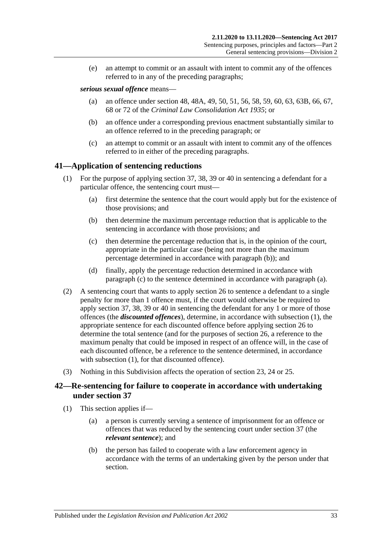(e) an attempt to commit or an assault with intent to commit any of the offences referred to in any of the preceding paragraphs;

### *serious sexual offence* means—

- (a) an offence under section 48, 48A, 49, 50, 51, 56, 58, 59, 60, 63, 63B, 66, 67, 68 or 72 of the *[Criminal Law Consolidation Act](http://www.legislation.sa.gov.au/index.aspx?action=legref&type=act&legtitle=Criminal%20Law%20Consolidation%20Act%201935) 1935*; or
- (b) an offence under a corresponding previous enactment substantially similar to an offence referred to in the preceding paragraph; or
- (c) an attempt to commit or an assault with intent to commit any of the offences referred to in either of the preceding paragraphs.

### <span id="page-32-5"></span><span id="page-32-0"></span>**41—Application of sentencing reductions**

- <span id="page-32-4"></span><span id="page-32-2"></span>(1) For the purpose of applying [section](#page-25-0) 37, 38, [39](#page-26-0) or [40](#page-28-0) in sentencing a defendant for a particular offence, the sentencing court must—
	- (a) first determine the sentence that the court would apply but for the existence of those provisions; and
	- (b) then determine the maximum percentage reduction that is applicable to the sentencing in accordance with those provisions; and
	- (c) then determine the percentage reduction that is, in the opinion of the court, appropriate in the particular case (being not more than the maximum percentage determined in accordance with [paragraph](#page-32-2) (b)); and
	- (d) finally, apply the percentage reduction determined in accordance with [paragraph](#page-32-3) (c) to the sentence determined in accordance with [paragraph](#page-32-4) (a).
- <span id="page-32-3"></span>(2) A sentencing court that wants to apply [section](#page-20-0) 26 to sentence a defendant to a single penalty for more than 1 offence must, if the court would otherwise be required to apply [section](#page-25-0) 37, 38, [39](#page-26-0) or [40](#page-28-0) in sentencing the defendant for any 1 or more of those offences (the *discounted offences*), determine, in accordance with [subsection](#page-32-5) (1), the appropriate sentence for each discounted offence before applying [section](#page-20-0) 26 to determine the total sentence (and for the purposes of [section](#page-20-0) 26, a reference to the maximum penalty that could be imposed in respect of an offence will, in the case of each discounted offence, be a reference to the sentence determined, in accordance with [subsection](#page-32-5) (1), for that discounted offence).
- (3) Nothing in this Subdivision affects the operation of [section 23,](#page-18-1) [24](#page-18-2) or [25.](#page-19-0)

### <span id="page-32-1"></span>**42—Re-sentencing for failure to cooperate in accordance with undertaking under [section](#page-25-0) 37**

- (1) This section applies if—
	- (a) a person is currently serving a sentence of imprisonment for an offence or offences that was reduced by the sentencing court under [section](#page-25-0) 37 (the *relevant sentence*); and
	- (b) the person has failed to cooperate with a law enforcement agency in accordance with the terms of an undertaking given by the person under that section.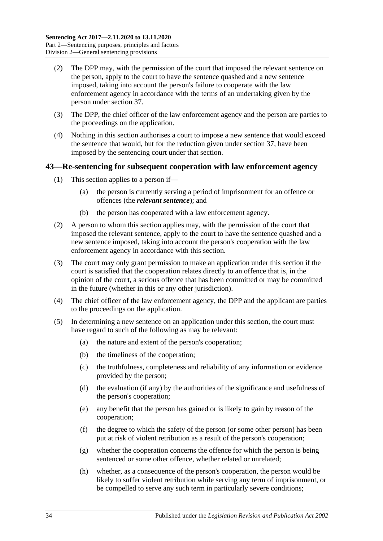- (2) The DPP may, with the permission of the court that imposed the relevant sentence on the person, apply to the court to have the sentence quashed and a new sentence imposed, taking into account the person's failure to cooperate with the law enforcement agency in accordance with the terms of an undertaking given by the person under [section](#page-25-0) 37.
- (3) The DPP, the chief officer of the law enforcement agency and the person are parties to the proceedings on the application.
- (4) Nothing in this section authorises a court to impose a new sentence that would exceed the sentence that would, but for the reduction given under [section](#page-25-0) 37, have been imposed by the sentencing court under that section.

### <span id="page-33-0"></span>**43—Re-sentencing for subsequent cooperation with law enforcement agency**

- (1) This section applies to a person if—
	- (a) the person is currently serving a period of imprisonment for an offence or offences (the *relevant sentence*); and
	- (b) the person has cooperated with a law enforcement agency.
- (2) A person to whom this section applies may, with the permission of the court that imposed the relevant sentence, apply to the court to have the sentence quashed and a new sentence imposed, taking into account the person's cooperation with the law enforcement agency in accordance with this section.
- (3) The court may only grant permission to make an application under this section if the court is satisfied that the cooperation relates directly to an offence that is, in the opinion of the court, a serious offence that has been committed or may be committed in the future (whether in this or any other jurisdiction).
- (4) The chief officer of the law enforcement agency, the DPP and the applicant are parties to the proceedings on the application.
- (5) In determining a new sentence on an application under this section, the court must have regard to such of the following as may be relevant:
	- (a) the nature and extent of the person's cooperation;
	- (b) the timeliness of the cooperation;
	- (c) the truthfulness, completeness and reliability of any information or evidence provided by the person;
	- (d) the evaluation (if any) by the authorities of the significance and usefulness of the person's cooperation;
	- (e) any benefit that the person has gained or is likely to gain by reason of the cooperation;
	- (f) the degree to which the safety of the person (or some other person) has been put at risk of violent retribution as a result of the person's cooperation;
	- (g) whether the cooperation concerns the offence for which the person is being sentenced or some other offence, whether related or unrelated;
	- (h) whether, as a consequence of the person's cooperation, the person would be likely to suffer violent retribution while serving any term of imprisonment, or be compelled to serve any such term in particularly severe conditions;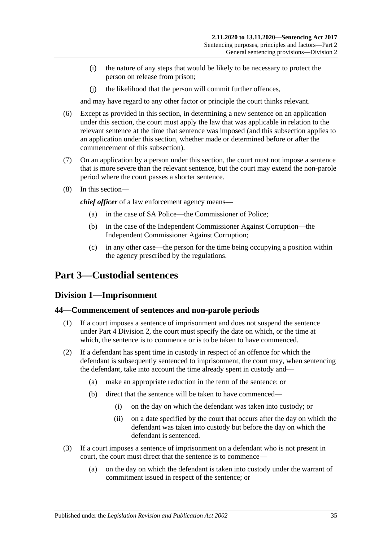- (i) the nature of any steps that would be likely to be necessary to protect the person on release from prison;
- (j) the likelihood that the person will commit further offences,

and may have regard to any other factor or principle the court thinks relevant.

- (6) Except as provided in this section, in determining a new sentence on an application under this section, the court must apply the law that was applicable in relation to the relevant sentence at the time that sentence was imposed (and this subsection applies to an application under this section, whether made or determined before or after the commencement of this subsection).
- (7) On an application by a person under this section, the court must not impose a sentence that is more severe than the relevant sentence, but the court may extend the non-parole period where the court passes a shorter sentence.
- (8) In this section—

*chief officer* of a law enforcement agency means—

- (a) in the case of SA Police—the Commissioner of Police;
- (b) in the case of the Independent Commissioner Against Corruption—the Independent Commissioner Against Corruption;
- (c) in any other case—the person for the time being occupying a position within the agency prescribed by the regulations.

# <span id="page-34-1"></span><span id="page-34-0"></span>**Part 3—Custodial sentences**

### **Division 1—Imprisonment**

### <span id="page-34-2"></span>**44—Commencement of sentences and non-parole periods**

- (1) If a court imposes a sentence of imprisonment and does not suspend the sentence under Part [4 Division](#page-79-1) 2, the court must specify the date on which, or the time at which, the sentence is to commence or is to be taken to have commenced.
- (2) If a defendant has spent time in custody in respect of an offence for which the defendant is subsequently sentenced to imprisonment, the court may, when sentencing the defendant, take into account the time already spent in custody and—
	- (a) make an appropriate reduction in the term of the sentence; or
	- (b) direct that the sentence will be taken to have commenced—
		- (i) on the day on which the defendant was taken into custody; or
		- (ii) on a date specified by the court that occurs after the day on which the defendant was taken into custody but before the day on which the defendant is sentenced.
- (3) If a court imposes a sentence of imprisonment on a defendant who is not present in court, the court must direct that the sentence is to commence—
	- (a) on the day on which the defendant is taken into custody under the warrant of commitment issued in respect of the sentence; or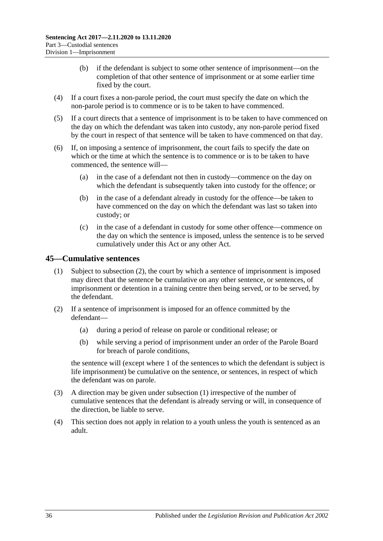- (b) if the defendant is subject to some other sentence of imprisonment—on the completion of that other sentence of imprisonment or at some earlier time fixed by the court.
- (4) If a court fixes a non-parole period, the court must specify the date on which the non-parole period is to commence or is to be taken to have commenced.
- (5) If a court directs that a sentence of imprisonment is to be taken to have commenced on the day on which the defendant was taken into custody, any non-parole period fixed by the court in respect of that sentence will be taken to have commenced on that day.
- (6) If, on imposing a sentence of imprisonment, the court fails to specify the date on which or the time at which the sentence is to commence or is to be taken to have commenced, the sentence will—
	- (a) in the case of a defendant not then in custody—commence on the day on which the defendant is subsequently taken into custody for the offence; or
	- (b) in the case of a defendant already in custody for the offence—be taken to have commenced on the day on which the defendant was last so taken into custody; or
	- (c) in the case of a defendant in custody for some other offence—commence on the day on which the sentence is imposed, unless the sentence is to be served cumulatively under this Act or any other Act.

### <span id="page-35-2"></span><span id="page-35-0"></span>**45—Cumulative sentences**

- (1) Subject to [subsection](#page-35-1) (2), the court by which a sentence of imprisonment is imposed may direct that the sentence be cumulative on any other sentence, or sentences, of imprisonment or detention in a training centre then being served, or to be served, by the defendant.
- <span id="page-35-1"></span>(2) If a sentence of imprisonment is imposed for an offence committed by the defendant—
	- (a) during a period of release on parole or conditional release; or
	- (b) while serving a period of imprisonment under an order of the Parole Board for breach of parole conditions,

the sentence will (except where 1 of the sentences to which the defendant is subject is life imprisonment) be cumulative on the sentence, or sentences, in respect of which the defendant was on parole.

- (3) A direction may be given under [subsection](#page-35-2) (1) irrespective of the number of cumulative sentences that the defendant is already serving or will, in consequence of the direction, be liable to serve.
- (4) This section does not apply in relation to a youth unless the youth is sentenced as an adult.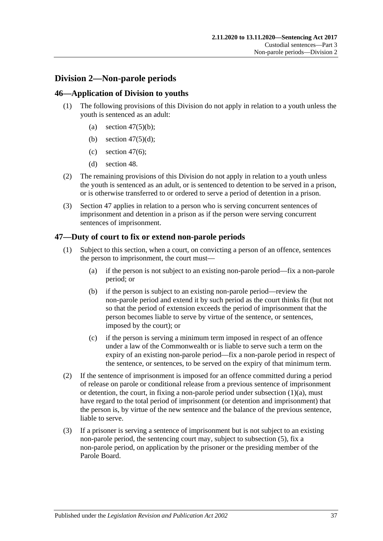# **Division 2—Non-parole periods**

# **46—Application of Division to youths**

- (1) The following provisions of this Division do not apply in relation to a youth unless the youth is sentenced as an adult:
	- (a) section  $47(5)(b)$ ;
	- (b) section  $47(5)(d)$ ;
	- (c) [section](#page-37-2)  $47(6)$ :
	- (d) [section](#page-39-0) 48.
- (2) The remaining provisions of this Division do not apply in relation to a youth unless the youth is sentenced as an adult, or is sentenced to detention to be served in a prison, or is otherwise transferred to or ordered to serve a period of detention in a prison.
- (3) [Section](#page-36-0) 47 applies in relation to a person who is serving concurrent sentences of imprisonment and detention in a prison as if the person were serving concurrent sentences of imprisonment.

# <span id="page-36-0"></span>**47—Duty of court to fix or extend non-parole periods**

- <span id="page-36-1"></span>(1) Subject to this section, when a court, on convicting a person of an offence, sentences the person to imprisonment, the court must—
	- (a) if the person is not subject to an existing non-parole period—fix a non-parole period; or
	- (b) if the person is subject to an existing non-parole period—review the non-parole period and extend it by such period as the court thinks fit (but not so that the period of extension exceeds the period of imprisonment that the person becomes liable to serve by virtue of the sentence, or sentences, imposed by the court); or
	- (c) if the person is serving a minimum term imposed in respect of an offence under a law of the Commonwealth or is liable to serve such a term on the expiry of an existing non-parole period—fix a non-parole period in respect of the sentence, or sentences, to be served on the expiry of that minimum term.
- (2) If the sentence of imprisonment is imposed for an offence committed during a period of release on parole or conditional release from a previous sentence of imprisonment or detention, the court, in fixing a non-parole period under [subsection](#page-36-1)  $(1)(a)$ , must have regard to the total period of imprisonment (or detention and imprisonment) that the person is, by virtue of the new sentence and the balance of the previous sentence, liable to serve.
- <span id="page-36-2"></span>(3) If a prisoner is serving a sentence of imprisonment but is not subject to an existing non-parole period, the sentencing court may, subject to [subsection](#page-37-3) (5), fix a non-parole period, on application by the prisoner or the presiding member of the Parole Board.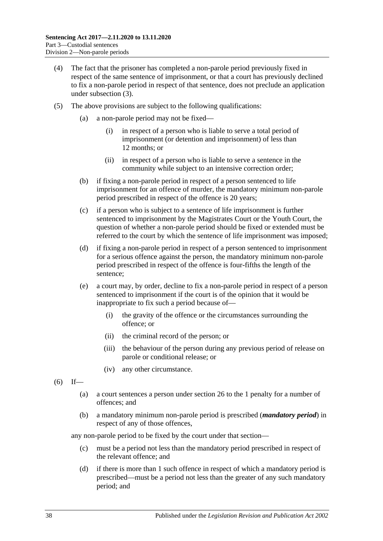- (4) The fact that the prisoner has completed a non-parole period previously fixed in respect of the same sentence of imprisonment, or that a court has previously declined to fix a non-parole period in respect of that sentence, does not preclude an application under [subsection](#page-36-2) (3).
- <span id="page-37-3"></span><span id="page-37-1"></span><span id="page-37-0"></span>(5) The above provisions are subject to the following qualifications:
	- (a) a non-parole period may not be fixed—
		- (i) in respect of a person who is liable to serve a total period of imprisonment (or detention and imprisonment) of less than 12 months; or
		- (ii) in respect of a person who is liable to serve a sentence in the community while subject to an intensive correction order;
	- (b) if fixing a non-parole period in respect of a person sentenced to life imprisonment for an offence of murder, the mandatory minimum non-parole period prescribed in respect of the offence is 20 years;
	- (c) if a person who is subject to a sentence of life imprisonment is further sentenced to imprisonment by the Magistrates Court or the Youth Court, the question of whether a non-parole period should be fixed or extended must be referred to the court by which the sentence of life imprisonment was imposed;
	- (d) if fixing a non-parole period in respect of a person sentenced to imprisonment for a serious offence against the person, the mandatory minimum non-parole period prescribed in respect of the offence is four-fifths the length of the sentence;
	- (e) a court may, by order, decline to fix a non-parole period in respect of a person sentenced to imprisonment if the court is of the opinion that it would be inappropriate to fix such a period because of—
		- (i) the gravity of the offence or the circumstances surrounding the offence; or
		- (ii) the criminal record of the person; or
		- (iii) the behaviour of the person during any previous period of release on parole or conditional release; or
		- (iv) any other circumstance.
- <span id="page-37-2"></span> $(6)$  If—
	- (a) a court sentences a person under [section](#page-20-0) 26 to the 1 penalty for a number of offences; and
	- (b) a mandatory minimum non-parole period is prescribed (*mandatory period*) in respect of any of those offences,

any non-parole period to be fixed by the court under that section—

- (c) must be a period not less than the mandatory period prescribed in respect of the relevant offence; and
- (d) if there is more than 1 such offence in respect of which a mandatory period is prescribed—must be a period not less than the greater of any such mandatory period; and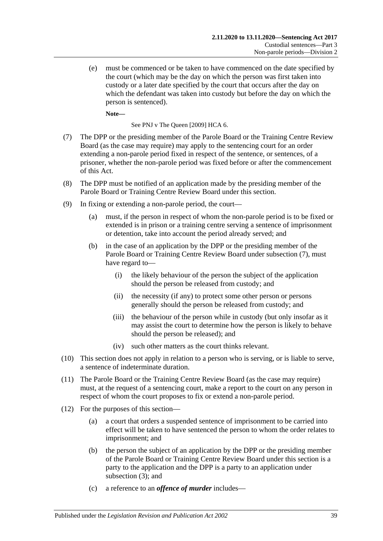(e) must be commenced or be taken to have commenced on the date specified by the court (which may be the day on which the person was first taken into custody or a later date specified by the court that occurs after the day on which the defendant was taken into custody but before the day on which the person is sentenced).

**Note—**

See PNJ v The Queen [2009] HCA 6.

- <span id="page-38-0"></span>(7) The DPP or the presiding member of the Parole Board or the Training Centre Review Board (as the case may require) may apply to the sentencing court for an order extending a non-parole period fixed in respect of the sentence, or sentences, of a prisoner, whether the non-parole period was fixed before or after the commencement of this Act.
- (8) The DPP must be notified of an application made by the presiding member of the Parole Board or Training Centre Review Board under this section.
- (9) In fixing or extending a non-parole period, the court—
	- (a) must, if the person in respect of whom the non-parole period is to be fixed or extended is in prison or a training centre serving a sentence of imprisonment or detention, take into account the period already served; and
	- (b) in the case of an application by the DPP or the presiding member of the Parole Board or Training Centre Review Board under [subsection](#page-38-0) (7), must have regard to—
		- (i) the likely behaviour of the person the subject of the application should the person be released from custody; and
		- (ii) the necessity (if any) to protect some other person or persons generally should the person be released from custody; and
		- (iii) the behaviour of the person while in custody (but only insofar as it may assist the court to determine how the person is likely to behave should the person be released); and
		- (iv) such other matters as the court thinks relevant.
- (10) This section does not apply in relation to a person who is serving, or is liable to serve, a sentence of indeterminate duration.
- (11) The Parole Board or the Training Centre Review Board (as the case may require) must, at the request of a sentencing court, make a report to the court on any person in respect of whom the court proposes to fix or extend a non-parole period.
- (12) For the purposes of this section—
	- (a) a court that orders a suspended sentence of imprisonment to be carried into effect will be taken to have sentenced the person to whom the order relates to imprisonment; and
	- (b) the person the subject of an application by the DPP or the presiding member of the Parole Board or Training Centre Review Board under this section is a party to the application and the DPP is a party to an application under [subsection](#page-36-2) (3); and
	- (c) a reference to an *offence of murder* includes—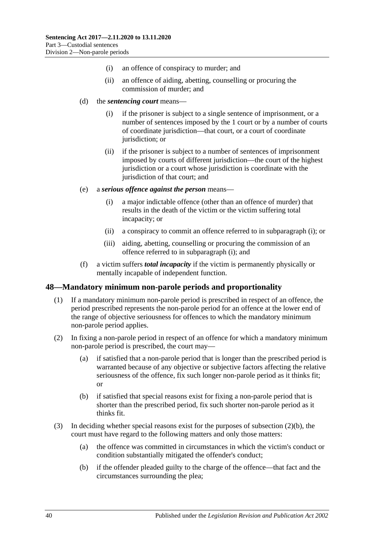- (i) an offence of conspiracy to murder; and
- (ii) an offence of aiding, abetting, counselling or procuring the commission of murder; and
- (d) the *sentencing court* means—
	- (i) if the prisoner is subject to a single sentence of imprisonment, or a number of sentences imposed by the 1 court or by a number of courts of coordinate jurisdiction—that court, or a court of coordinate jurisdiction; or
	- (ii) if the prisoner is subject to a number of sentences of imprisonment imposed by courts of different jurisdiction—the court of the highest jurisdiction or a court whose jurisdiction is coordinate with the jurisdiction of that court; and
- <span id="page-39-1"></span>(e) a *serious offence against the person* means—
	- (i) a major indictable offence (other than an offence of murder) that results in the death of the victim or the victim suffering total incapacity; or
	- (ii) a conspiracy to commit an offence referred to in [subparagraph](#page-39-1) (i); or
	- (iii) aiding, abetting, counselling or procuring the commission of an offence referred to in [subparagraph](#page-39-1) (i); and
- (f) a victim suffers *total incapacity* if the victim is permanently physically or mentally incapable of independent function.

### <span id="page-39-0"></span>**48—Mandatory minimum non-parole periods and proportionality**

- (1) If a mandatory minimum non-parole period is prescribed in respect of an offence, the period prescribed represents the non-parole period for an offence at the lower end of the range of objective seriousness for offences to which the mandatory minimum non-parole period applies.
- (2) In fixing a non-parole period in respect of an offence for which a mandatory minimum non-parole period is prescribed, the court may—
	- (a) if satisfied that a non-parole period that is longer than the prescribed period is warranted because of any objective or subjective factors affecting the relative seriousness of the offence, fix such longer non-parole period as it thinks fit; or
	- (b) if satisfied that special reasons exist for fixing a non-parole period that is shorter than the prescribed period, fix such shorter non-parole period as it thinks fit.
- <span id="page-39-2"></span>(3) In deciding whether special reasons exist for the purposes of [subsection](#page-39-2) (2)(b), the court must have regard to the following matters and only those matters:
	- (a) the offence was committed in circumstances in which the victim's conduct or condition substantially mitigated the offender's conduct;
	- (b) if the offender pleaded guilty to the charge of the offence—that fact and the circumstances surrounding the plea;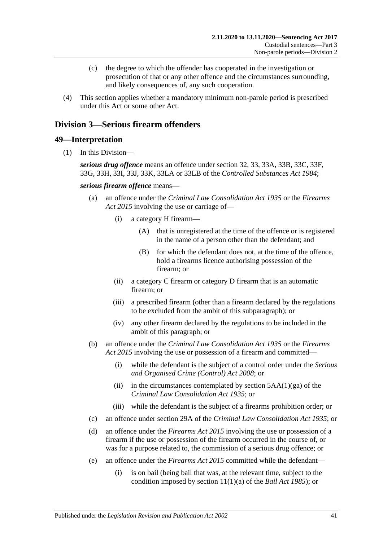- (c) the degree to which the offender has cooperated in the investigation or prosecution of that or any other offence and the circumstances surrounding, and likely consequences of, any such cooperation.
- (4) This section applies whether a mandatory minimum non-parole period is prescribed under this Act or some other Act.

# <span id="page-40-0"></span>**Division 3—Serious firearm offenders**

# **49—Interpretation**

(1) In this Division—

*serious drug offence* means an offence under section 32, 33, 33A, 33B, 33C, 33F, 33G, 33H, 33I, 33J, 33K, 33LA or 33LB of the *[Controlled Substances Act](http://www.legislation.sa.gov.au/index.aspx?action=legref&type=act&legtitle=Controlled%20Substances%20Act%201984) 1984*;

*serious firearm offence* means—

- (a) an offence under the *[Criminal Law Consolidation Act](http://www.legislation.sa.gov.au/index.aspx?action=legref&type=act&legtitle=Criminal%20Law%20Consolidation%20Act%201935) 1935* or the *[Firearms](http://www.legislation.sa.gov.au/index.aspx?action=legref&type=act&legtitle=Firearms%20Act%202015)  Act [2015](http://www.legislation.sa.gov.au/index.aspx?action=legref&type=act&legtitle=Firearms%20Act%202015)* involving the use or carriage of—
	- (i) a category H firearm—
		- (A) that is unregistered at the time of the offence or is registered in the name of a person other than the defendant; and
		- (B) for which the defendant does not, at the time of the offence, hold a firearms licence authorising possession of the firearm; or
	- (ii) a category C firearm or category D firearm that is an automatic firearm; or
	- (iii) a prescribed firearm (other than a firearm declared by the regulations to be excluded from the ambit of this subparagraph); or
	- (iv) any other firearm declared by the regulations to be included in the ambit of this paragraph; or
- (b) an offence under the *[Criminal Law Consolidation Act](http://www.legislation.sa.gov.au/index.aspx?action=legref&type=act&legtitle=Criminal%20Law%20Consolidation%20Act%201935) 1935* or the *[Firearms](http://www.legislation.sa.gov.au/index.aspx?action=legref&type=act&legtitle=Firearms%20Act%202015)  Act [2015](http://www.legislation.sa.gov.au/index.aspx?action=legref&type=act&legtitle=Firearms%20Act%202015)* involving the use or possession of a firearm and committed—
	- (i) while the defendant is the subject of a control order under the *[Serious](http://www.legislation.sa.gov.au/index.aspx?action=legref&type=act&legtitle=Serious%20and%20Organised%20Crime%20(Control)%20Act%202008)  [and Organised Crime \(Control\) Act](http://www.legislation.sa.gov.au/index.aspx?action=legref&type=act&legtitle=Serious%20and%20Organised%20Crime%20(Control)%20Act%202008) 2008*; or
	- (ii) in the circumstances contemplated by section  $5AA(1)(ga)$  of the *[Criminal Law Consolidation Act](http://www.legislation.sa.gov.au/index.aspx?action=legref&type=act&legtitle=Criminal%20Law%20Consolidation%20Act%201935) 1935*; or
	- (iii) while the defendant is the subject of a firearms prohibition order; or
- (c) an offence under section 29A of the *[Criminal Law Consolidation Act](http://www.legislation.sa.gov.au/index.aspx?action=legref&type=act&legtitle=Criminal%20Law%20Consolidation%20Act%201935) 1935*; or
- (d) an offence under the *[Firearms Act](http://www.legislation.sa.gov.au/index.aspx?action=legref&type=act&legtitle=Firearms%20Act%202015) 2015* involving the use or possession of a firearm if the use or possession of the firearm occurred in the course of, or was for a purpose related to, the commission of a serious drug offence; or
- (e) an offence under the *[Firearms Act](http://www.legislation.sa.gov.au/index.aspx?action=legref&type=act&legtitle=Firearms%20Act%202015) 2015* committed while the defendant—
	- (i) is on bail (being bail that was, at the relevant time, subject to the condition imposed by section 11(1)(a) of the *[Bail Act](http://www.legislation.sa.gov.au/index.aspx?action=legref&type=act&legtitle=Bail%20Act%201985) 1985*); or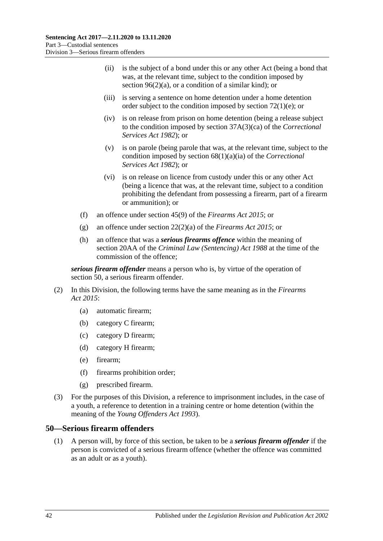- (ii) is the subject of a bond under this or any other Act (being a bond that was, at the relevant time, subject to the condition imposed by section  $96(2)(a)$ , or a condition of a similar kind); or
- (iii) is serving a sentence on home detention under a home detention order subject to the condition imposed by section [72\(1\)\(e\);](#page-62-0) or
- (iv) is on release from prison on home detention (being a release subject to the condition imposed by section 37A(3)(ca) of the *[Correctional](http://www.legislation.sa.gov.au/index.aspx?action=legref&type=act&legtitle=Correctional%20Services%20Act%201982)  [Services Act](http://www.legislation.sa.gov.au/index.aspx?action=legref&type=act&legtitle=Correctional%20Services%20Act%201982) 1982*); or
- (v) is on parole (being parole that was, at the relevant time, subject to the condition imposed by section 68(1)(a)(ia) of the *[Correctional](http://www.legislation.sa.gov.au/index.aspx?action=legref&type=act&legtitle=Correctional%20Services%20Act%201982)  [Services Act](http://www.legislation.sa.gov.au/index.aspx?action=legref&type=act&legtitle=Correctional%20Services%20Act%201982) 1982*); or
- (vi) is on release on licence from custody under this or any other Act (being a licence that was, at the relevant time, subject to a condition prohibiting the defendant from possessing a firearm, part of a firearm or ammunition); or
- (f) an offence under section 45(9) of the *[Firearms Act](http://www.legislation.sa.gov.au/index.aspx?action=legref&type=act&legtitle=Firearms%20Act%202015) 2015*; or
- (g) an offence under section 22(2)(a) of the *[Firearms Act](http://www.legislation.sa.gov.au/index.aspx?action=legref&type=act&legtitle=Firearms%20Act%202015) 2015*; or
- (h) an offence that was a *serious firearms offence* within the meaning of section 20AA of the *[Criminal Law \(Sentencing\) Act](http://www.legislation.sa.gov.au/index.aspx?action=legref&type=act&legtitle=Criminal%20Law%20(Sentencing)%20Act%201988) 1988* at the time of the commission of the offence;

*serious firearm offender* means a person who is, by virtue of the operation of [section](#page-41-0) 50, a serious firearm offender.

- (2) In this Division, the following terms have the same meaning as in the *[Firearms](http://www.legislation.sa.gov.au/index.aspx?action=legref&type=act&legtitle=Firearms%20Act%202015)  Act [2015](http://www.legislation.sa.gov.au/index.aspx?action=legref&type=act&legtitle=Firearms%20Act%202015)*:
	- (a) automatic firearm;
	- (b) category C firearm;
	- (c) category D firearm;
	- (d) category H firearm;
	- (e) firearm;
	- (f) firearms prohibition order;
	- (g) prescribed firearm.
- (3) For the purposes of this Division, a reference to imprisonment includes, in the case of a youth, a reference to detention in a training centre or home detention (within the meaning of the *[Young Offenders Act](http://www.legislation.sa.gov.au/index.aspx?action=legref&type=act&legtitle=Young%20Offenders%20Act%201993) 1993*).

### <span id="page-41-1"></span><span id="page-41-0"></span>**50—Serious firearm offenders**

(1) A person will, by force of this section, be taken to be a *serious firearm offender* if the person is convicted of a serious firearm offence (whether the offence was committed as an adult or as a youth).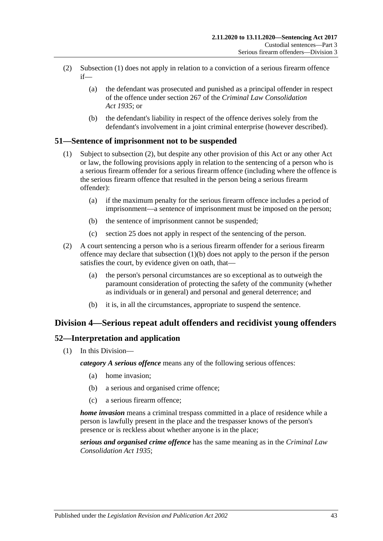- (2) [Subsection](#page-41-1) (1) does not apply in relation to a conviction of a serious firearm offence if—
	- (a) the defendant was prosecuted and punished as a principal offender in respect of the offence under section 267 of the *[Criminal Law Consolidation](http://www.legislation.sa.gov.au/index.aspx?action=legref&type=act&legtitle=Criminal%20Law%20Consolidation%20Act%201935)  Act [1935](http://www.legislation.sa.gov.au/index.aspx?action=legref&type=act&legtitle=Criminal%20Law%20Consolidation%20Act%201935)*; or
	- (b) the defendant's liability in respect of the offence derives solely from the defendant's involvement in a joint criminal enterprise (however described).

# **51—Sentence of imprisonment not to be suspended**

- (1) Subject to [subsection](#page-42-0) (2), but despite any other provision of this Act or any other Act or law, the following provisions apply in relation to the sentencing of a person who is a serious firearm offender for a serious firearm offence (including where the offence is the serious firearm offence that resulted in the person being a serious firearm offender):
	- (a) if the maximum penalty for the serious firearm offence includes a period of imprisonment—a sentence of imprisonment must be imposed on the person;
	- (b) the sentence of imprisonment cannot be suspended;
	- (c) [section](#page-19-0) 25 does not apply in respect of the sentencing of the person.
- <span id="page-42-1"></span><span id="page-42-0"></span>(2) A court sentencing a person who is a serious firearm offender for a serious firearm offence may declare that [subsection](#page-42-1) (1)(b) does not apply to the person if the person satisfies the court, by evidence given on oath, that—
	- (a) the person's personal circumstances are so exceptional as to outweigh the paramount consideration of protecting the safety of the community (whether as individuals or in general) and personal and general deterrence; and
	- (b) it is, in all the circumstances, appropriate to suspend the sentence.

# **Division 4—Serious repeat adult offenders and recidivist young offenders**

# **52—Interpretation and application**

(1) In this Division—

*category A serious offence* means any of the following serious offences:

- (a) home invasion;
- (b) a serious and organised crime offence;
- (c) a serious firearm offence;

*home invasion* means a criminal trespass committed in a place of residence while a person is lawfully present in the place and the trespasser knows of the person's presence or is reckless about whether anyone is in the place;

*serious and organised crime offence* has the same meaning as in the *[Criminal Law](http://www.legislation.sa.gov.au/index.aspx?action=legref&type=act&legtitle=Criminal%20Law%20Consolidation%20Act%201935)  [Consolidation Act](http://www.legislation.sa.gov.au/index.aspx?action=legref&type=act&legtitle=Criminal%20Law%20Consolidation%20Act%201935) 1935*;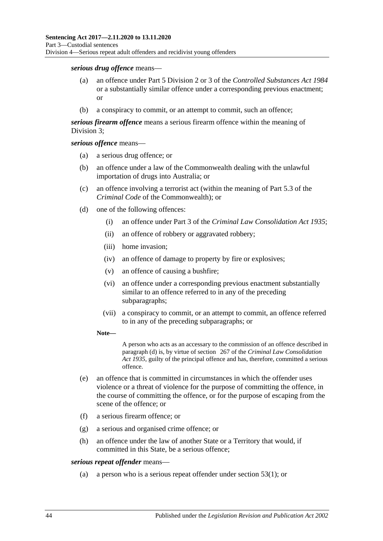#### *serious drug offence* means—

- (a) an offence under Part 5 Division 2 or 3 of the *[Controlled Substances Act](http://www.legislation.sa.gov.au/index.aspx?action=legref&type=act&legtitle=Controlled%20Substances%20Act%201984) 1984* or a substantially similar offence under a corresponding previous enactment; or
- (b) a conspiracy to commit, or an attempt to commit, such an offence;

*serious firearm offence* means a serious firearm offence within the meaning of [Division](#page-40-0) 3;

*serious offence* means—

- (a) a serious drug offence; or
- (b) an offence under a law of the Commonwealth dealing with the unlawful importation of drugs into Australia; or
- (c) an offence involving a terrorist act (within the meaning of Part 5.3 of the *Criminal Code* of the Commonwealth); or
- <span id="page-43-0"></span>(d) one of the following offences:
	- (i) an offence under Part 3 of the *[Criminal Law Consolidation Act](http://www.legislation.sa.gov.au/index.aspx?action=legref&type=act&legtitle=Criminal%20Law%20Consolidation%20Act%201935) 1935*;
	- (ii) an offence of robbery or aggravated robbery;
	- (iii) home invasion;
	- (iv) an offence of damage to property by fire or explosives;
	- (v) an offence of causing a bushfire;
	- (vi) an offence under a corresponding previous enactment substantially similar to an offence referred to in any of the preceding subparagraphs;
	- (vii) a conspiracy to commit, or an attempt to commit, an offence referred to in any of the preceding subparagraphs; or
	- **Note—**

A person who acts as an accessary to the commission of an offence described in [paragraph](#page-43-0) (d) is, by virtue of section 267 of the *[Criminal Law Consolidation](http://www.legislation.sa.gov.au/index.aspx?action=legref&type=act&legtitle=Criminal%20Law%20Consolidation%20Act%201935)  Act [1935](http://www.legislation.sa.gov.au/index.aspx?action=legref&type=act&legtitle=Criminal%20Law%20Consolidation%20Act%201935)*, guilty of the principal offence and has, therefore, committed a serious offence.

- (e) an offence that is committed in circumstances in which the offender uses violence or a threat of violence for the purpose of committing the offence, in the course of committing the offence, or for the purpose of escaping from the scene of the offence; or
- (f) a serious firearm offence; or
- (g) a serious and organised crime offence; or
- (h) an offence under the law of another State or a Territory that would, if committed in this State, be a serious offence;

#### *serious repeat offender* means—

(a) a person who is a serious repeat offender under [section](#page-44-0) 53(1); or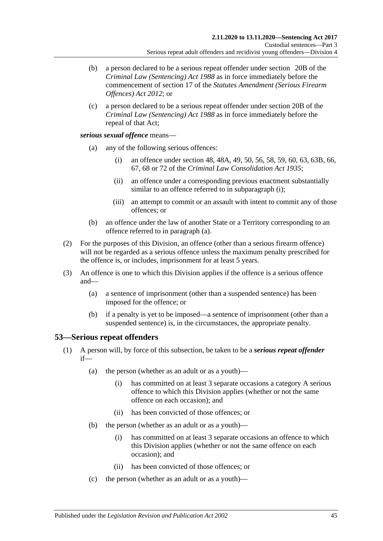- (b) a person declared to be a serious repeat offender under section 20B of the *[Criminal Law \(Sentencing\) Act](http://www.legislation.sa.gov.au/index.aspx?action=legref&type=act&legtitle=Criminal%20Law%20(Sentencing)%20Act%201988) 1988* as in force immediately before the commencement of section 17 of the *[Statutes Amendment \(Serious Firearm](http://www.legislation.sa.gov.au/index.aspx?action=legref&type=act&legtitle=Statutes%20Amendment%20(Serious%20Firearm%20Offences)%20Act%202012)  [Offences\) Act](http://www.legislation.sa.gov.au/index.aspx?action=legref&type=act&legtitle=Statutes%20Amendment%20(Serious%20Firearm%20Offences)%20Act%202012) 2012*; or
- (c) a person declared to be a serious repeat offender under section 20B of the *[Criminal Law \(Sentencing\) Act](http://www.legislation.sa.gov.au/index.aspx?action=legref&type=act&legtitle=Criminal%20Law%20(Sentencing)%20Act%201988) 1988* as in force immediately before the repeal of that Act;

#### <span id="page-44-2"></span><span id="page-44-1"></span>*serious sexual offence* means—

- (a) any of the following serious offences:
	- (i) an offence under section 48, 48A, 49, 50, 56, 58, 59, 60, 63, 63B, 66, 67, 68 or 72 of the *[Criminal Law Consolidation Act](http://www.legislation.sa.gov.au/index.aspx?action=legref&type=act&legtitle=Criminal%20Law%20Consolidation%20Act%201935) 1935*;
	- (ii) an offence under a corresponding previous enactment substantially similar to an offence referred to in [subparagraph](#page-44-1) (i);
	- (iii) an attempt to commit or an assault with intent to commit any of those offences; or
- (b) an offence under the law of another State or a Territory corresponding to an offence referred to in [paragraph](#page-44-2) (a).
- (2) For the purposes of this Division, an offence (other than a serious firearm offence) will not be regarded as a serious offence unless the maximum penalty prescribed for the offence is, or includes, imprisonment for at least 5 years.
- (3) An offence is one to which this Division applies if the offence is a serious offence and—
	- (a) a sentence of imprisonment (other than a suspended sentence) has been imposed for the offence; or
	- (b) if a penalty is yet to be imposed—a sentence of imprisonment (other than a suspended sentence) is, in the circumstances, the appropriate penalty.

### <span id="page-44-0"></span>**53—Serious repeat offenders**

- (1) A person will, by force of this subsection, be taken to be a *serious repeat offender* if—
	- (a) the person (whether as an adult or as a youth)—
		- (i) has committed on at least 3 separate occasions a category A serious offence to which this Division applies (whether or not the same offence on each occasion); and
		- (ii) has been convicted of those offences; or
	- (b) the person (whether as an adult or as a youth)—
		- (i) has committed on at least 3 separate occasions an offence to which this Division applies (whether or not the same offence on each occasion); and
		- (ii) has been convicted of those offences; or
	- (c) the person (whether as an adult or as a youth)—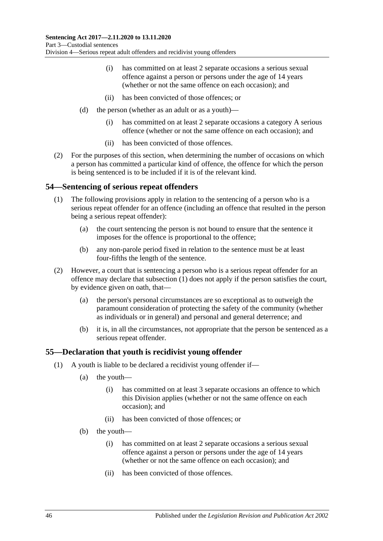- (i) has committed on at least 2 separate occasions a serious sexual offence against a person or persons under the age of 14 years (whether or not the same offence on each occasion); and
- (ii) has been convicted of those offences; or
- (d) the person (whether as an adult or as a youth)—
	- (i) has committed on at least 2 separate occasions a category A serious offence (whether or not the same offence on each occasion); and
	- (ii) has been convicted of those offences.
- (2) For the purposes of this section, when determining the number of occasions on which a person has committed a particular kind of offence, the offence for which the person is being sentenced is to be included if it is of the relevant kind.

### <span id="page-45-0"></span>**54—Sentencing of serious repeat offenders**

- (1) The following provisions apply in relation to the sentencing of a person who is a serious repeat offender for an offence (including an offence that resulted in the person being a serious repeat offender):
	- (a) the court sentencing the person is not bound to ensure that the sentence it imposes for the offence is proportional to the offence;
	- (b) any non-parole period fixed in relation to the sentence must be at least four-fifths the length of the sentence.
- (2) However, a court that is sentencing a person who is a serious repeat offender for an offence may declare that [subsection](#page-45-0) (1) does not apply if the person satisfies the court, by evidence given on oath, that—
	- (a) the person's personal circumstances are so exceptional as to outweigh the paramount consideration of protecting the safety of the community (whether as individuals or in general) and personal and general deterrence; and
	- (b) it is, in all the circumstances, not appropriate that the person be sentenced as a serious repeat offender.

### **55—Declaration that youth is recidivist young offender**

- (1) A youth is liable to be declared a recidivist young offender if—
	- (a) the youth—
		- (i) has committed on at least 3 separate occasions an offence to which this Division applies (whether or not the same offence on each occasion); and
		- (ii) has been convicted of those offences; or
	- (b) the youth—
		- (i) has committed on at least 2 separate occasions a serious sexual offence against a person or persons under the age of 14 years (whether or not the same offence on each occasion); and
		- (ii) has been convicted of those offences.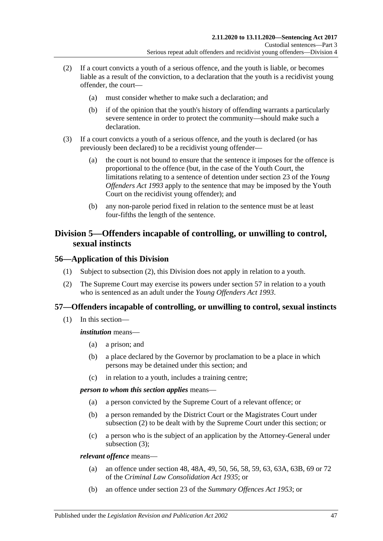- (2) If a court convicts a youth of a serious offence, and the youth is liable, or becomes liable as a result of the conviction, to a declaration that the youth is a recidivist young offender, the court—
	- (a) must consider whether to make such a declaration; and
	- (b) if of the opinion that the youth's history of offending warrants a particularly severe sentence in order to protect the community—should make such a declaration.
- (3) If a court convicts a youth of a serious offence, and the youth is declared (or has previously been declared) to be a recidivist young offender—
	- (a) the court is not bound to ensure that the sentence it imposes for the offence is proportional to the offence (but, in the case of the Youth Court, the limitations relating to a sentence of detention under section 23 of the *[Young](http://www.legislation.sa.gov.au/index.aspx?action=legref&type=act&legtitle=Young%20Offenders%20Act%201993)  [Offenders Act](http://www.legislation.sa.gov.au/index.aspx?action=legref&type=act&legtitle=Young%20Offenders%20Act%201993) 1993* apply to the sentence that may be imposed by the Youth Court on the recidivist young offender); and
	- (b) any non-parole period fixed in relation to the sentence must be at least four-fifths the length of the sentence.

# **Division 5—Offenders incapable of controlling, or unwilling to control, sexual instincts**

# **56—Application of this Division**

- (1) Subject to [subsection](#page-46-0) (2), this Division does not apply in relation to a youth.
- <span id="page-46-0"></span>(2) The Supreme Court may exercise its powers under [section](#page-46-1) 57 in relation to a youth who is sentenced as an adult under the *[Young Offenders Act](http://www.legislation.sa.gov.au/index.aspx?action=legref&type=act&legtitle=Young%20Offenders%20Act%201993) 1993*.

# <span id="page-46-1"></span>**57—Offenders incapable of controlling, or unwilling to control, sexual instincts**

(1) In this section—

*institution* means—

- (a) a prison; and
- (b) a place declared by the Governor by proclamation to be a place in which persons may be detained under this section; and
- (c) in relation to a youth, includes a training centre;

*person to whom this section applies* means—

- (a) a person convicted by the Supreme Court of a relevant offence; or
- (b) a person remanded by the District Court or the Magistrates Court under [subsection](#page-47-0) (2) to be dealt with by the Supreme Court under this section; or
- (c) a person who is the subject of an application by the Attorney-General under [subsection](#page-47-1) (3);

*relevant offence* means—

- (a) an offence under section 48, 48A, 49, 50, 56, 58, 59, 63, 63A, 63B, 69 or 72 of the *[Criminal Law Consolidation Act](http://www.legislation.sa.gov.au/index.aspx?action=legref&type=act&legtitle=Criminal%20Law%20Consolidation%20Act%201935) 1935*; or
- (b) an offence under section 23 of the *[Summary Offences Act](http://www.legislation.sa.gov.au/index.aspx?action=legref&type=act&legtitle=Summary%20Offences%20Act%201953) 1953*; or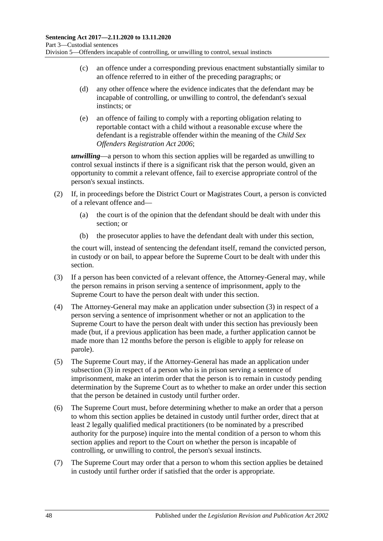- (c) an offence under a corresponding previous enactment substantially similar to an offence referred to in either of the preceding paragraphs; or
- (d) any other offence where the evidence indicates that the defendant may be incapable of controlling, or unwilling to control, the defendant's sexual instincts; or
- (e) an offence of failing to comply with a reporting obligation relating to reportable contact with a child without a reasonable excuse where the defendant is a registrable offender within the meaning of the *[Child Sex](http://www.legislation.sa.gov.au/index.aspx?action=legref&type=act&legtitle=Child%20Sex%20Offenders%20Registration%20Act%202006)  [Offenders Registration Act](http://www.legislation.sa.gov.au/index.aspx?action=legref&type=act&legtitle=Child%20Sex%20Offenders%20Registration%20Act%202006) 2006*;

*unwilling*—a person to whom this section applies will be regarded as unwilling to control sexual instincts if there is a significant risk that the person would, given an opportunity to commit a relevant offence, fail to exercise appropriate control of the person's sexual instincts.

- <span id="page-47-0"></span>(2) If, in proceedings before the District Court or Magistrates Court, a person is convicted of a relevant offence and—
	- (a) the court is of the opinion that the defendant should be dealt with under this section; or
	- (b) the prosecutor applies to have the defendant dealt with under this section,

the court will, instead of sentencing the defendant itself, remand the convicted person, in custody or on bail, to appear before the Supreme Court to be dealt with under this section.

- <span id="page-47-1"></span>(3) If a person has been convicted of a relevant offence, the Attorney-General may, while the person remains in prison serving a sentence of imprisonment, apply to the Supreme Court to have the person dealt with under this section.
- (4) The Attorney-General may make an application under [subsection](#page-47-1) (3) in respect of a person serving a sentence of imprisonment whether or not an application to the Supreme Court to have the person dealt with under this section has previously been made (but, if a previous application has been made, a further application cannot be made more than 12 months before the person is eligible to apply for release on parole).
- (5) The Supreme Court may, if the Attorney-General has made an application under [subsection](#page-47-1) (3) in respect of a person who is in prison serving a sentence of imprisonment, make an interim order that the person is to remain in custody pending determination by the Supreme Court as to whether to make an order under this section that the person be detained in custody until further order.
- <span id="page-47-2"></span>(6) The Supreme Court must, before determining whether to make an order that a person to whom this section applies be detained in custody until further order, direct that at least 2 legally qualified medical practitioners (to be nominated by a prescribed authority for the purpose) inquire into the mental condition of a person to whom this section applies and report to the Court on whether the person is incapable of controlling, or unwilling to control, the person's sexual instincts.
- (7) The Supreme Court may order that a person to whom this section applies be detained in custody until further order if satisfied that the order is appropriate.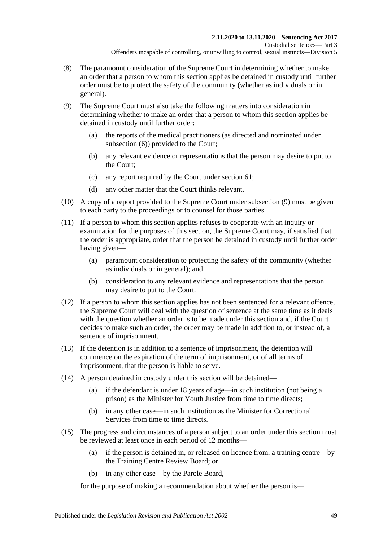- (8) The paramount consideration of the Supreme Court in determining whether to make an order that a person to whom this section applies be detained in custody until further order must be to protect the safety of the community (whether as individuals or in general).
- <span id="page-48-0"></span>(9) The Supreme Court must also take the following matters into consideration in determining whether to make an order that a person to whom this section applies be detained in custody until further order:
	- (a) the reports of the medical practitioners (as directed and nominated under [subsection](#page-47-2) (6)) provided to the Court;
	- (b) any relevant evidence or representations that the person may desire to put to the Court;
	- (c) any report required by the Court under [section](#page-53-0) 61;
	- (d) any other matter that the Court thinks relevant.
- (10) A copy of a report provided to the Supreme Court under [subsection](#page-48-0) (9) must be given to each party to the proceedings or to counsel for those parties.
- (11) If a person to whom this section applies refuses to cooperate with an inquiry or examination for the purposes of this section, the Supreme Court may, if satisfied that the order is appropriate, order that the person be detained in custody until further order having given—
	- (a) paramount consideration to protecting the safety of the community (whether as individuals or in general); and
	- (b) consideration to any relevant evidence and representations that the person may desire to put to the Court.
- (12) If a person to whom this section applies has not been sentenced for a relevant offence, the Supreme Court will deal with the question of sentence at the same time as it deals with the question whether an order is to be made under this section and, if the Court decides to make such an order, the order may be made in addition to, or instead of, a sentence of imprisonment.
- (13) If the detention is in addition to a sentence of imprisonment, the detention will commence on the expiration of the term of imprisonment, or of all terms of imprisonment, that the person is liable to serve.
- (14) A person detained in custody under this section will be detained—
	- (a) if the defendant is under 18 years of age—in such institution (not being a prison) as the Minister for Youth Justice from time to time directs;
	- (b) in any other case—in such institution as the Minister for Correctional Services from time to time directs.
- <span id="page-48-1"></span>(15) The progress and circumstances of a person subject to an order under this section must be reviewed at least once in each period of 12 months—
	- (a) if the person is detained in, or released on licence from, a training centre—by the Training Centre Review Board; or
	- (b) in any other case—by the Parole Board,

for the purpose of making a recommendation about whether the person is—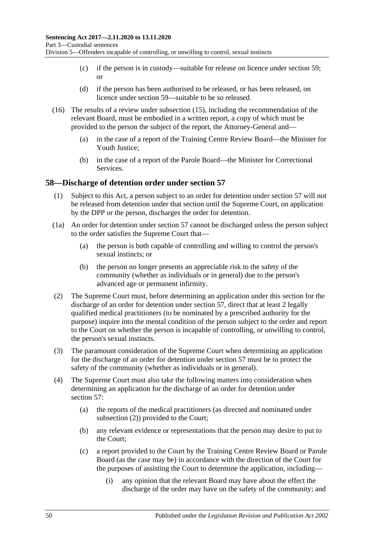- (c) if the person is in custody—suitable for release on licence under [section](#page-50-0) 59; or
- (d) if the person has been authorised to be released, or has been released, on licence under [section](#page-50-0) 59—suitable to be so released.
- (16) The results of a review under [subsection](#page-48-1) (15), including the recommendation of the relevant Board, must be embodied in a written report, a copy of which must be provided to the person the subject of the report, the Attorney-General and—
	- (a) in the case of a report of the Training Centre Review Board—the Minister for Youth Justice;
	- (b) in the case of a report of the Parole Board—the Minister for Correctional Services.

# **58—Discharge of detention order under [section](#page-46-1) 57**

- (1) Subject to this Act, a person subject to an order for detention under [section](#page-46-1) 57 will not be released from detention under that section until the Supreme Court, on application by the DPP or the person, discharges the order for detention.
- (1a) An order for detention under [section](#page-46-1) 57 cannot be discharged unless the person subject to the order satisfies the Supreme Court that—
	- (a) the person is both capable of controlling and willing to control the person's sexual instincts; or
	- (b) the person no longer presents an appreciable risk to the safety of the community (whether as individuals or in general) due to the person's advanced age or permanent infirmity.
- <span id="page-49-0"></span>(2) The Supreme Court must, before determining an application under this section for the discharge of an order for detention under [section](#page-46-1) 57, direct that at least 2 legally qualified medical practitioners (to be nominated by a prescribed authority for the purpose) inquire into the mental condition of the person subject to the order and report to the Court on whether the person is incapable of controlling, or unwilling to control, the person's sexual instincts.
- (3) The paramount consideration of the Supreme Court when determining an application for the discharge of an order for detention under [section](#page-46-1) 57 must be to protect the safety of the community (whether as individuals or in general).
- <span id="page-49-1"></span>(4) The Supreme Court must also take the following matters into consideration when determining an application for the discharge of an order for detention under [section](#page-46-1) 57:
	- (a) the reports of the medical practitioners (as directed and nominated under [subsection](#page-49-0) (2)) provided to the Court;
	- (b) any relevant evidence or representations that the person may desire to put to the Court;
	- (c) a report provided to the Court by the Training Centre Review Board or Parole Board (as the case may be) in accordance with the direction of the Court for the purposes of assisting the Court to determine the application, including—
		- (i) any opinion that the relevant Board may have about the effect the discharge of the order may have on the safety of the community; and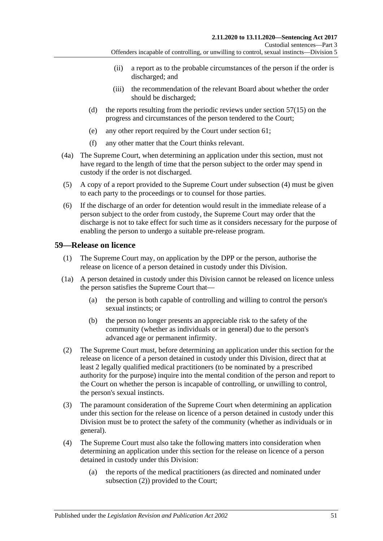- (ii) a report as to the probable circumstances of the person if the order is discharged; and
- (iii) the recommendation of the relevant Board about whether the order should be discharged;
- (d) the reports resulting from the periodic reviews under [section](#page-48-1) 57(15) on the progress and circumstances of the person tendered to the Court;
- (e) any other report required by the Court under [section](#page-53-0) 61;
- (f) any other matter that the Court thinks relevant.
- (4a) The Supreme Court, when determining an application under this section, must not have regard to the length of time that the person subject to the order may spend in custody if the order is not discharged.
- (5) A copy of a report provided to the Supreme Court under [subsection](#page-49-1) (4) must be given to each party to the proceedings or to counsel for those parties.
- (6) If the discharge of an order for detention would result in the immediate release of a person subject to the order from custody, the Supreme Court may order that the discharge is not to take effect for such time as it considers necessary for the purpose of enabling the person to undergo a suitable pre-release program.

# <span id="page-50-3"></span><span id="page-50-0"></span>**59—Release on licence**

- (1) The Supreme Court may, on application by the DPP or the person, authorise the release on licence of a person detained in custody under this Division.
- (1a) A person detained in custody under this Division cannot be released on licence unless the person satisfies the Supreme Court that—
	- (a) the person is both capable of controlling and willing to control the person's sexual instincts; or
	- (b) the person no longer presents an appreciable risk to the safety of the community (whether as individuals or in general) due to the person's advanced age or permanent infirmity.
- <span id="page-50-4"></span><span id="page-50-1"></span>(2) The Supreme Court must, before determining an application under this section for the release on licence of a person detained in custody under this Division, direct that at least 2 legally qualified medical practitioners (to be nominated by a prescribed authority for the purpose) inquire into the mental condition of the person and report to the Court on whether the person is incapable of controlling, or unwilling to control, the person's sexual instincts.
- (3) The paramount consideration of the Supreme Court when determining an application under this section for the release on licence of a person detained in custody under this Division must be to protect the safety of the community (whether as individuals or in general).
- <span id="page-50-2"></span>(4) The Supreme Court must also take the following matters into consideration when determining an application under this section for the release on licence of a person detained in custody under this Division:
	- (a) the reports of the medical practitioners (as directed and nominated under [subsection](#page-50-1) (2)) provided to the Court;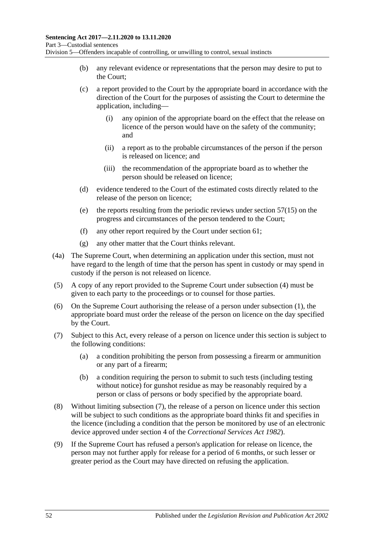- (b) any relevant evidence or representations that the person may desire to put to the Court;
- (c) a report provided to the Court by the appropriate board in accordance with the direction of the Court for the purposes of assisting the Court to determine the application, including—
	- (i) any opinion of the appropriate board on the effect that the release on licence of the person would have on the safety of the community; and
	- (ii) a report as to the probable circumstances of the person if the person is released on licence; and
	- (iii) the recommendation of the appropriate board as to whether the person should be released on licence;
- (d) evidence tendered to the Court of the estimated costs directly related to the release of the person on licence;
- (e) the reports resulting from the periodic reviews under [section](#page-48-1) 57(15) on the progress and circumstances of the person tendered to the Court;
- (f) any other report required by the Court under [section](#page-53-0) 61;
- (g) any other matter that the Court thinks relevant.
- (4a) The Supreme Court, when determining an application under this section, must not have regard to the length of time that the person has spent in custody or may spend in custody if the person is not released on licence.
- (5) A copy of any report provided to the Supreme Court under [subsection](#page-50-2) (4) must be given to each party to the proceedings or to counsel for those parties.
- (6) On the Supreme Court authorising the release of a person under [subsection](#page-50-3) (1), the appropriate board must order the release of the person on licence on the day specified by the Court.
- <span id="page-51-1"></span><span id="page-51-0"></span>(7) Subject to this Act, every release of a person on licence under this section is subject to the following conditions:
	- (a) a condition prohibiting the person from possessing a firearm or ammunition or any part of a firearm;
	- (b) a condition requiring the person to submit to such tests (including testing without notice) for gunshot residue as may be reasonably required by a person or class of persons or body specified by the appropriate board.
- (8) Without limiting [subsection](#page-51-0) (7), the release of a person on licence under this section will be subject to such conditions as the appropriate board thinks fit and specifies in the licence (including a condition that the person be monitored by use of an electronic device approved under section 4 of the *[Correctional Services Act](http://www.legislation.sa.gov.au/index.aspx?action=legref&type=act&legtitle=Correctional%20Services%20Act%201982) 1982*).
- (9) If the Supreme Court has refused a person's application for release on licence, the person may not further apply for release for a period of 6 months, or such lesser or greater period as the Court may have directed on refusing the application.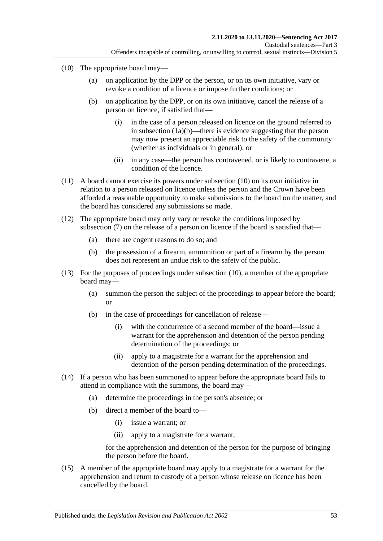- <span id="page-52-0"></span>(10) The appropriate board may—
	- (a) on application by the DPP or the person, or on its own initiative, vary or revoke a condition of a licence or impose further conditions; or
	- (b) on application by the DPP, or on its own initiative, cancel the release of a person on licence, if satisfied that—
		- (i) in the case of a person released on licence on the ground referred to in [subsection](#page-50-4) (1a)(b)—there is evidence suggesting that the person may now present an appreciable risk to the safety of the community (whether as individuals or in general); or
		- (ii) in any case—the person has contravened, or is likely to contravene, a condition of the licence.
- (11) A board cannot exercise its powers under [subsection](#page-52-0) (10) on its own initiative in relation to a person released on licence unless the person and the Crown have been afforded a reasonable opportunity to make submissions to the board on the matter, and the board has considered any submissions so made.
- (12) The appropriate board may only vary or revoke the conditions imposed by [subsection](#page-51-0) (7) on the release of a person on licence if the board is satisfied that—
	- (a) there are cogent reasons to do so; and
	- (b) the possession of a firearm, ammunition or part of a firearm by the person does not represent an undue risk to the safety of the public.
- (13) For the purposes of proceedings under [subsection](#page-52-0) (10), a member of the appropriate board may—
	- (a) summon the person the subject of the proceedings to appear before the board; or
	- (b) in the case of proceedings for cancellation of release—
		- (i) with the concurrence of a second member of the board—issue a warrant for the apprehension and detention of the person pending determination of the proceedings; or
		- (ii) apply to a magistrate for a warrant for the apprehension and detention of the person pending determination of the proceedings.
- (14) If a person who has been summoned to appear before the appropriate board fails to attend in compliance with the summons, the board may—
	- (a) determine the proceedings in the person's absence; or
	- (b) direct a member of the board to—
		- (i) issue a warrant; or
		- (ii) apply to a magistrate for a warrant,

for the apprehension and detention of the person for the purpose of bringing the person before the board.

(15) A member of the appropriate board may apply to a magistrate for a warrant for the apprehension and return to custody of a person whose release on licence has been cancelled by the board.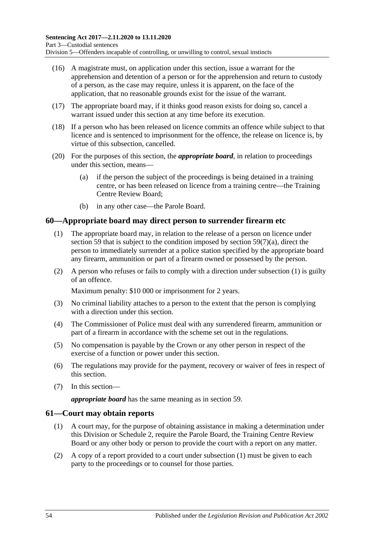- (16) A magistrate must, on application under this section, issue a warrant for the apprehension and detention of a person or for the apprehension and return to custody of a person, as the case may require, unless it is apparent, on the face of the application, that no reasonable grounds exist for the issue of the warrant.
- (17) The appropriate board may, if it thinks good reason exists for doing so, cancel a warrant issued under this section at any time before its execution.
- (18) If a person who has been released on licence commits an offence while subject to that licence and is sentenced to imprisonment for the offence, the release on licence is, by virtue of this subsection, cancelled.
- (20) For the purposes of this section, the *appropriate board*, in relation to proceedings under this section, means—
	- (a) if the person the subject of the proceedings is being detained in a training centre, or has been released on licence from a training centre—the Training Centre Review Board;
	- (b) in any other case—the Parole Board.

### <span id="page-53-1"></span>**60—Appropriate board may direct person to surrender firearm etc**

- (1) The appropriate board may, in relation to the release of a person on licence under [section](#page-50-0) 59 that is subject to the condition imposed by section [59\(7\)\(a\),](#page-51-1) direct the person to immediately surrender at a police station specified by the appropriate board any firearm, ammunition or part of a firearm owned or possessed by the person.
- (2) A person who refuses or fails to comply with a direction under [subsection](#page-53-1) (1) is guilty of an offence.

Maximum penalty: \$10 000 or imprisonment for 2 years.

- (3) No criminal liability attaches to a person to the extent that the person is complying with a direction under this section.
- (4) The Commissioner of Police must deal with any surrendered firearm, ammunition or part of a firearm in accordance with the scheme set out in the regulations.
- (5) No compensation is payable by the Crown or any other person in respect of the exercise of a function or power under this section.
- (6) The regulations may provide for the payment, recovery or waiver of fees in respect of this section.
- (7) In this section—

*appropriate board* has the same meaning as in [section](#page-50-0) 59.

### <span id="page-53-2"></span><span id="page-53-0"></span>**61—Court may obtain reports**

- (1) A court may, for the purpose of obtaining assistance in making a determination under this Division or [Schedule 2,](#page-104-0) require the Parole Board, the Training Centre Review Board or any other body or person to provide the court with a report on any matter.
- (2) A copy of a report provided to a court under [subsection](#page-53-2) (1) must be given to each party to the proceedings or to counsel for those parties.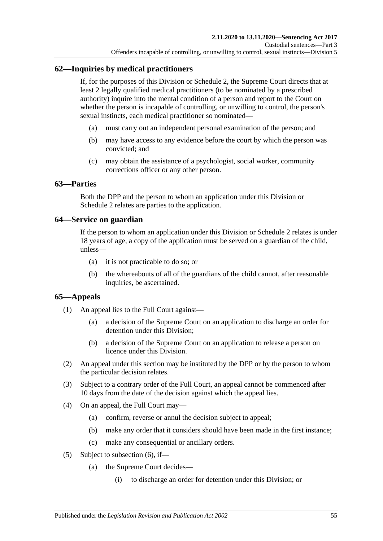# **62—Inquiries by medical practitioners**

If, for the purposes of this Division or [Schedule 2,](#page-104-0) the Supreme Court directs that at least 2 legally qualified medical practitioners (to be nominated by a prescribed authority) inquire into the mental condition of a person and report to the Court on whether the person is incapable of controlling, or unwilling to control, the person's sexual instincts, each medical practitioner so nominated—

- (a) must carry out an independent personal examination of the person; and
- (b) may have access to any evidence before the court by which the person was convicted; and
- (c) may obtain the assistance of a psychologist, social worker, community corrections officer or any other person.

### **63—Parties**

Both the DPP and the person to whom an application under this Division or [Schedule](#page-104-0) 2 relates are parties to the application.

### **64—Service on guardian**

If the person to whom an application under this Division or [Schedule 2](#page-104-0) relates is under 18 years of age, a copy of the application must be served on a guardian of the child, unless—

- (a) it is not practicable to do so; or
- (b) the whereabouts of all of the guardians of the child cannot, after reasonable inquiries, be ascertained.

# **65—Appeals**

- (1) An appeal lies to the Full Court against—
	- (a) a decision of the Supreme Court on an application to discharge an order for detention under this Division;
	- (b) a decision of the Supreme Court on an application to release a person on licence under this Division.
- (2) An appeal under this section may be instituted by the DPP or by the person to whom the particular decision relates.
- (3) Subject to a contrary order of the Full Court, an appeal cannot be commenced after 10 days from the date of the decision against which the appeal lies.
- (4) On an appeal, the Full Court may—
	- (a) confirm, reverse or annul the decision subject to appeal;
	- (b) make any order that it considers should have been made in the first instance;
	- (c) make any consequential or ancillary orders.
- <span id="page-54-0"></span>(5) Subject to [subsection](#page-55-0) (6), if—
	- (a) the Supreme Court decides—
		- (i) to discharge an order for detention under this Division; or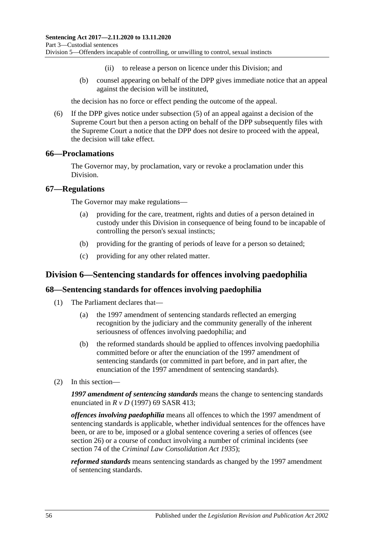- (ii) to release a person on licence under this Division; and
- (b) counsel appearing on behalf of the DPP gives immediate notice that an appeal against the decision will be instituted,

the decision has no force or effect pending the outcome of the appeal.

<span id="page-55-0"></span>(6) If the DPP gives notice under [subsection](#page-54-0) (5) of an appeal against a decision of the Supreme Court but then a person acting on behalf of the DPP subsequently files with the Supreme Court a notice that the DPP does not desire to proceed with the appeal, the decision will take effect.

#### **66—Proclamations**

The Governor may, by proclamation, vary or revoke a proclamation under this Division.

#### **67—Regulations**

The Governor may make regulations—

- (a) providing for the care, treatment, rights and duties of a person detained in custody under this Division in consequence of being found to be incapable of controlling the person's sexual instincts;
- (b) providing for the granting of periods of leave for a person so detained;
- (c) providing for any other related matter.

# **Division 6—Sentencing standards for offences involving paedophilia**

### **68—Sentencing standards for offences involving paedophilia**

- (1) The Parliament declares that—
	- (a) the 1997 amendment of sentencing standards reflected an emerging recognition by the judiciary and the community generally of the inherent seriousness of offences involving paedophilia; and
	- (b) the reformed standards should be applied to offences involving paedophilia committed before or after the enunciation of the 1997 amendment of sentencing standards (or committed in part before, and in part after, the enunciation of the 1997 amendment of sentencing standards).
- (2) In this section—

*1997 amendment of sentencing standards* means the change to sentencing standards enunciated in *R v D* (1997) 69 SASR 413;

*offences involving paedophilia* means all offences to which the 1997 amendment of sentencing standards is applicable, whether individual sentences for the offences have been, or are to be, imposed or a global sentence covering a series of offences (see [section](#page-20-0) 26) or a course of conduct involving a number of criminal incidents (see section 74 of the *[Criminal Law Consolidation Act](http://www.legislation.sa.gov.au/index.aspx?action=legref&type=act&legtitle=Criminal%20Law%20Consolidation%20Act%201935) 1935*);

*reformed standards* means sentencing standards as changed by the 1997 amendment of sentencing standards.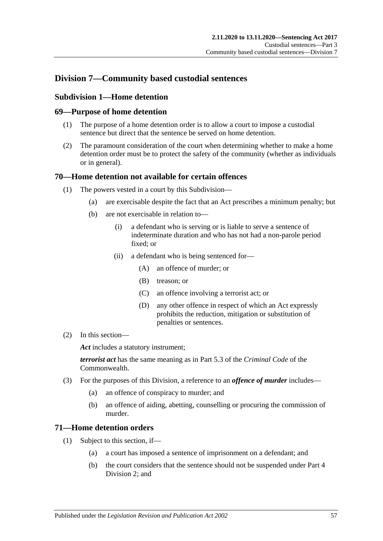# **Division 7—Community based custodial sentences**

# **Subdivision 1—Home detention**

### **69—Purpose of home detention**

- (1) The purpose of a home detention order is to allow a court to impose a custodial sentence but direct that the sentence be served on home detention.
- (2) The paramount consideration of the court when determining whether to make a home detention order must be to protect the safety of the community (whether as individuals or in general).

### **70—Home detention not available for certain offences**

- (1) The powers vested in a court by this Subdivision—
	- (a) are exercisable despite the fact that an Act prescribes a minimum penalty; but
	- (b) are not exercisable in relation to—
		- (i) a defendant who is serving or is liable to serve a sentence of indeterminate duration and who has not had a non-parole period fixed; or
		- (ii) a defendant who is being sentenced for—
			- (A) an offence of murder; or
			- (B) treason; or
			- (C) an offence involving a terrorist act; or
			- (D) any other offence in respect of which an Act expressly prohibits the reduction, mitigation or substitution of penalties or sentences.
- (2) In this section—

*Act* includes a statutory instrument;

*terrorist act* has the same meaning as in Part 5.3 of the *Criminal Code* of the Commonwealth.

- (3) For the purposes of this Division, a reference to an *offence of murder* includes—
	- (a) an offence of conspiracy to murder; and
	- (b) an offence of aiding, abetting, counselling or procuring the commission of murder.

# **71—Home detention orders**

- (1) Subject to this section, if—
	- (a) a court has imposed a sentence of imprisonment on a defendant; and
	- (b) the court considers that the sentence should not be suspended under [Part](#page-79-1) 4 [Division](#page-79-1) 2; and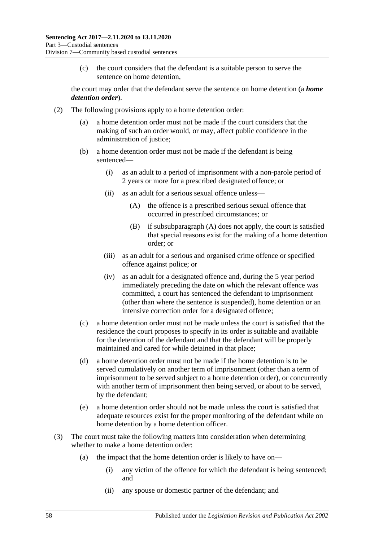(c) the court considers that the defendant is a suitable person to serve the sentence on home detention,

the court may order that the defendant serve the sentence on home detention (a *home detention order*).

- <span id="page-57-1"></span><span id="page-57-0"></span>(2) The following provisions apply to a home detention order:
	- (a) a home detention order must not be made if the court considers that the making of such an order would, or may, affect public confidence in the administration of justice;
	- (b) a home detention order must not be made if the defendant is being sentenced—
		- (i) as an adult to a period of imprisonment with a non-parole period of 2 years or more for a prescribed designated offence; or
		- (ii) as an adult for a serious sexual offence unless—
			- (A) the offence is a prescribed serious sexual offence that occurred in prescribed circumstances; or
			- (B) if [subsubparagraph](#page-57-0) (A) does not apply, the court is satisfied that special reasons exist for the making of a home detention order; or
		- (iii) as an adult for a serious and organised crime offence or specified offence against police; or
		- (iv) as an adult for a designated offence and, during the 5 year period immediately preceding the date on which the relevant offence was committed, a court has sentenced the defendant to imprisonment (other than where the sentence is suspended), home detention or an intensive correction order for a designated offence;
	- (c) a home detention order must not be made unless the court is satisfied that the residence the court proposes to specify in its order is suitable and available for the detention of the defendant and that the defendant will be properly maintained and cared for while detained in that place;
	- (d) a home detention order must not be made if the home detention is to be served cumulatively on another term of imprisonment (other than a term of imprisonment to be served subject to a home detention order), or concurrently with another term of imprisonment then being served, or about to be served, by the defendant;
	- (e) a home detention order should not be made unless the court is satisfied that adequate resources exist for the proper monitoring of the defendant while on home detention by a home detention officer.
- (3) The court must take the following matters into consideration when determining whether to make a home detention order:
	- (a) the impact that the home detention order is likely to have on—
		- (i) any victim of the offence for which the defendant is being sentenced; and
		- (ii) any spouse or domestic partner of the defendant; and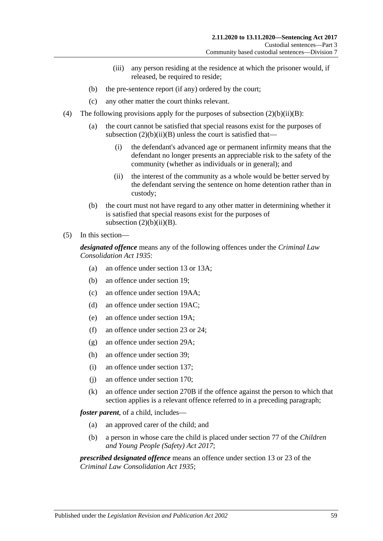- (iii) any person residing at the residence at which the prisoner would, if released, be required to reside;
- (b) the pre-sentence report (if any) ordered by the court;
- (c) any other matter the court thinks relevant.
- (4) The following provisions apply for the purposes of subsection  $(2)(b)(ii)(B)$ :
	- (a) the court cannot be satisfied that special reasons exist for the purposes of subsection  $(2)(b)(ii)(B)$  unless the court is satisfied that—
		- (i) the defendant's advanced age or permanent infirmity means that the defendant no longer presents an appreciable risk to the safety of the community (whether as individuals or in general); and
		- (ii) the interest of the community as a whole would be better served by the defendant serving the sentence on home detention rather than in custody;
	- (b) the court must not have regard to any other matter in determining whether it is satisfied that special reasons exist for the purposes of subsection  $(2)(b)(ii)(B)$ .

#### (5) In this section—

*designated offence* means any of the following offences under the *[Criminal Law](http://www.legislation.sa.gov.au/index.aspx?action=legref&type=act&legtitle=Criminal%20Law%20Consolidation%20Act%201935)  [Consolidation Act](http://www.legislation.sa.gov.au/index.aspx?action=legref&type=act&legtitle=Criminal%20Law%20Consolidation%20Act%201935) 1935*:

- (a) an offence under section 13 or 13A;
- (b) an offence under section 19;
- (c) an offence under section 19AA;
- (d) an offence under section 19AC;
- (e) an offence under section 19A;
- (f) an offence under section 23 or 24;
- (g) an offence under section 29A;
- (h) an offence under section 39;
- (i) an offence under section 137;
- (j) an offence under section 170;
- (k) an offence under section 270B if the offence against the person to which that section applies is a relevant offence referred to in a preceding paragraph;

*foster parent*, of a child, includes—

- (a) an approved carer of the child; and
- (b) a person in whose care the child is placed under section 77 of the *[Children](http://www.legislation.sa.gov.au/index.aspx?action=legref&type=act&legtitle=Children%20and%20Young%20People%20(Safety)%20Act%202017)  [and Young People \(Safety\) Act](http://www.legislation.sa.gov.au/index.aspx?action=legref&type=act&legtitle=Children%20and%20Young%20People%20(Safety)%20Act%202017) 2017*;

*prescribed designated offence* means an offence under section 13 or 23 of the *[Criminal Law Consolidation Act](http://www.legislation.sa.gov.au/index.aspx?action=legref&type=act&legtitle=Criminal%20Law%20Consolidation%20Act%201935) 1935*;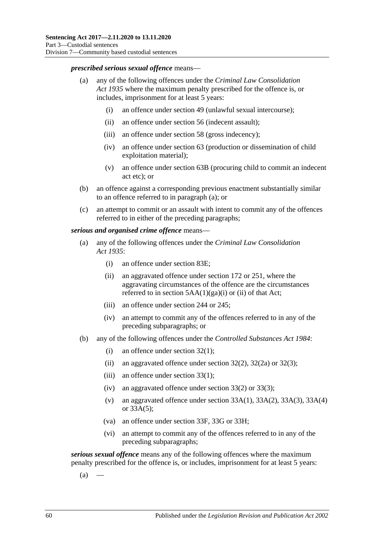#### *prescribed serious sexual offence* means—

- (a) any of the following offences under the *[Criminal Law Consolidation](http://www.legislation.sa.gov.au/index.aspx?action=legref&type=act&legtitle=Criminal%20Law%20Consolidation%20Act%201935)  Act [1935](http://www.legislation.sa.gov.au/index.aspx?action=legref&type=act&legtitle=Criminal%20Law%20Consolidation%20Act%201935)* where the maximum penalty prescribed for the offence is, or includes, imprisonment for at least 5 years:
	- (i) an offence under section 49 (unlawful sexual intercourse);
	- (ii) an offence under section 56 (indecent assault);
	- (iii) an offence under section 58 (gross indecency);
	- (iv) an offence under section 63 (production or dissemination of child exploitation material);
	- (v) an offence under section 63B (procuring child to commit an indecent act etc); or
- (b) an offence against a corresponding previous enactment substantially similar to an offence referred to in paragraph (a); or
- (c) an attempt to commit or an assault with intent to commit any of the offences referred to in either of the preceding paragraphs;

#### *serious and organised crime offence* means—

- (a) any of the following offences under the *[Criminal Law Consolidation](http://www.legislation.sa.gov.au/index.aspx?action=legref&type=act&legtitle=Criminal%20Law%20Consolidation%20Act%201935)  Act [1935](http://www.legislation.sa.gov.au/index.aspx?action=legref&type=act&legtitle=Criminal%20Law%20Consolidation%20Act%201935)*:
	- (i) an offence under section 83E;
	- (ii) an aggravated offence under section 172 or 251, where the aggravating circumstances of the offence are the circumstances referred to in section  $5AA(1)(ga)(i)$  or (ii) of that Act;
	- (iii) an offence under section 244 or 245;
	- (iv) an attempt to commit any of the offences referred to in any of the preceding subparagraphs; or
- (b) any of the following offences under the *[Controlled Substances Act](http://www.legislation.sa.gov.au/index.aspx?action=legref&type=act&legtitle=Controlled%20Substances%20Act%201984) 1984*:
	- (i) an offence under section 32(1);
	- (ii) an aggravated offence under section  $32(2)$ ,  $32(2a)$  or  $32(3)$ ;
	- (iii) an offence under section 33(1);
	- (iv) an aggravated offence under section 33(2) or 33(3);
	- (v) an aggravated offence under section  $33A(1)$ ,  $33A(2)$ ,  $33A(3)$ ,  $33A(4)$ or 33A(5);
	- (va) an offence under section 33F, 33G or 33H;
	- (vi) an attempt to commit any of the offences referred to in any of the preceding subparagraphs;

<span id="page-59-0"></span>*serious sexual offence* means any of the following offences where the maximum penalty prescribed for the offence is, or includes, imprisonment for at least 5 years:

 $(a)$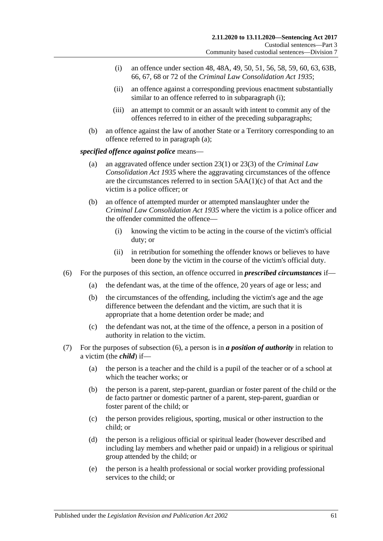- <span id="page-60-0"></span>(i) an offence under section 48, 48A, 49, 50, 51, 56, 58, 59, 60, 63, 63B, 66, 67, 68 or 72 of the *[Criminal Law Consolidation Act](http://www.legislation.sa.gov.au/index.aspx?action=legref&type=act&legtitle=Criminal%20Law%20Consolidation%20Act%201935) 1935*;
- (ii) an offence against a corresponding previous enactment substantially similar to an offence referred to in [subparagraph](#page-60-0) (i):
- (iii) an attempt to commit or an assault with intent to commit any of the offences referred to in either of the preceding subparagraphs;
- (b) an offence against the law of another State or a Territory corresponding to an offence referred to in [paragraph](#page-59-0) (a);

#### *specified offence against police* means—

- (a) an aggravated offence under section 23(1) or 23(3) of the *[Criminal Law](http://www.legislation.sa.gov.au/index.aspx?action=legref&type=act&legtitle=Criminal%20Law%20Consolidation%20Act%201935)  [Consolidation Act](http://www.legislation.sa.gov.au/index.aspx?action=legref&type=act&legtitle=Criminal%20Law%20Consolidation%20Act%201935) 1935* where the aggravating circumstances of the offence are the circumstances referred to in section 5AA(1)(c) of that Act and the victim is a police officer; or
- (b) an offence of attempted murder or attempted manslaughter under the *[Criminal Law Consolidation Act](http://www.legislation.sa.gov.au/index.aspx?action=legref&type=act&legtitle=Criminal%20Law%20Consolidation%20Act%201935) 1935* where the victim is a police officer and the offender committed the offence—
	- (i) knowing the victim to be acting in the course of the victim's official duty; or
	- (ii) in retribution for something the offender knows or believes to have been done by the victim in the course of the victim's official duty.
- <span id="page-60-1"></span>(6) For the purposes of this section, an offence occurred in *prescribed circumstances* if—
	- (a) the defendant was, at the time of the offence, 20 years of age or less; and
	- (b) the circumstances of the offending, including the victim's age and the age difference between the defendant and the victim, are such that it is appropriate that a home detention order be made; and
	- (c) the defendant was not, at the time of the offence, a person in a position of authority in relation to the victim.
- (7) For the purposes of [subsection](#page-60-1) (6), a person is in *a position of authority* in relation to a victim (the *child*) if—
	- (a) the person is a teacher and the child is a pupil of the teacher or of a school at which the teacher works; or
	- (b) the person is a parent, step-parent, guardian or foster parent of the child or the de facto partner or domestic partner of a parent, step-parent, guardian or foster parent of the child; or
	- (c) the person provides religious, sporting, musical or other instruction to the child; or
	- (d) the person is a religious official or spiritual leader (however described and including lay members and whether paid or unpaid) in a religious or spiritual group attended by the child; or
	- (e) the person is a health professional or social worker providing professional services to the child; or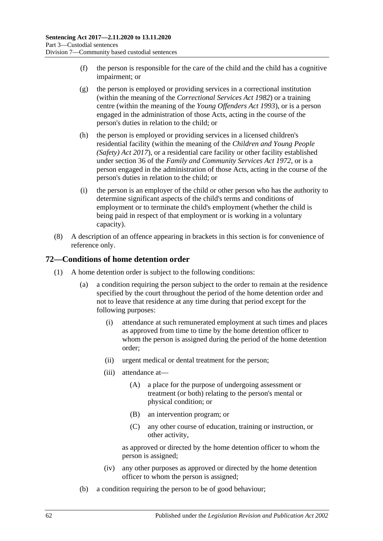- (f) the person is responsible for the care of the child and the child has a cognitive impairment; or
- (g) the person is employed or providing services in a correctional institution (within the meaning of the *[Correctional Services Act](http://www.legislation.sa.gov.au/index.aspx?action=legref&type=act&legtitle=Correctional%20Services%20Act%201982) 1982*) or a training centre (within the meaning of the *[Young Offenders Act](http://www.legislation.sa.gov.au/index.aspx?action=legref&type=act&legtitle=Young%20Offenders%20Act%201993) 1993*), or is a person engaged in the administration of those Acts, acting in the course of the person's duties in relation to the child; or
- (h) the person is employed or providing services in a licensed children's residential facility (within the meaning of the *[Children and Young People](http://www.legislation.sa.gov.au/index.aspx?action=legref&type=act&legtitle=Children%20and%20Young%20People%20(Safety)%20Act%202017)  [\(Safety\) Act](http://www.legislation.sa.gov.au/index.aspx?action=legref&type=act&legtitle=Children%20and%20Young%20People%20(Safety)%20Act%202017) 2017*), or a residential care facility or other facility established under section 36 of the *[Family and Community Services Act](http://www.legislation.sa.gov.au/index.aspx?action=legref&type=act&legtitle=Family%20and%20Community%20Services%20Act%201972) 1972*, or is a person engaged in the administration of those Acts, acting in the course of the person's duties in relation to the child; or
- (i) the person is an employer of the child or other person who has the authority to determine significant aspects of the child's terms and conditions of employment or to terminate the child's employment (whether the child is being paid in respect of that employment or is working in a voluntary capacity).
- (8) A description of an offence appearing in brackets in this section is for convenience of reference only.

# **72—Conditions of home detention order**

- (1) A home detention order is subject to the following conditions:
	- (a) a condition requiring the person subject to the order to remain at the residence specified by the court throughout the period of the home detention order and not to leave that residence at any time during that period except for the following purposes:
		- (i) attendance at such remunerated employment at such times and places as approved from time to time by the home detention officer to whom the person is assigned during the period of the home detention order;
		- (ii) urgent medical or dental treatment for the person;
		- (iii) attendance at—
			- (A) a place for the purpose of undergoing assessment or treatment (or both) relating to the person's mental or physical condition; or
			- (B) an intervention program; or
			- (C) any other course of education, training or instruction, or other activity,

as approved or directed by the home detention officer to whom the person is assigned;

- (iv) any other purposes as approved or directed by the home detention officer to whom the person is assigned;
- (b) a condition requiring the person to be of good behaviour;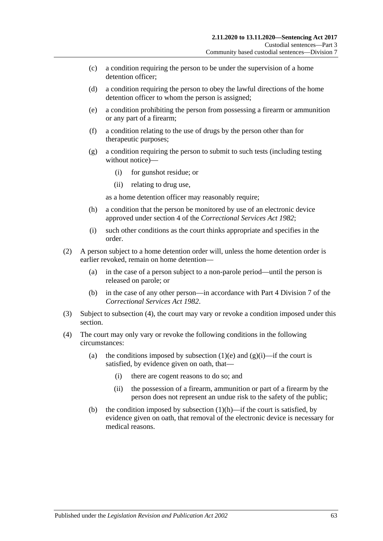- (c) a condition requiring the person to be under the supervision of a home detention officer;
- (d) a condition requiring the person to obey the lawful directions of the home detention officer to whom the person is assigned;
- <span id="page-62-0"></span>(e) a condition prohibiting the person from possessing a firearm or ammunition or any part of a firearm;
- (f) a condition relating to the use of drugs by the person other than for therapeutic purposes;
- <span id="page-62-2"></span>(g) a condition requiring the person to submit to such tests (including testing without notice)—
	- (i) for gunshot residue; or
	- (ii) relating to drug use,

as a home detention officer may reasonably require;

- <span id="page-62-3"></span>(h) a condition that the person be monitored by use of an electronic device approved under section 4 of the *[Correctional Services Act](http://www.legislation.sa.gov.au/index.aspx?action=legref&type=act&legtitle=Correctional%20Services%20Act%201982) 1982*;
- (i) such other conditions as the court thinks appropriate and specifies in the order.
- (2) A person subject to a home detention order will, unless the home detention order is earlier revoked, remain on home detention—
	- (a) in the case of a person subject to a non-parole period—until the person is released on parole; or
	- (b) in the case of any other person—in accordance with Part 4 Division 7 of the *[Correctional Services Act](http://www.legislation.sa.gov.au/index.aspx?action=legref&type=act&legtitle=Correctional%20Services%20Act%201982) 1982*.
- (3) Subject to [subsection](#page-62-1) (4), the court may vary or revoke a condition imposed under this section.
- <span id="page-62-1"></span>(4) The court may only vary or revoke the following conditions in the following circumstances:
	- (a) the conditions imposed by [subsection](#page-62-0) (1)(e) and [\(g\)\(i\)—](#page-62-2)if the court is satisfied, by evidence given on oath, that—
		- (i) there are cogent reasons to do so; and
		- (ii) the possession of a firearm, ammunition or part of a firearm by the person does not represent an undue risk to the safety of the public;
	- (b) the condition imposed by [subsection](#page-62-3)  $(1)(h)$ —if the court is satisfied, by evidence given on oath, that removal of the electronic device is necessary for medical reasons.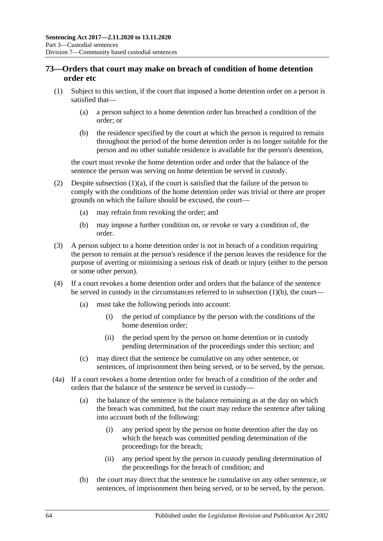# <span id="page-63-3"></span>**73—Orders that court may make on breach of condition of home detention order etc**

- <span id="page-63-1"></span><span id="page-63-0"></span>(1) Subject to this section, if the court that imposed a home detention order on a person is satisfied that—
	- (a) a person subject to a home detention order has breached a condition of the order; or
	- (b) the residence specified by the court at which the person is required to remain throughout the period of the home detention order is no longer suitable for the person and no other suitable residence is available for the person's detention,

the court must revoke the home detention order and order that the balance of the sentence the person was serving on home detention be served in custody.

- (2) Despite [subsection](#page-63-0)  $(1)(a)$ , if the court is satisfied that the failure of the person to comply with the conditions of the home detention order was trivial or there are proper grounds on which the failure should be excused, the court—
	- (a) may refrain from revoking the order; and
	- (b) may impose a further condition on, or revoke or vary a condition of, the order.
- (3) A person subject to a home detention order is not in breach of a condition requiring the person to remain at the person's residence if the person leaves the residence for the purpose of averting or minimising a serious risk of death or injury (either to the person or some other person).
- (4) If a court revokes a home detention order and orders that the balance of the sentence be served in custody in the circumstances referred to in [subsection](#page-63-1)  $(1)(b)$ , the court—
	- (a) must take the following periods into account:
		- (i) the period of compliance by the person with the conditions of the home detention order;
		- (ii) the period spent by the person on home detention or in custody pending determination of the proceedings under this section; and
	- (c) may direct that the sentence be cumulative on any other sentence, or sentences, of imprisonment then being served, or to be served, by the person.
- <span id="page-63-2"></span>(4a) If a court revokes a home detention order for breach of a condition of the order and orders that the balance of the sentence be served in custody—
	- (a) the balance of the sentence is the balance remaining as at the day on which the breach was committed, but the court may reduce the sentence after taking into account both of the following:
		- (i) any period spent by the person on home detention after the day on which the breach was committed pending determination of the proceedings for the breach;
		- (ii) any period spent by the person in custody pending determination of the proceedings for the breach of condition; and
	- (b) the court may direct that the sentence be cumulative on any other sentence, or sentences, of imprisonment then being served, or to be served, by the person.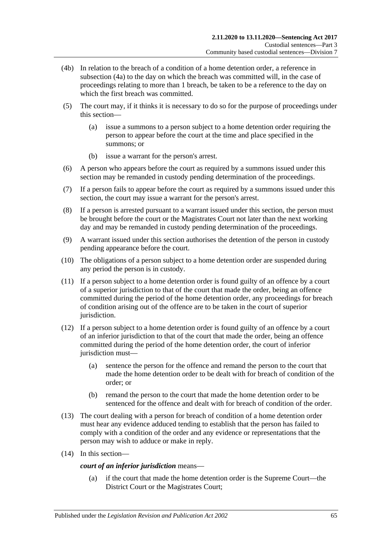- (4b) In relation to the breach of a condition of a home detention order, a reference in [subsection](#page-63-2) (4a) to the day on which the breach was committed will, in the case of proceedings relating to more than 1 breach, be taken to be a reference to the day on which the first breach was committed.
- (5) The court may, if it thinks it is necessary to do so for the purpose of proceedings under this section—
	- (a) issue a summons to a person subject to a home detention order requiring the person to appear before the court at the time and place specified in the summons; or
	- (b) issue a warrant for the person's arrest.
- (6) A person who appears before the court as required by a summons issued under this section may be remanded in custody pending determination of the proceedings.
- (7) If a person fails to appear before the court as required by a summons issued under this section, the court may issue a warrant for the person's arrest.
- <span id="page-64-0"></span>(8) If a person is arrested pursuant to a warrant issued under this section, the person must be brought before the court or the Magistrates Court not later than the next working day and may be remanded in custody pending determination of the proceedings.
- (9) A warrant issued under this section authorises the detention of the person in custody pending appearance before the court.
- <span id="page-64-1"></span>(10) The obligations of a person subject to a home detention order are suspended during any period the person is in custody.
- (11) If a person subject to a home detention order is found guilty of an offence by a court of a superior jurisdiction to that of the court that made the order, being an offence committed during the period of the home detention order, any proceedings for breach of condition arising out of the offence are to be taken in the court of superior jurisdiction.
- (12) If a person subject to a home detention order is found guilty of an offence by a court of an inferior jurisdiction to that of the court that made the order, being an offence committed during the period of the home detention order, the court of inferior jurisdiction must-
	- (a) sentence the person for the offence and remand the person to the court that made the home detention order to be dealt with for breach of condition of the order; or
	- (b) remand the person to the court that made the home detention order to be sentenced for the offence and dealt with for breach of condition of the order.
- (13) The court dealing with a person for breach of condition of a home detention order must hear any evidence adduced tending to establish that the person has failed to comply with a condition of the order and any evidence or representations that the person may wish to adduce or make in reply.
- (14) In this section—

### *court of an inferior jurisdiction* means—

(a) if the court that made the home detention order is the Supreme Court—the District Court or the Magistrates Court;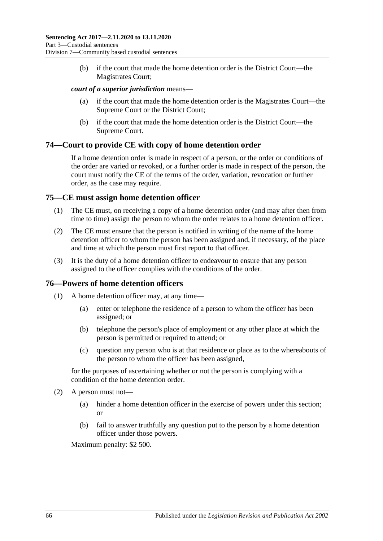(b) if the court that made the home detention order is the District Court—the Magistrates Court;

#### *court of a superior jurisdiction* means—

- (a) if the court that made the home detention order is the Magistrates Court—the Supreme Court or the District Court;
- (b) if the court that made the home detention order is the District Court—the Supreme Court.

### **74—Court to provide CE with copy of home detention order**

If a home detention order is made in respect of a person, or the order or conditions of the order are varied or revoked, or a further order is made in respect of the person, the court must notify the CE of the terms of the order, variation, revocation or further order, as the case may require.

# **75—CE must assign home detention officer**

- (1) The CE must, on receiving a copy of a home detention order (and may after then from time to time) assign the person to whom the order relates to a home detention officer.
- (2) The CE must ensure that the person is notified in writing of the name of the home detention officer to whom the person has been assigned and, if necessary, of the place and time at which the person must first report to that officer.
- (3) It is the duty of a home detention officer to endeavour to ensure that any person assigned to the officer complies with the conditions of the order.

# **76—Powers of home detention officers**

- (1) A home detention officer may, at any time—
	- (a) enter or telephone the residence of a person to whom the officer has been assigned; or
	- (b) telephone the person's place of employment or any other place at which the person is permitted or required to attend; or
	- (c) question any person who is at that residence or place as to the whereabouts of the person to whom the officer has been assigned,

for the purposes of ascertaining whether or not the person is complying with a condition of the home detention order.

- (2) A person must not—
	- (a) hinder a home detention officer in the exercise of powers under this section; or
	- (b) fail to answer truthfully any question put to the person by a home detention officer under those powers.

Maximum penalty: \$2 500.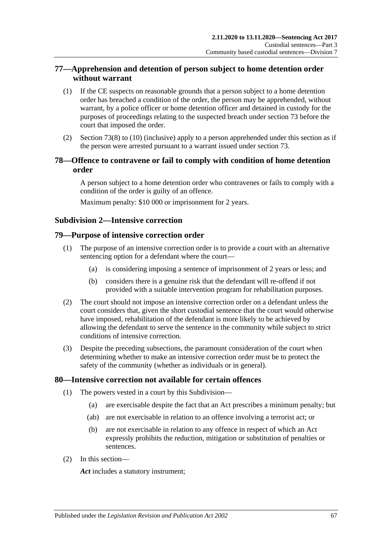# **77—Apprehension and detention of person subject to home detention order without warrant**

- (1) If the CE suspects on reasonable grounds that a person subject to a home detention order has breached a condition of the order, the person may be apprehended, without warrant, by a police officer or home detention officer and detained in custody for the purposes of proceedings relating to the suspected breach under [section](#page-63-3) 73 before the court that imposed the order.
- (2) [Section](#page-64-0) 73(8) to [\(10\)](#page-64-1) (inclusive) apply to a person apprehended under this section as if the person were arrested pursuant to a warrant issued under [section](#page-63-3) 73.

# **78—Offence to contravene or fail to comply with condition of home detention order**

A person subject to a home detention order who contravenes or fails to comply with a condition of the order is guilty of an offence.

Maximum penalty: \$10 000 or imprisonment for 2 years.

# **Subdivision 2—Intensive correction**

### **79—Purpose of intensive correction order**

- (1) The purpose of an intensive correction order is to provide a court with an alternative sentencing option for a defendant where the court—
	- (a) is considering imposing a sentence of imprisonment of 2 years or less; and
	- (b) considers there is a genuine risk that the defendant will re-offend if not provided with a suitable intervention program for rehabilitation purposes.
- (2) The court should not impose an intensive correction order on a defendant unless the court considers that, given the short custodial sentence that the court would otherwise have imposed, rehabilitation of the defendant is more likely to be achieved by allowing the defendant to serve the sentence in the community while subject to strict conditions of intensive correction.
- (3) Despite the preceding subsections, the paramount consideration of the court when determining whether to make an intensive correction order must be to protect the safety of the community (whether as individuals or in general).

### **80—Intensive correction not available for certain offences**

- (1) The powers vested in a court by this Subdivision—
	- (a) are exercisable despite the fact that an Act prescribes a minimum penalty; but
	- (ab) are not exercisable in relation to an offence involving a terrorist act; or
	- (b) are not exercisable in relation to any offence in respect of which an Act expressly prohibits the reduction, mitigation or substitution of penalties or sentences.
- (2) In this section—

*Act* includes a statutory instrument;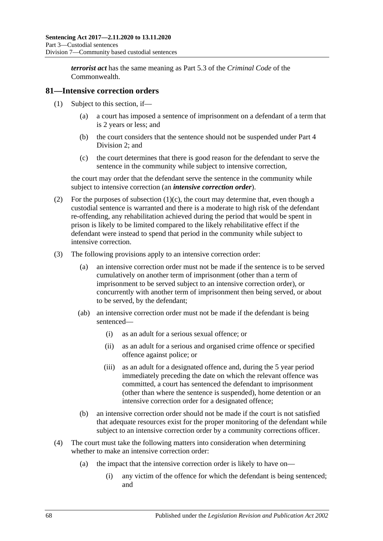*terrorist act* has the same meaning as Part 5.3 of the *Criminal Code* of the **Commonwealth** 

### **81—Intensive correction orders**

- (1) Subject to this section, if—
	- (a) a court has imposed a sentence of imprisonment on a defendant of a term that is 2 years or less; and
	- (b) the court considers that the sentence should not be suspended under [Part](#page-79-1) 4 [Division](#page-79-1) 2; and
	- (c) the court determines that there is good reason for the defendant to serve the sentence in the community while subject to intensive correction,

<span id="page-67-0"></span>the court may order that the defendant serve the sentence in the community while subject to intensive correction (an *intensive correction order*).

- (2) For the purposes of [subsection](#page-67-0) (1)(c), the court may determine that, even though a custodial sentence is warranted and there is a moderate to high risk of the defendant re-offending, any rehabilitation achieved during the period that would be spent in prison is likely to be limited compared to the likely rehabilitative effect if the defendant were instead to spend that period in the community while subject to intensive correction.
- (3) The following provisions apply to an intensive correction order:
	- (a) an intensive correction order must not be made if the sentence is to be served cumulatively on another term of imprisonment (other than a term of imprisonment to be served subject to an intensive correction order), or concurrently with another term of imprisonment then being served, or about to be served, by the defendant;
	- (ab) an intensive correction order must not be made if the defendant is being sentenced—
		- (i) as an adult for a serious sexual offence; or
		- (ii) as an adult for a serious and organised crime offence or specified offence against police; or
		- (iii) as an adult for a designated offence and, during the 5 year period immediately preceding the date on which the relevant offence was committed, a court has sentenced the defendant to imprisonment (other than where the sentence is suspended), home detention or an intensive correction order for a designated offence;
	- (b) an intensive correction order should not be made if the court is not satisfied that adequate resources exist for the proper monitoring of the defendant while subject to an intensive correction order by a community corrections officer.
- (4) The court must take the following matters into consideration when determining whether to make an intensive correction order:
	- (a) the impact that the intensive correction order is likely to have on—
		- (i) any victim of the offence for which the defendant is being sentenced; and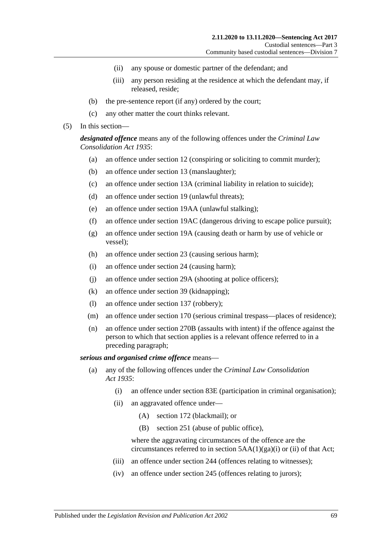- (ii) any spouse or domestic partner of the defendant; and
- (iii) any person residing at the residence at which the defendant may, if released, reside;
- (b) the pre-sentence report (if any) ordered by the court;
- (c) any other matter the court thinks relevant.
- (5) In this section—

*designated offence* means any of the following offences under the *[Criminal Law](http://www.legislation.sa.gov.au/index.aspx?action=legref&type=act&legtitle=Criminal%20Law%20Consolidation%20Act%201935)  [Consolidation Act](http://www.legislation.sa.gov.au/index.aspx?action=legref&type=act&legtitle=Criminal%20Law%20Consolidation%20Act%201935) 1935*:

- (a) an offence under section 12 (conspiring or soliciting to commit murder);
- (b) an offence under section 13 (manslaughter);
- (c) an offence under section 13A (criminal liability in relation to suicide);
- (d) an offence under section 19 (unlawful threats);
- (e) an offence under section 19AA (unlawful stalking);
- (f) an offence under section 19AC (dangerous driving to escape police pursuit);
- (g) an offence under section 19A (causing death or harm by use of vehicle or vessel);
- (h) an offence under section 23 (causing serious harm);
- (i) an offence under section 24 (causing harm);
- (j) an offence under section 29A (shooting at police officers);
- (k) an offence under section 39 (kidnapping);
- (l) an offence under section 137 (robbery);
- (m) an offence under section 170 (serious criminal trespass—places of residence);
- (n) an offence under section 270B (assaults with intent) if the offence against the person to which that section applies is a relevant offence referred to in a preceding paragraph;

#### *serious and organised crime offence* means—

- (a) any of the following offences under the *[Criminal Law Consolidation](http://www.legislation.sa.gov.au/index.aspx?action=legref&type=act&legtitle=Criminal%20Law%20Consolidation%20Act%201935)  Act [1935](http://www.legislation.sa.gov.au/index.aspx?action=legref&type=act&legtitle=Criminal%20Law%20Consolidation%20Act%201935)*:
	- (i) an offence under section 83E (participation in criminal organisation);
	- (ii) an aggravated offence under—
		- (A) section 172 (blackmail); or
		- (B) section 251 (abuse of public office),

where the aggravating circumstances of the offence are the circumstances referred to in section  $5AA(1)(ga)(i)$  or (ii) of that Act;

- (iii) an offence under section 244 (offences relating to witnesses);
- (iv) an offence under section 245 (offences relating to jurors);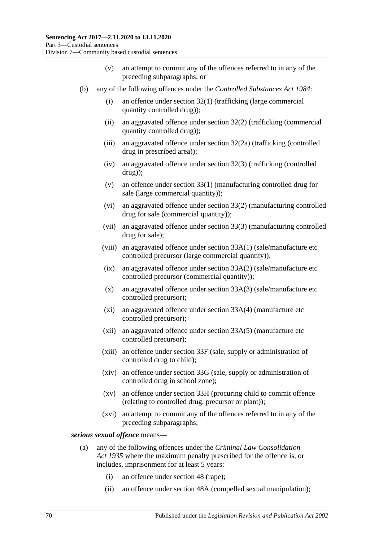- (v) an attempt to commit any of the offences referred to in any of the preceding subparagraphs; or
- (b) any of the following offences under the *[Controlled Substances Act](http://www.legislation.sa.gov.au/index.aspx?action=legref&type=act&legtitle=Controlled%20Substances%20Act%201984) 1984*:
	- (i) an offence under section 32(1) (trafficking (large commercial quantity controlled drug));
	- (ii) an aggravated offence under section 32(2) (trafficking (commercial quantity controlled drug));
	- (iii) an aggravated offence under section 32(2a) (trafficking (controlled drug in prescribed area));
	- (iv) an aggravated offence under section 32(3) (trafficking (controlled drug));
	- (v) an offence under section 33(1) (manufacturing controlled drug for sale (large commercial quantity));
	- (vi) an aggravated offence under section 33(2) (manufacturing controlled drug for sale (commercial quantity));
	- (vii) an aggravated offence under section 33(3) (manufacturing controlled drug for sale);
	- (viii) an aggravated offence under section 33A(1) (sale/manufacture etc controlled precursor (large commercial quantity));
	- (ix) an aggravated offence under section 33A(2) (sale/manufacture etc controlled precursor (commercial quantity));
	- (x) an aggravated offence under section 33A(3) (sale/manufacture etc controlled precursor);
	- (xi) an aggravated offence under section 33A(4) (manufacture etc controlled precursor);
	- (xii) an aggravated offence under section 33A(5) (manufacture etc controlled precursor);
	- (xiii) an offence under section 33F (sale, supply or administration of controlled drug to child);
	- (xiv) an offence under section 33G (sale, supply or administration of controlled drug in school zone);
	- (xv) an offence under section 33H (procuring child to commit offence (relating to controlled drug, precursor or plant));
	- (xvi) an attempt to commit any of the offences referred to in any of the preceding subparagraphs;

<span id="page-69-0"></span>*serious sexual offence* means—

- (a) any of the following offences under the *[Criminal Law Consolidation](http://www.legislation.sa.gov.au/index.aspx?action=legref&type=act&legtitle=Criminal%20Law%20Consolidation%20Act%201935)  Act [1935](http://www.legislation.sa.gov.au/index.aspx?action=legref&type=act&legtitle=Criminal%20Law%20Consolidation%20Act%201935)* where the maximum penalty prescribed for the offence is, or includes, imprisonment for at least 5 years:
	- (i) an offence under section 48 (rape);
	- (ii) an offence under section 48A (compelled sexual manipulation);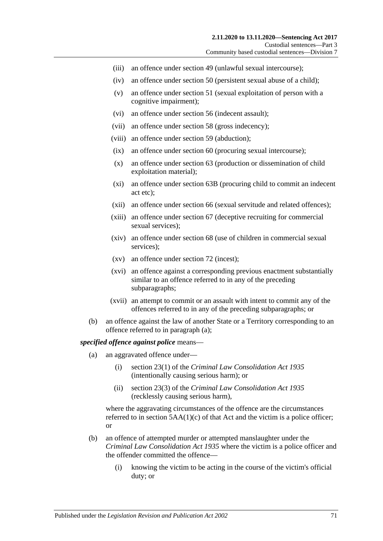- (iii) an offence under section 49 (unlawful sexual intercourse);
- (iv) an offence under section 50 (persistent sexual abuse of a child);
- (v) an offence under section 51 (sexual exploitation of person with a cognitive impairment);
- (vi) an offence under section 56 (indecent assault);
- (vii) an offence under section 58 (gross indecency);
- (viii) an offence under section 59 (abduction);
- (ix) an offence under section 60 (procuring sexual intercourse);
- (x) an offence under section 63 (production or dissemination of child exploitation material);
- (xi) an offence under section 63B (procuring child to commit an indecent act etc);
- (xii) an offence under section 66 (sexual servitude and related offences);
- (xiii) an offence under section 67 (deceptive recruiting for commercial sexual services);
- (xiv) an offence under section 68 (use of children in commercial sexual services);
- (xv) an offence under section 72 (incest);
- (xvi) an offence against a corresponding previous enactment substantially similar to an offence referred to in any of the preceding subparagraphs;
- (xvii) an attempt to commit or an assault with intent to commit any of the offences referred to in any of the preceding subparagraphs; or
- (b) an offence against the law of another State or a Territory corresponding to an offence referred to in [paragraph](#page-69-0) (a);

#### *specified offence against police* means—

- (a) an aggravated offence under—
	- (i) section 23(1) of the *[Criminal Law Consolidation Act](http://www.legislation.sa.gov.au/index.aspx?action=legref&type=act&legtitle=Criminal%20Law%20Consolidation%20Act%201935) 1935* (intentionally causing serious harm); or
	- (ii) section 23(3) of the *Criminal [Law Consolidation Act](http://www.legislation.sa.gov.au/index.aspx?action=legref&type=act&legtitle=Criminal%20Law%20Consolidation%20Act%201935) 1935* (recklessly causing serious harm),

where the aggravating circumstances of the offence are the circumstances referred to in section  $5AA(1)(c)$  of that Act and the victim is a police officer; or

- (b) an offence of attempted murder or attempted manslaughter under the *[Criminal Law Consolidation Act](http://www.legislation.sa.gov.au/index.aspx?action=legref&type=act&legtitle=Criminal%20Law%20Consolidation%20Act%201935) 1935* where the victim is a police officer and the offender committed the offence—
	- (i) knowing the victim to be acting in the course of the victim's official duty; or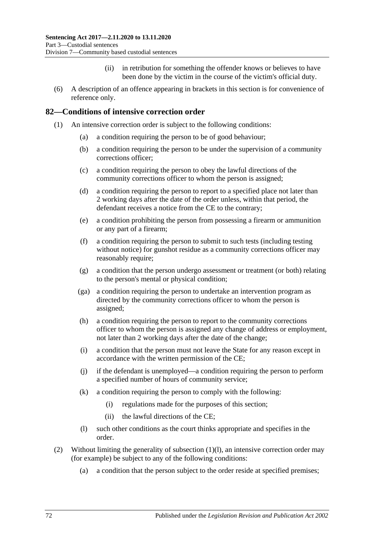- (ii) in retribution for something the offender knows or believes to have been done by the victim in the course of the victim's official duty.
- (6) A description of an offence appearing in brackets in this section is for convenience of reference only.

### **82—Conditions of intensive correction order**

- (1) An intensive correction order is subject to the following conditions:
	- (a) a condition requiring the person to be of good behaviour;
	- (b) a condition requiring the person to be under the supervision of a community corrections officer;
	- (c) a condition requiring the person to obey the lawful directions of the community corrections officer to whom the person is assigned;
	- (d) a condition requiring the person to report to a specified place not later than 2 working days after the date of the order unless, within that period, the defendant receives a notice from the CE to the contrary;
	- (e) a condition prohibiting the person from possessing a firearm or ammunition or any part of a firearm;
	- (f) a condition requiring the person to submit to such tests (including testing without notice) for gunshot residue as a community corrections officer may reasonably require;
	- (g) a condition that the person undergo assessment or treatment (or both) relating to the person's mental or physical condition;
	- (ga) a condition requiring the person to undertake an intervention program as directed by the community corrections officer to whom the person is assigned;
	- (h) a condition requiring the person to report to the community corrections officer to whom the person is assigned any change of address or employment, not later than 2 working days after the date of the change;
	- (i) a condition that the person must not leave the State for any reason except in accordance with the written permission of the CE;
	- (j) if the defendant is unemployed—a condition requiring the person to perform a specified number of hours of community service;
	- (k) a condition requiring the person to comply with the following:
		- (i) regulations made for the purposes of this section;
		- (ii) the lawful directions of the CE;
	- (l) such other conditions as the court thinks appropriate and specifies in the order.
- <span id="page-71-0"></span>(2) Without limiting the generality of [subsection](#page-71-0) (1)(l), an intensive correction order may (for example) be subject to any of the following conditions:
	- (a) a condition that the person subject to the order reside at specified premises;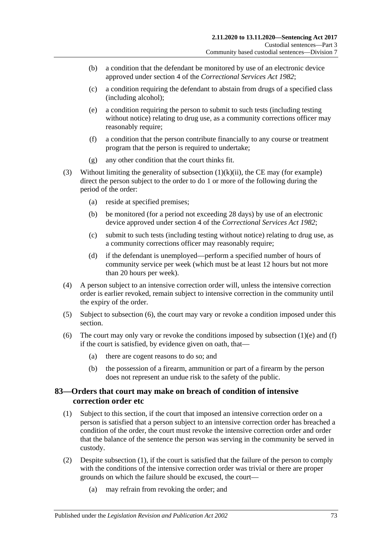- (b) a condition that the defendant be monitored by use of an electronic device approved under section 4 of the *[Correctional Services Act](http://www.legislation.sa.gov.au/index.aspx?action=legref&type=act&legtitle=Correctional%20Services%20Act%201982) 1982*;
- (c) a condition requiring the defendant to abstain from drugs of a specified class (including alcohol);
- (e) a condition requiring the person to submit to such tests (including testing without notice) relating to drug use, as a community corrections officer may reasonably require:
- (f) a condition that the person contribute financially to any course or treatment program that the person is required to undertake;
- (g) any other condition that the court thinks fit.
- (3) Without limiting the generality of [subsection](#page-71-0)  $(1)(k)(ii)$ , the CE may (for example) direct the person subject to the order to do 1 or more of the following during the period of the order:
	- (a) reside at specified premises;
	- (b) be monitored (for a period not exceeding 28 days) by use of an electronic device approved under section 4 of the *[Correctional Services Act](http://www.legislation.sa.gov.au/index.aspx?action=legref&type=act&legtitle=Correctional%20Services%20Act%201982) 1982*;
	- (c) submit to such tests (including testing without notice) relating to drug use, as a community corrections officer may reasonably require;
	- (d) if the defendant is unemployed—perform a specified number of hours of community service per week (which must be at least 12 hours but not more than 20 hours per week).
- (4) A person subject to an intensive correction order will, unless the intensive correction order is earlier revoked, remain subject to intensive correction in the community until the expiry of the order.
- (5) Subject to [subsection](#page-72-0) (6), the court may vary or revoke a condition imposed under this section.
- <span id="page-72-0"></span>(6) The court may only vary or revoke the conditions imposed by [subsection](#page-71-1)  $(1)(e)$  and  $(f)$ if the court is satisfied, by evidence given on oath, that—
	- (a) there are cogent reasons to do so; and
	- (b) the possession of a firearm, ammunition or part of a firearm by the person does not represent an undue risk to the safety of the public.

## <span id="page-72-2"></span>**83—Orders that court may make on breach of condition of intensive correction order etc**

- <span id="page-72-1"></span>(1) Subject to this section, if the court that imposed an intensive correction order on a person is satisfied that a person subject to an intensive correction order has breached a condition of the order, the court must revoke the intensive correction order and order that the balance of the sentence the person was serving in the community be served in custody.
- (2) Despite [subsection](#page-72-1) (1), if the court is satisfied that the failure of the person to comply with the conditions of the intensive correction order was trivial or there are proper grounds on which the failure should be excused, the court—
	- (a) may refrain from revoking the order; and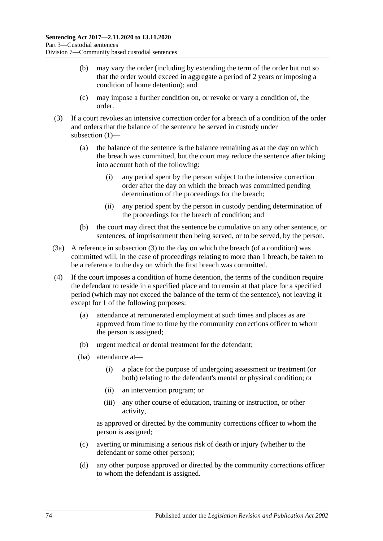- (b) may vary the order (including by extending the term of the order but not so that the order would exceed in aggregate a period of 2 years or imposing a condition of home detention); and
- (c) may impose a further condition on, or revoke or vary a condition of, the order.
- (3) If a court revokes an intensive correction order for a breach of a condition of the order and orders that the balance of the sentence be served in custody under subsection (1)-
	- (a) the balance of the sentence is the balance remaining as at the day on which the breach was committed, but the court may reduce the sentence after taking into account both of the following:
		- (i) any period spent by the person subject to the intensive correction order after the day on which the breach was committed pending determination of the proceedings for the breach;
		- (ii) any period spent by the person in custody pending determination of the proceedings for the breach of condition; and
	- (b) the court may direct that the sentence be cumulative on any other sentence, or sentences, of imprisonment then being served, or to be served, by the person.
- (3a) A reference in subsection (3) to the day on which the breach (of a condition) was committed will, in the case of proceedings relating to more than 1 breach, be taken to be a reference to the day on which the first breach was committed.
- (4) If the court imposes a condition of home detention, the terms of the condition require the defendant to reside in a specified place and to remain at that place for a specified period (which may not exceed the balance of the term of the sentence), not leaving it except for 1 of the following purposes:
	- (a) attendance at remunerated employment at such times and places as are approved from time to time by the community corrections officer to whom the person is assigned;
	- (b) urgent medical or dental treatment for the defendant;
	- (ba) attendance at—
		- (i) a place for the purpose of undergoing assessment or treatment (or both) relating to the defendant's mental or physical condition; or
		- (ii) an intervention program; or
		- (iii) any other course of education, training or instruction, or other activity,

as approved or directed by the community corrections officer to whom the person is assigned;

- (c) averting or minimising a serious risk of death or injury (whether to the defendant or some other person);
- (d) any other purpose approved or directed by the community corrections officer to whom the defendant is assigned.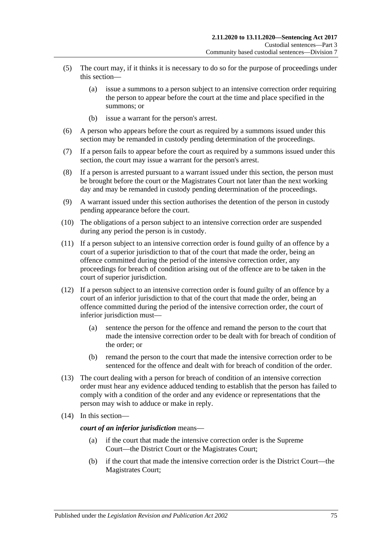- (5) The court may, if it thinks it is necessary to do so for the purpose of proceedings under this section—
	- (a) issue a summons to a person subject to an intensive correction order requiring the person to appear before the court at the time and place specified in the summons; or
	- (b) issue a warrant for the person's arrest.
- (6) A person who appears before the court as required by a summons issued under this section may be remanded in custody pending determination of the proceedings.
- (7) If a person fails to appear before the court as required by a summons issued under this section, the court may issue a warrant for the person's arrest.
- (8) If a person is arrested pursuant to a warrant issued under this section, the person must be brought before the court or the Magistrates Court not later than the next working day and may be remanded in custody pending determination of the proceedings.
- <span id="page-74-0"></span>(9) A warrant issued under this section authorises the detention of the person in custody pending appearance before the court.
- (10) The obligations of a person subject to an intensive correction order are suspended during any period the person is in custody.
- <span id="page-74-1"></span>(11) If a person subject to an intensive correction order is found guilty of an offence by a court of a superior jurisdiction to that of the court that made the order, being an offence committed during the period of the intensive correction order, any proceedings for breach of condition arising out of the offence are to be taken in the court of superior jurisdiction.
- (12) If a person subject to an intensive correction order is found guilty of an offence by a court of an inferior jurisdiction to that of the court that made the order, being an offence committed during the period of the intensive correction order, the court of inferior jurisdiction must—
	- (a) sentence the person for the offence and remand the person to the court that made the intensive correction order to be dealt with for breach of condition of the order; or
	- (b) remand the person to the court that made the intensive correction order to be sentenced for the offence and dealt with for breach of condition of the order.
- (13) The court dealing with a person for breach of condition of an intensive correction order must hear any evidence adduced tending to establish that the person has failed to comply with a condition of the order and any evidence or representations that the person may wish to adduce or make in reply.
- (14) In this section—

#### *court of an inferior jurisdiction* means—

- (a) if the court that made the intensive correction order is the Supreme Court—the District Court or the Magistrates Court;
- (b) if the court that made the intensive correction order is the District Court—the Magistrates Court;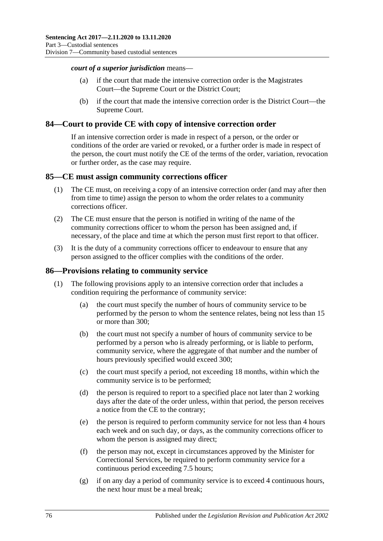#### *court of a superior jurisdiction* means—

- (a) if the court that made the intensive correction order is the Magistrates Court—the Supreme Court or the District Court;
- (b) if the court that made the intensive correction order is the District Court—the Supreme Court.

#### **84—Court to provide CE with copy of intensive correction order**

If an intensive correction order is made in respect of a person, or the order or conditions of the order are varied or revoked, or a further order is made in respect of the person, the court must notify the CE of the terms of the order, variation, revocation or further order, as the case may require.

#### **85—CE must assign community corrections officer**

- (1) The CE must, on receiving a copy of an intensive correction order (and may after then from time to time) assign the person to whom the order relates to a community corrections officer.
- (2) The CE must ensure that the person is notified in writing of the name of the community corrections officer to whom the person has been assigned and, if necessary, of the place and time at which the person must first report to that officer.
- (3) It is the duty of a community corrections officer to endeavour to ensure that any person assigned to the officer complies with the conditions of the order.

#### **86—Provisions relating to community service**

- (1) The following provisions apply to an intensive correction order that includes a condition requiring the performance of community service:
	- (a) the court must specify the number of hours of community service to be performed by the person to whom the sentence relates, being not less than 15 or more than 300;
	- (b) the court must not specify a number of hours of community service to be performed by a person who is already performing, or is liable to perform, community service, where the aggregate of that number and the number of hours previously specified would exceed 300;
	- (c) the court must specify a period, not exceeding 18 months, within which the community service is to be performed;
	- (d) the person is required to report to a specified place not later than 2 working days after the date of the order unless, within that period, the person receives a notice from the CE to the contrary;
	- (e) the person is required to perform community service for not less than 4 hours each week and on such day, or days, as the community corrections officer to whom the person is assigned may direct;
	- (f) the person may not, except in circumstances approved by the Minister for Correctional Services, be required to perform community service for a continuous period exceeding 7.5 hours;
	- (g) if on any day a period of community service is to exceed 4 continuous hours, the next hour must be a meal break;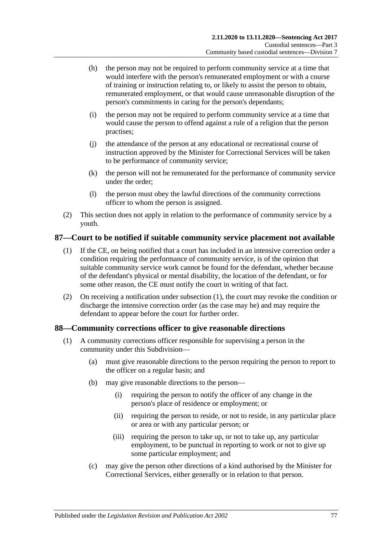- (h) the person may not be required to perform community service at a time that would interfere with the person's remunerated employment or with a course of training or instruction relating to, or likely to assist the person to obtain, remunerated employment, or that would cause unreasonable disruption of the person's commitments in caring for the person's dependants;
- (i) the person may not be required to perform community service at a time that would cause the person to offend against a rule of a religion that the person practises;
- (j) the attendance of the person at any educational or recreational course of instruction approved by the Minister for Correctional Services will be taken to be performance of community service;
- (k) the person will not be remunerated for the performance of community service under the order;
- (l) the person must obey the lawful directions of the community corrections officer to whom the person is assigned.
- (2) This section does not apply in relation to the performance of community service by a youth.

## <span id="page-76-0"></span>**87—Court to be notified if suitable community service placement not available**

- (1) If the CE, on being notified that a court has included in an intensive correction order a condition requiring the performance of community service, is of the opinion that suitable community service work cannot be found for the defendant, whether because of the defendant's physical or mental disability, the location of the defendant, or for some other reason, the CE must notify the court in writing of that fact.
- (2) On receiving a notification under [subsection](#page-76-0) (1), the court may revoke the condition or discharge the intensive correction order (as the case may be) and may require the defendant to appear before the court for further order.

## **88—Community corrections officer to give reasonable directions**

- (1) A community corrections officer responsible for supervising a person in the community under this Subdivision—
	- (a) must give reasonable directions to the person requiring the person to report to the officer on a regular basis; and
	- (b) may give reasonable directions to the person—
		- (i) requiring the person to notify the officer of any change in the person's place of residence or employment; or
		- (ii) requiring the person to reside, or not to reside, in any particular place or area or with any particular person; or
		- (iii) requiring the person to take up, or not to take up, any particular employment, to be punctual in reporting to work or not to give up some particular employment; and
	- (c) may give the person other directions of a kind authorised by the Minister for Correctional Services, either generally or in relation to that person.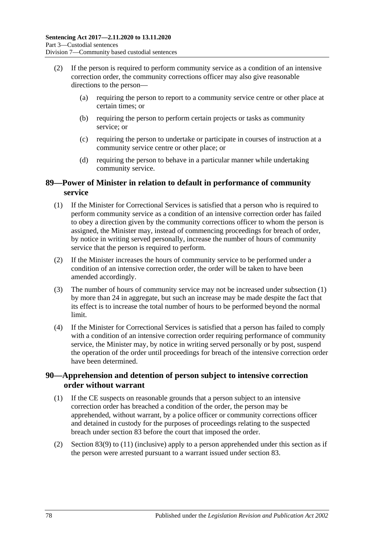- (2) If the person is required to perform community service as a condition of an intensive correction order, the community corrections officer may also give reasonable directions to the person—
	- (a) requiring the person to report to a community service centre or other place at certain times; or
	- (b) requiring the person to perform certain projects or tasks as community service; or
	- (c) requiring the person to undertake or participate in courses of instruction at a community service centre or other place; or
	- (d) requiring the person to behave in a particular manner while undertaking community service.

### **89—Power of Minister in relation to default in performance of community service**

- <span id="page-77-0"></span>(1) If the Minister for Correctional Services is satisfied that a person who is required to perform community service as a condition of an intensive correction order has failed to obey a direction given by the community corrections officer to whom the person is assigned, the Minister may, instead of commencing proceedings for breach of order, by notice in writing served personally, increase the number of hours of community service that the person is required to perform.
- (2) If the Minister increases the hours of community service to be performed under a condition of an intensive correction order, the order will be taken to have been amended accordingly.
- (3) The number of hours of community service may not be increased under [subsection](#page-77-0) (1) by more than 24 in aggregate, but such an increase may be made despite the fact that its effect is to increase the total number of hours to be performed beyond the normal limit.
- (4) If the Minister for Correctional Services is satisfied that a person has failed to comply with a condition of an intensive correction order requiring performance of community service, the Minister may, by notice in writing served personally or by post, suspend the operation of the order until proceedings for breach of the intensive correction order have been determined.

## **90—Apprehension and detention of person subject to intensive correction order without warrant**

- (1) If the CE suspects on reasonable grounds that a person subject to an intensive correction order has breached a condition of the order, the person may be apprehended, without warrant, by a police officer or community corrections officer and detained in custody for the purposes of proceedings relating to the suspected breach under [section](#page-72-2) 83 before the court that imposed the order.
- (2) [Section](#page-74-0) 83(9) to [\(11\)](#page-74-1) (inclusive) apply to a person apprehended under this section as if the person were arrested pursuant to a warrant issued under [section](#page-72-2) 83.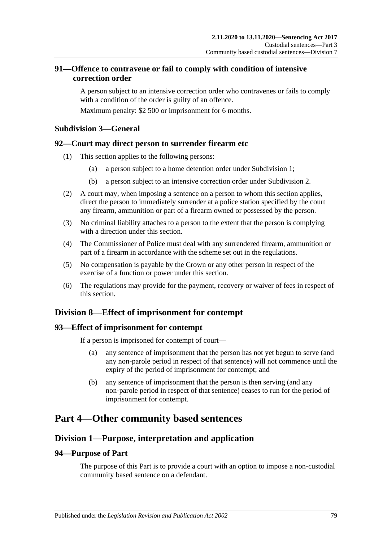## **91—Offence to contravene or fail to comply with condition of intensive correction order**

A person subject to an intensive correction order who contravenes or fails to comply with a condition of the order is guilty of an offence.

Maximum penalty: \$2 500 or imprisonment for 6 months.

## **Subdivision 3—General**

### **92—Court may direct person to surrender firearm etc**

- (1) This section applies to the following persons:
	- (a) a person subject to a home detention order under [Subdivision](#page-56-0) 1;
	- (b) a person subject to an intensive correction order under [Subdivision](#page-66-0) 2.
- (2) A court may, when imposing a sentence on a person to whom this section applies, direct the person to immediately surrender at a police station specified by the court any firearm, ammunition or part of a firearm owned or possessed by the person.
- (3) No criminal liability attaches to a person to the extent that the person is complying with a direction under this section
- (4) The Commissioner of Police must deal with any surrendered firearm, ammunition or part of a firearm in accordance with the scheme set out in the regulations.
- (5) No compensation is payable by the Crown or any other person in respect of the exercise of a function or power under this section.
- (6) The regulations may provide for the payment, recovery or waiver of fees in respect of this section.

## **Division 8—Effect of imprisonment for contempt**

#### **93—Effect of imprisonment for contempt**

If a person is imprisoned for contempt of court—

- (a) any sentence of imprisonment that the person has not yet begun to serve (and any non-parole period in respect of that sentence) will not commence until the expiry of the period of imprisonment for contempt; and
- (b) any sentence of imprisonment that the person is then serving (and any non-parole period in respect of that sentence) ceases to run for the period of imprisonment for contempt.

## **Part 4—Other community based sentences**

## **Division 1—Purpose, interpretation and application**

### **94—Purpose of Part**

The purpose of this Part is to provide a court with an option to impose a non-custodial community based sentence on a defendant.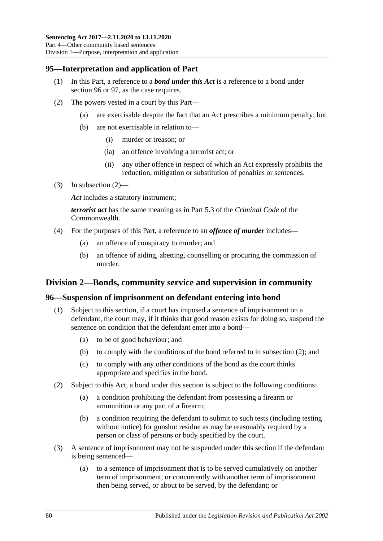## **95—Interpretation and application of Part**

- (1) In this Part, a reference to a *bond under this Act* is a reference to a bond under [section](#page-79-0) 96 or [97,](#page-84-0) as the case requires.
- <span id="page-79-1"></span>(2) The powers vested in a court by this Part—
	- (a) are exercisable despite the fact that an Act prescribes a minimum penalty; but
	- (b) are not exercisable in relation to—
		- (i) murder or treason; or
		- (ia) an offence involving a terrorist act; or
		- (ii) any other offence in respect of which an Act expressly prohibits the reduction, mitigation or substitution of penalties or sentences.
- (3) In [subsection](#page-79-1)  $(2)$ —

*Act* includes a statutory instrument;

*terrorist act* has the same meaning as in Part 5.3 of the *Criminal Code* of the Commonwealth.

- (4) For the purposes of this Part, a reference to an *offence of murder* includes—
	- (a) an offence of conspiracy to murder; and
	- (b) an offence of aiding, abetting, counselling or procuring the commission of murder.

### **Division 2—Bonds, community service and supervision in community**

#### <span id="page-79-4"></span><span id="page-79-0"></span>**96—Suspension of imprisonment on defendant entering into bond**

- (1) Subject to this section, if a court has imposed a sentence of imprisonment on a defendant, the court may, if it thinks that good reason exists for doing so, suspend the sentence on condition that the defendant enter into a bond—
	- (a) to be of good behaviour; and
	- (b) to comply with the conditions of the bond referred to in [subsection](#page-79-2) (2); and
	- (c) to comply with any other conditions of the bond as the court thinks appropriate and specifies in the bond.
- <span id="page-79-5"></span><span id="page-79-2"></span>(2) Subject to this Act, a bond under this section is subject to the following conditions:
	- (a) a condition prohibiting the defendant from possessing a firearm or ammunition or any part of a firearm;
	- (b) a condition requiring the defendant to submit to such tests (including testing without notice) for gunshot residue as may be reasonably required by a person or class of persons or body specified by the court.
- <span id="page-79-3"></span>(3) A sentence of imprisonment may not be suspended under this section if the defendant is being sentenced—
	- (a) to a sentence of imprisonment that is to be served cumulatively on another term of imprisonment, or concurrently with another term of imprisonment then being served, or about to be served, by the defendant; or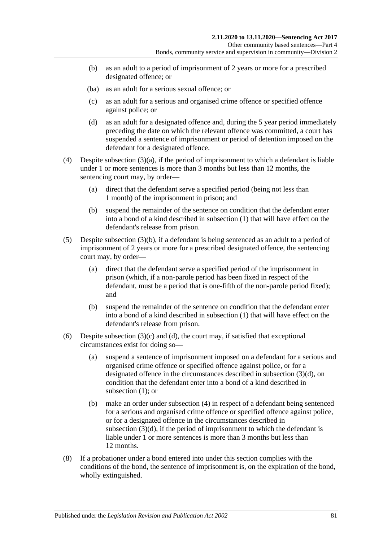- <span id="page-80-0"></span>(b) as an adult to a period of imprisonment of 2 years or more for a prescribed designated offence; or
- <span id="page-80-1"></span>(ba) as an adult for a serious sexual offence; or
- (c) as an adult for a serious and organised crime offence or specified offence against police; or
- <span id="page-80-2"></span>(d) as an adult for a designated offence and, during the 5 year period immediately preceding the date on which the relevant offence was committed, a court has suspended a sentence of imprisonment or period of detention imposed on the defendant for a designated offence.
- <span id="page-80-3"></span>(4) Despite [subsection](#page-79-3)  $(3)(a)$ , if the period of imprisonment to which a defendant is liable under 1 or more sentences is more than 3 months but less than 12 months, the sentencing court may, by order—
	- (a) direct that the defendant serve a specified period (being not less than 1 month) of the imprisonment in prison; and
	- (b) suspend the remainder of the sentence on condition that the defendant enter into a bond of a kind described in [subsection](#page-79-4) (1) that will have effect on the defendant's release from prison.
- <span id="page-80-4"></span>(5) Despite [subsection](#page-80-0) (3)(b), if a defendant is being sentenced as an adult to a period of imprisonment of 2 years or more for a prescribed designated offence, the sentencing court may, by order—
	- (a) direct that the defendant serve a specified period of the imprisonment in prison (which, if a non-parole period has been fixed in respect of the defendant, must be a period that is one-fifth of the non-parole period fixed); and
	- (b) suspend the remainder of the sentence on condition that the defendant enter into a bond of a kind described in [subsection](#page-79-4) (1) that will have effect on the defendant's release from prison.
- (6) Despite [subsection](#page-80-1)  $(3)(c)$  and  $(d)$ , the court may, if satisfied that exceptional circumstances exist for doing so—
	- (a) suspend a sentence of imprisonment imposed on a defendant for a serious and organised crime offence or specified offence against police, or for a designated offence in the circumstances described in [subsection](#page-80-2) (3)(d), on condition that the defendant enter into a bond of a kind described in [subsection](#page-79-4) (1); or
	- (b) make an order under [subsection](#page-80-3) (4) in respect of a defendant being sentenced for a serious and organised crime offence or specified offence against police, or for a designated offence in the circumstances described in [subsection](#page-80-2)  $(3)(d)$ , if the period of imprisonment to which the defendant is liable under 1 or more sentences is more than 3 months but less than 12 months.
- (8) If a probationer under a bond entered into under this section complies with the conditions of the bond, the sentence of imprisonment is, on the expiration of the bond, wholly extinguished.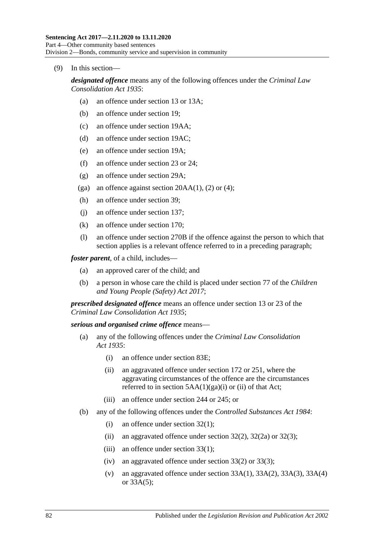#### (9) In this section—

*designated offence* means any of the following offences under the *[Criminal Law](http://www.legislation.sa.gov.au/index.aspx?action=legref&type=act&legtitle=Criminal%20Law%20Consolidation%20Act%201935)  [Consolidation Act](http://www.legislation.sa.gov.au/index.aspx?action=legref&type=act&legtitle=Criminal%20Law%20Consolidation%20Act%201935) 1935*:

- (a) an offence under section 13 or 13A;
- (b) an offence under section 19;
- (c) an offence under section 19AA;
- (d) an offence under section 19AC;
- (e) an offence under section 19A;
- (f) an offence under section 23 or 24;
- (g) an offence under section 29A;
- (ga) an offence against section  $20AA(1)$ , (2) or (4);
- (h) an offence under section 39;
- (j) an offence under section 137;
- (k) an offence under section 170;
- (l) an offence under section 270B if the offence against the person to which that section applies is a relevant offence referred to in a preceding paragraph;

*foster parent*, of a child, includes—

- (a) an approved carer of the child; and
- (b) a person in whose care the child is placed under section 77 of the *[Children](http://www.legislation.sa.gov.au/index.aspx?action=legref&type=act&legtitle=Children%20and%20Young%20People%20(Safety)%20Act%202017) [and Young People \(Safety\) Act](http://www.legislation.sa.gov.au/index.aspx?action=legref&type=act&legtitle=Children%20and%20Young%20People%20(Safety)%20Act%202017) 2017*;

*prescribed designated offence* means an offence under section 13 or 23 of the *[Criminal Law Consolidation Act](http://www.legislation.sa.gov.au/index.aspx?action=legref&type=act&legtitle=Criminal%20Law%20Consolidation%20Act%201935) 1935*;

#### *serious and organised crime offence* means—

- (a) any of the following offences under the *[Criminal Law Consolidation](http://www.legislation.sa.gov.au/index.aspx?action=legref&type=act&legtitle=Criminal%20Law%20Consolidation%20Act%201935)  Act [1935](http://www.legislation.sa.gov.au/index.aspx?action=legref&type=act&legtitle=Criminal%20Law%20Consolidation%20Act%201935)*:
	- (i) an offence under section 83E;
	- (ii) an aggravated offence under section 172 or 251, where the aggravating circumstances of the offence are the circumstances referred to in section  $5AA(1)(ga)(i)$  or (ii) of that Act;
	- (iii) an offence under section 244 or 245; or
- (b) any of the following offences under the *[Controlled Substances Act](http://www.legislation.sa.gov.au/index.aspx?action=legref&type=act&legtitle=Controlled%20Substances%20Act%201984) 1984*:
	- (i) an offence under section 32(1);
	- (ii) an aggravated offence under section  $32(2)$ ,  $32(2a)$  or  $32(3)$ ;
	- (iii) an offence under section  $33(1)$ ;
	- (iv) an aggravated offence under section 33(2) or 33(3);
	- (v) an aggravated offence under section  $33A(1)$ ,  $33A(2)$ ,  $33A(3)$ ,  $33A(4)$ or 33A(5);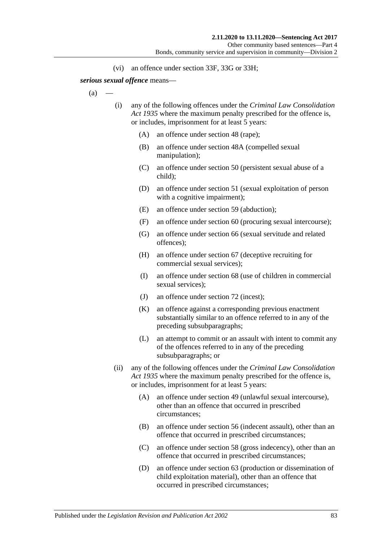(vi) an offence under section 33F, 33G or 33H;

<span id="page-82-0"></span>*serious sexual offence* means—

 $(a)$ 

- (i) any of the following offences under the *[Criminal Law Consolidation](http://www.legislation.sa.gov.au/index.aspx?action=legref&type=act&legtitle=Criminal%20Law%20Consolidation%20Act%201935)  Act [1935](http://www.legislation.sa.gov.au/index.aspx?action=legref&type=act&legtitle=Criminal%20Law%20Consolidation%20Act%201935)* where the maximum penalty prescribed for the offence is, or includes, imprisonment for at least 5 years:
	- (A) an offence under section 48 (rape);
	- (B) an offence under section 48A (compelled sexual manipulation);
	- (C) an offence under section 50 (persistent sexual abuse of a child);
	- (D) an offence under section 51 (sexual exploitation of person with a cognitive impairment);
	- (E) an offence under section 59 (abduction);
	- (F) an offence under section 60 (procuring sexual intercourse);
	- (G) an offence under section 66 (sexual servitude and related offences);
	- (H) an offence under section 67 (deceptive recruiting for commercial sexual services);
	- (I) an offence under section 68 (use of children in commercial sexual services);
	- (J) an offence under section 72 (incest);
	- (K) an offence against a corresponding previous enactment substantially similar to an offence referred to in any of the preceding subsubparagraphs;
	- (L) an attempt to commit or an assault with intent to commit any of the offences referred to in any of the preceding subsubparagraphs; or
- (ii) any of the following offences under the *[Criminal Law Consolidation](http://www.legislation.sa.gov.au/index.aspx?action=legref&type=act&legtitle=Criminal%20Law%20Consolidation%20Act%201935)  Act [1935](http://www.legislation.sa.gov.au/index.aspx?action=legref&type=act&legtitle=Criminal%20Law%20Consolidation%20Act%201935)* where the maximum penalty prescribed for the offence is, or includes, imprisonment for at least 5 years:
	- (A) an offence under section 49 (unlawful sexual intercourse), other than an offence that occurred in prescribed circumstances;
	- (B) an offence under section 56 (indecent assault), other than an offence that occurred in prescribed circumstances;
	- (C) an offence under section 58 (gross indecency), other than an offence that occurred in prescribed circumstances;
	- (D) an offence under section 63 (production or dissemination of child exploitation material), other than an offence that occurred in prescribed circumstances;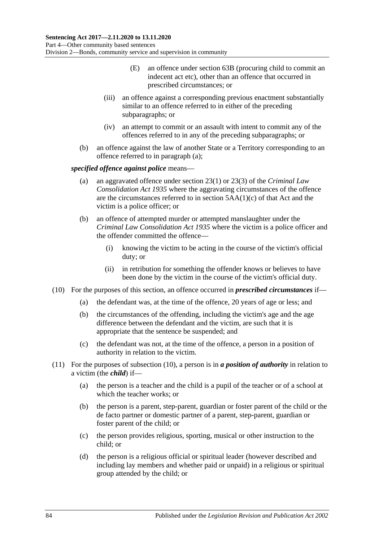- (E) an offence under section 63B (procuring child to commit an indecent act etc), other than an offence that occurred in prescribed circumstances; or
- (iii) an offence against a corresponding previous enactment substantially similar to an offence referred to in either of the preceding subparagraphs; or
- (iv) an attempt to commit or an assault with intent to commit any of the offences referred to in any of the preceding subparagraphs; or
- (b) an offence against the law of another State or a Territory corresponding to an offence referred to in [paragraph](#page-82-0) (a);

#### *specified offence against police* means—

- (a) an aggravated offence under section 23(1) or 23(3) of the *[Criminal Law](http://www.legislation.sa.gov.au/index.aspx?action=legref&type=act&legtitle=Criminal%20Law%20Consolidation%20Act%201935)  [Consolidation Act](http://www.legislation.sa.gov.au/index.aspx?action=legref&type=act&legtitle=Criminal%20Law%20Consolidation%20Act%201935) 1935* where the aggravating circumstances of the offence are the circumstances referred to in section 5AA(1)(c) of that Act and the victim is a police officer; or
- (b) an offence of attempted murder or attempted manslaughter under the *[Criminal Law Consolidation Act](http://www.legislation.sa.gov.au/index.aspx?action=legref&type=act&legtitle=Criminal%20Law%20Consolidation%20Act%201935) 1935* where the victim is a police officer and the offender committed the offence—
	- (i) knowing the victim to be acting in the course of the victim's official duty; or
	- (ii) in retribution for something the offender knows or believes to have been done by the victim in the course of the victim's official duty.
- <span id="page-83-0"></span>(10) For the purposes of this section, an offence occurred in *prescribed circumstances* if—
	- (a) the defendant was, at the time of the offence, 20 years of age or less; and
	- (b) the circumstances of the offending, including the victim's age and the age difference between the defendant and the victim, are such that it is appropriate that the sentence be suspended; and
	- (c) the defendant was not, at the time of the offence, a person in a position of authority in relation to the victim.
- (11) For the purposes of [subsection](#page-83-0) (10), a person is in *a position of authority* in relation to a victim (the *child*) if—
	- (a) the person is a teacher and the child is a pupil of the teacher or of a school at which the teacher works; or
	- (b) the person is a parent, step-parent, guardian or foster parent of the child or the de facto partner or domestic partner of a parent, step-parent, guardian or foster parent of the child; or
	- (c) the person provides religious, sporting, musical or other instruction to the child; or
	- (d) the person is a religious official or spiritual leader (however described and including lay members and whether paid or unpaid) in a religious or spiritual group attended by the child; or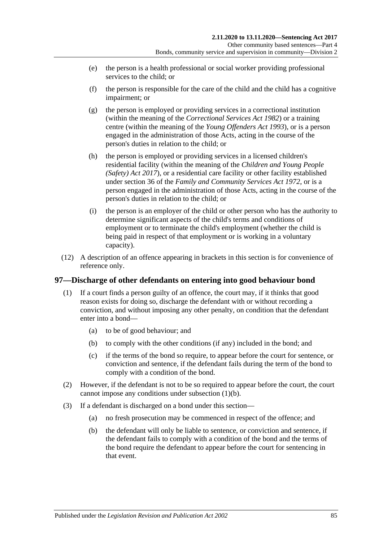- (e) the person is a health professional or social worker providing professional services to the child; or
- (f) the person is responsible for the care of the child and the child has a cognitive impairment; or
- (g) the person is employed or providing services in a correctional institution (within the meaning of the *[Correctional Services Act](http://www.legislation.sa.gov.au/index.aspx?action=legref&type=act&legtitle=Correctional%20Services%20Act%201982) 1982*) or a training centre (within the meaning of the *[Young Offenders Act](http://www.legislation.sa.gov.au/index.aspx?action=legref&type=act&legtitle=Young%20Offenders%20Act%201993) 1993*), or is a person engaged in the administration of those Acts, acting in the course of the person's duties in relation to the child; or
- (h) the person is employed or providing services in a licensed children's residential facility (within the meaning of the *[Children and Young People](http://www.legislation.sa.gov.au/index.aspx?action=legref&type=act&legtitle=Children%20and%20Young%20People%20(Safety)%20Act%202017)  [\(Safety\) Act](http://www.legislation.sa.gov.au/index.aspx?action=legref&type=act&legtitle=Children%20and%20Young%20People%20(Safety)%20Act%202017) 2017*), or a residential care facility or other facility established under section 36 of the *[Family and Community Services Act](http://www.legislation.sa.gov.au/index.aspx?action=legref&type=act&legtitle=Family%20and%20Community%20Services%20Act%201972) 1972*, or is a person engaged in the administration of those Acts, acting in the course of the person's duties in relation to the child; or
- (i) the person is an employer of the child or other person who has the authority to determine significant aspects of the child's terms and conditions of employment or to terminate the child's employment (whether the child is being paid in respect of that employment or is working in a voluntary capacity).
- (12) A description of an offence appearing in brackets in this section is for convenience of reference only.

### <span id="page-84-0"></span>**97—Discharge of other defendants on entering into good behaviour bond**

- <span id="page-84-1"></span>(1) If a court finds a person guilty of an offence, the court may, if it thinks that good reason exists for doing so, discharge the defendant with or without recording a conviction, and without imposing any other penalty, on condition that the defendant enter into a bond—
	- (a) to be of good behaviour; and
	- (b) to comply with the other conditions (if any) included in the bond; and
	- (c) if the terms of the bond so require, to appear before the court for sentence, or conviction and sentence, if the defendant fails during the term of the bond to comply with a condition of the bond.
- (2) However, if the defendant is not to be so required to appear before the court, the court cannot impose any conditions under [subsection](#page-84-1) (1)(b).
- (3) If a defendant is discharged on a bond under this section—
	- (a) no fresh prosecution may be commenced in respect of the offence; and
	- (b) the defendant will only be liable to sentence, or conviction and sentence, if the defendant fails to comply with a condition of the bond and the terms of the bond require the defendant to appear before the court for sentencing in that event.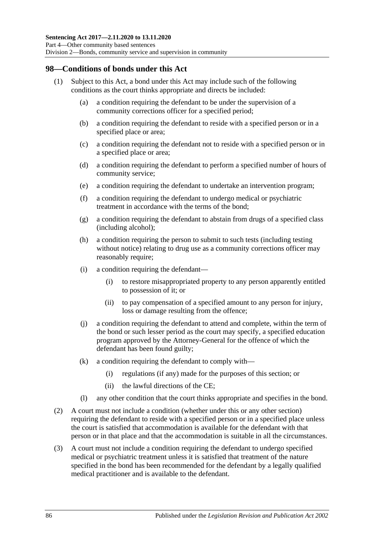### **98—Conditions of bonds under this Act**

- (1) Subject to this Act, a bond under this Act may include such of the following conditions as the court thinks appropriate and directs be included:
	- (a) a condition requiring the defendant to be under the supervision of a community corrections officer for a specified period;
	- (b) a condition requiring the defendant to reside with a specified person or in a specified place or area;
	- (c) a condition requiring the defendant not to reside with a specified person or in a specified place or area;
	- (d) a condition requiring the defendant to perform a specified number of hours of community service;
	- (e) a condition requiring the defendant to undertake an intervention program;
	- (f) a condition requiring the defendant to undergo medical or psychiatric treatment in accordance with the terms of the bond;
	- (g) a condition requiring the defendant to abstain from drugs of a specified class (including alcohol);
	- (h) a condition requiring the person to submit to such tests (including testing without notice) relating to drug use as a community corrections officer may reasonably require:
	- (i) a condition requiring the defendant—
		- (i) to restore misappropriated property to any person apparently entitled to possession of it; or
		- (ii) to pay compensation of a specified amount to any person for injury, loss or damage resulting from the offence;
	- (j) a condition requiring the defendant to attend and complete, within the term of the bond or such lesser period as the court may specify, a specified education program approved by the Attorney-General for the offence of which the defendant has been found guilty;
	- (k) a condition requiring the defendant to comply with—
		- (i) regulations (if any) made for the purposes of this section; or
		- (ii) the lawful directions of the CE;
	- (l) any other condition that the court thinks appropriate and specifies in the bond.
- (2) A court must not include a condition (whether under this or any other section) requiring the defendant to reside with a specified person or in a specified place unless the court is satisfied that accommodation is available for the defendant with that person or in that place and that the accommodation is suitable in all the circumstances.
- (3) A court must not include a condition requiring the defendant to undergo specified medical or psychiatric treatment unless it is satisfied that treatment of the nature specified in the bond has been recommended for the defendant by a legally qualified medical practitioner and is available to the defendant.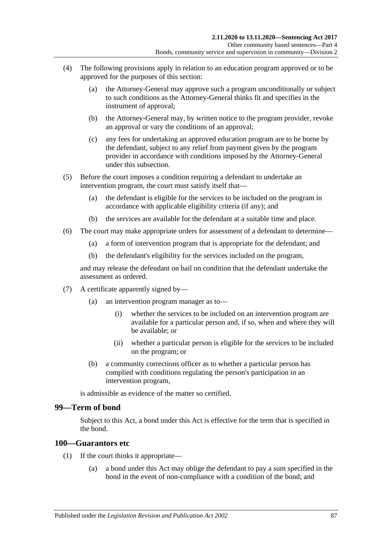- (4) The following provisions apply in relation to an education program approved or to be approved for the purposes of this section:
	- (a) the Attorney-General may approve such a program unconditionally or subject to such conditions as the Attorney-General thinks fit and specifies in the instrument of approval;
	- (b) the Attorney-General may, by written notice to the program provider, revoke an approval or vary the conditions of an approval;
	- (c) any fees for undertaking an approved education program are to be borne by the defendant, subject to any relief from payment given by the program provider in accordance with conditions imposed by the Attorney-General under this subsection.
- (5) Before the court imposes a condition requiring a defendant to undertake an intervention program, the court must satisfy itself that—
	- (a) the defendant is eligible for the services to be included on the program in accordance with applicable eligibility criteria (if any); and
	- (b) the services are available for the defendant at a suitable time and place.
- (6) The court may make appropriate orders for assessment of a defendant to determine—
	- (a) a form of intervention program that is appropriate for the defendant; and
	- (b) the defendant's eligibility for the services included on the program,

and may release the defendant on bail on condition that the defendant undertake the assessment as ordered.

- (7) A certificate apparently signed by—
	- (a) an intervention program manager as to—
		- (i) whether the services to be included on an intervention program are available for a particular person and, if so, when and where they will be available; or
		- (ii) whether a particular person is eligible for the services to be included on the program; or
	- (b) a community corrections officer as to whether a particular person has complied with conditions regulating the person's participation in an intervention program,

is admissible as evidence of the matter so certified.

#### **99—Term of bond**

Subject to this Act, a bond under this Act is effective for the term that is specified in the bond.

#### **100—Guarantors etc**

- (1) If the court thinks it appropriate—
	- (a) a bond under this Act may oblige the defendant to pay a sum specified in the bond in the event of non-compliance with a condition of the bond; and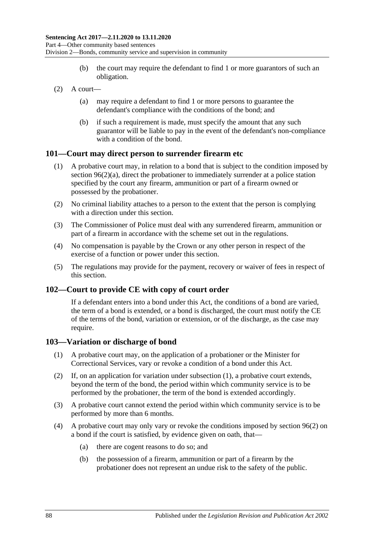- (b) the court may require the defendant to find 1 or more guarantors of such an obligation.
- $(2)$  A court—
	- (a) may require a defendant to find 1 or more persons to guarantee the defendant's compliance with the conditions of the bond; and
	- (b) if such a requirement is made, must specify the amount that any such guarantor will be liable to pay in the event of the defendant's non-compliance with a condition of the bond.

#### **101—Court may direct person to surrender firearm etc**

- (1) A probative court may, in relation to a bond that is subject to the condition imposed by section [96\(2\)\(a\),](#page-79-5) direct the probationer to immediately surrender at a police station specified by the court any firearm, ammunition or part of a firearm owned or possessed by the probationer.
- (2) No criminal liability attaches to a person to the extent that the person is complying with a direction under this section.
- (3) The Commissioner of Police must deal with any surrendered firearm, ammunition or part of a firearm in accordance with the scheme set out in the regulations.
- (4) No compensation is payable by the Crown or any other person in respect of the exercise of a function or power under this section.
- (5) The regulations may provide for the payment, recovery or waiver of fees in respect of this section.

#### **102—Court to provide CE with copy of court order**

If a defendant enters into a bond under this Act, the conditions of a bond are varied, the term of a bond is extended, or a bond is discharged, the court must notify the CE of the terms of the bond, variation or extension, or of the discharge, as the case may require.

#### <span id="page-87-0"></span>**103—Variation or discharge of bond**

- (1) A probative court may, on the application of a probationer or the Minister for Correctional Services, vary or revoke a condition of a bond under this Act.
- (2) If, on an application for variation under [subsection](#page-87-0) (1), a probative court extends, beyond the term of the bond, the period within which community service is to be performed by the probationer, the term of the bond is extended accordingly.
- (3) A probative court cannot extend the period within which community service is to be performed by more than 6 months.
- (4) A probative court may only vary or revoke the conditions imposed by [section](#page-79-2) 96(2) on a bond if the court is satisfied, by evidence given on oath, that—
	- (a) there are cogent reasons to do so; and
	- (b) the possession of a firearm, ammunition or part of a firearm by the probationer does not represent an undue risk to the safety of the public.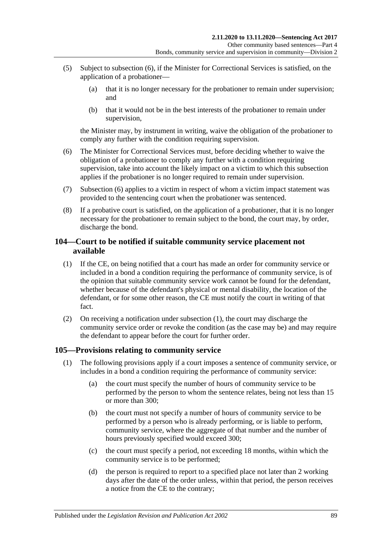- (5) Subject to [subsection](#page-88-0) (6), if the Minister for Correctional Services is satisfied, on the application of a probationer—
	- (a) that it is no longer necessary for the probationer to remain under supervision; and
	- (b) that it would not be in the best interests of the probationer to remain under supervision,

the Minister may, by instrument in writing, waive the obligation of the probationer to comply any further with the condition requiring supervision.

- <span id="page-88-0"></span>(6) The Minister for Correctional Services must, before deciding whether to waive the obligation of a probationer to comply any further with a condition requiring supervision, take into account the likely impact on a victim to which this subsection applies if the probationer is no longer required to remain under supervision.
- (7) [Subsection](#page-88-0) (6) applies to a victim in respect of whom a victim impact statement was provided to the sentencing court when the probationer was sentenced.
- (8) If a probative court is satisfied, on the application of a probationer, that it is no longer necessary for the probationer to remain subject to the bond, the court may, by order, discharge the bond.

## **104—Court to be notified if suitable community service placement not available**

- <span id="page-88-1"></span>(1) If the CE, on being notified that a court has made an order for community service or included in a bond a condition requiring the performance of community service, is of the opinion that suitable community service work cannot be found for the defendant, whether because of the defendant's physical or mental disability, the location of the defendant, or for some other reason, the CE must notify the court in writing of that fact.
- (2) On receiving a notification under [subsection](#page-88-1) (1), the court may discharge the community service order or revoke the condition (as the case may be) and may require the defendant to appear before the court for further order.

### <span id="page-88-2"></span>**105—Provisions relating to community service**

- (1) The following provisions apply if a court imposes a sentence of community service, or includes in a bond a condition requiring the performance of community service:
	- (a) the court must specify the number of hours of community service to be performed by the person to whom the sentence relates, being not less than 15 or more than 300;
	- (b) the court must not specify a number of hours of community service to be performed by a person who is already performing, or is liable to perform, community service, where the aggregate of that number and the number of hours previously specified would exceed 300;
	- (c) the court must specify a period, not exceeding 18 months, within which the community service is to be performed;
	- (d) the person is required to report to a specified place not later than 2 working days after the date of the order unless, within that period, the person receives a notice from the CE to the contrary;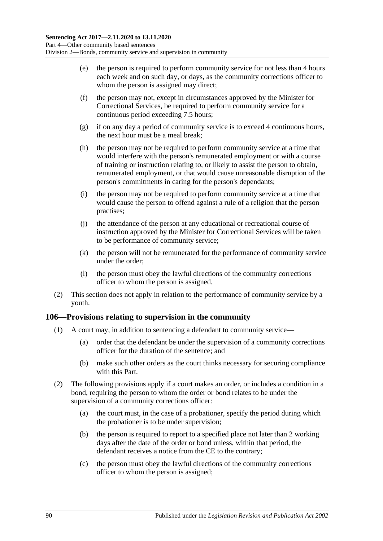- (e) the person is required to perform community service for not less than 4 hours each week and on such day, or days, as the community corrections officer to whom the person is assigned may direct;
- (f) the person may not, except in circumstances approved by the Minister for Correctional Services, be required to perform community service for a continuous period exceeding 7.5 hours;
- (g) if on any day a period of community service is to exceed 4 continuous hours, the next hour must be a meal break;
- (h) the person may not be required to perform community service at a time that would interfere with the person's remunerated employment or with a course of training or instruction relating to, or likely to assist the person to obtain, remunerated employment, or that would cause unreasonable disruption of the person's commitments in caring for the person's dependants;
- (i) the person may not be required to perform community service at a time that would cause the person to offend against a rule of a religion that the person practises;
- (j) the attendance of the person at any educational or recreational course of instruction approved by the Minister for Correctional Services will be taken to be performance of community service;
- (k) the person will not be remunerated for the performance of community service under the order;
- (l) the person must obey the lawful directions of the community corrections officer to whom the person is assigned.
- (2) This section does not apply in relation to the performance of community service by a youth.

### **106—Provisions relating to supervision in the community**

- (1) A court may, in addition to sentencing a defendant to community service—
	- (a) order that the defendant be under the supervision of a community corrections officer for the duration of the sentence; and
	- (b) make such other orders as the court thinks necessary for securing compliance with this Part.
- (2) The following provisions apply if a court makes an order, or includes a condition in a bond, requiring the person to whom the order or bond relates to be under the supervision of a community corrections officer:
	- (a) the court must, in the case of a probationer, specify the period during which the probationer is to be under supervision;
	- (b) the person is required to report to a specified place not later than 2 working days after the date of the order or bond unless, within that period, the defendant receives a notice from the CE to the contrary;
	- (c) the person must obey the lawful directions of the community corrections officer to whom the person is assigned;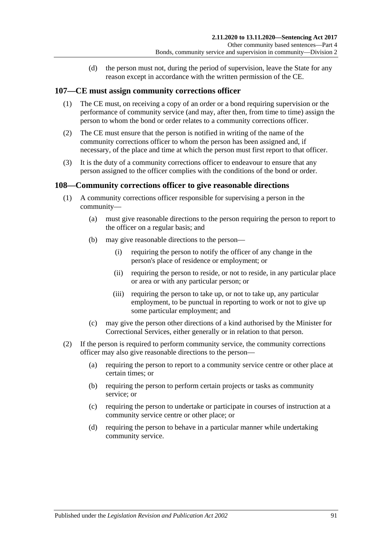(d) the person must not, during the period of supervision, leave the State for any reason except in accordance with the written permission of the CE.

#### **107—CE must assign community corrections officer**

- (1) The CE must, on receiving a copy of an order or a bond requiring supervision or the performance of community service (and may, after then, from time to time) assign the person to whom the bond or order relates to a community corrections officer.
- (2) The CE must ensure that the person is notified in writing of the name of the community corrections officer to whom the person has been assigned and, if necessary, of the place and time at which the person must first report to that officer.
- (3) It is the duty of a community corrections officer to endeavour to ensure that any person assigned to the officer complies with the conditions of the bond or order.

#### **108—Community corrections officer to give reasonable directions**

- (1) A community corrections officer responsible for supervising a person in the community—
	- (a) must give reasonable directions to the person requiring the person to report to the officer on a regular basis; and
	- (b) may give reasonable directions to the person—
		- (i) requiring the person to notify the officer of any change in the person's place of residence or employment; or
		- (ii) requiring the person to reside, or not to reside, in any particular place or area or with any particular person; or
		- (iii) requiring the person to take up, or not to take up, any particular employment, to be punctual in reporting to work or not to give up some particular employment; and
	- (c) may give the person other directions of a kind authorised by the Minister for Correctional Services, either generally or in relation to that person.
- (2) If the person is required to perform community service, the community corrections officer may also give reasonable directions to the person—
	- (a) requiring the person to report to a community service centre or other place at certain times; or
	- (b) requiring the person to perform certain projects or tasks as community service; or
	- (c) requiring the person to undertake or participate in courses of instruction at a community service centre or other place; or
	- (d) requiring the person to behave in a particular manner while undertaking community service.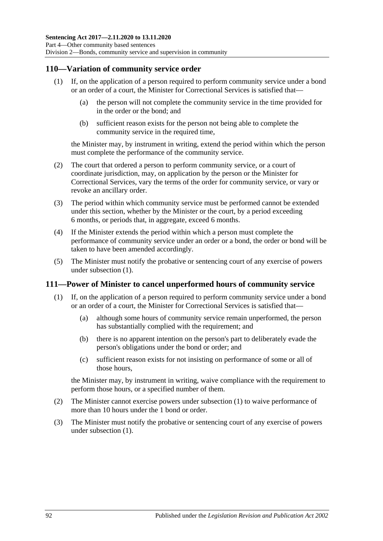### <span id="page-91-0"></span>**110—Variation of community service order**

- (1) If, on the application of a person required to perform community service under a bond or an order of a court, the Minister for Correctional Services is satisfied that—
	- (a) the person will not complete the community service in the time provided for in the order or the bond; and
	- (b) sufficient reason exists for the person not being able to complete the community service in the required time,

the Minister may, by instrument in writing, extend the period within which the person must complete the performance of the community service.

- (2) The court that ordered a person to perform community service, or a court of coordinate jurisdiction, may, on application by the person or the Minister for Correctional Services, vary the terms of the order for community service, or vary or revoke an ancillary order.
- (3) The period within which community service must be performed cannot be extended under this section, whether by the Minister or the court, by a period exceeding 6 months, or periods that, in aggregate, exceed 6 months.
- (4) If the Minister extends the period within which a person must complete the performance of community service under an order or a bond, the order or bond will be taken to have been amended accordingly.
- (5) The Minister must notify the probative or sentencing court of any exercise of powers under [subsection](#page-91-0) (1).

### <span id="page-91-1"></span>**111—Power of Minister to cancel unperformed hours of community service**

- (1) If, on the application of a person required to perform community service under a bond or an order of a court, the Minister for Correctional Services is satisfied that—
	- (a) although some hours of community service remain unperformed, the person has substantially complied with the requirement; and
	- (b) there is no apparent intention on the person's part to deliberately evade the person's obligations under the bond or order; and
	- (c) sufficient reason exists for not insisting on performance of some or all of those hours,

the Minister may, by instrument in writing, waive compliance with the requirement to perform those hours, or a specified number of them.

- (2) The Minister cannot exercise powers under [subsection](#page-91-1) (1) to waive performance of more than 10 hours under the 1 bond or order.
- (3) The Minister must notify the probative or sentencing court of any exercise of powers under [subsection](#page-91-1) (1).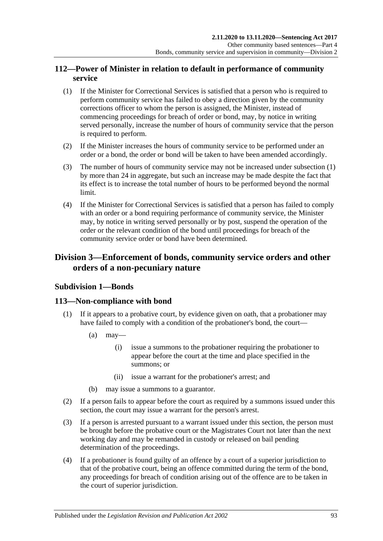## **112—Power of Minister in relation to default in performance of community service**

- <span id="page-92-0"></span>(1) If the Minister for Correctional Services is satisfied that a person who is required to perform community service has failed to obey a direction given by the community corrections officer to whom the person is assigned, the Minister, instead of commencing proceedings for breach of order or bond, may, by notice in writing served personally, increase the number of hours of community service that the person is required to perform.
- (2) If the Minister increases the hours of community service to be performed under an order or a bond, the order or bond will be taken to have been amended accordingly.
- (3) The number of hours of community service may not be increased under [subsection](#page-92-0) (1) by more than 24 in aggregate, but such an increase may be made despite the fact that its effect is to increase the total number of hours to be performed beyond the normal limit.
- (4) If the Minister for Correctional Services is satisfied that a person has failed to comply with an order or a bond requiring performance of community service, the Minister may, by notice in writing served personally or by post, suspend the operation of the order or the relevant condition of the bond until proceedings for breach of the community service order or bond have been determined.

## **Division 3—Enforcement of bonds, community service orders and other orders of a non-pecuniary nature**

## **Subdivision 1—Bonds**

### **113—Non-compliance with bond**

- (1) If it appears to a probative court, by evidence given on oath, that a probationer may have failed to comply with a condition of the probationer's bond, the court—
	- $(a)$  may—
		- (i) issue a summons to the probationer requiring the probationer to appear before the court at the time and place specified in the summons; or
		- (ii) issue a warrant for the probationer's arrest; and
	- (b) may issue a summons to a guarantor.
- (2) If a person fails to appear before the court as required by a summons issued under this section, the court may issue a warrant for the person's arrest.
- (3) If a person is arrested pursuant to a warrant issued under this section, the person must be brought before the probative court or the Magistrates Court not later than the next working day and may be remanded in custody or released on bail pending determination of the proceedings.
- (4) If a probationer is found guilty of an offence by a court of a superior jurisdiction to that of the probative court, being an offence committed during the term of the bond, any proceedings for breach of condition arising out of the offence are to be taken in the court of superior jurisdiction.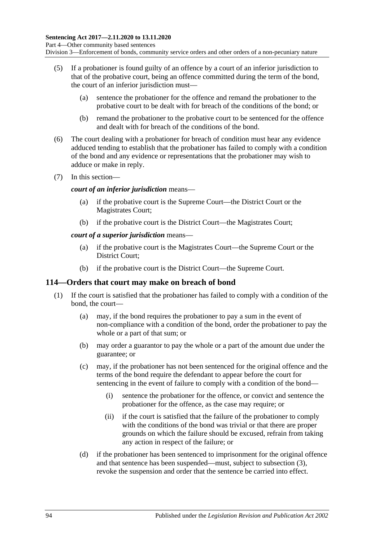- (5) If a probationer is found guilty of an offence by a court of an inferior jurisdiction to that of the probative court, being an offence committed during the term of the bond, the court of an inferior jurisdiction must—
	- (a) sentence the probationer for the offence and remand the probationer to the probative court to be dealt with for breach of the conditions of the bond; or
	- (b) remand the probationer to the probative court to be sentenced for the offence and dealt with for breach of the conditions of the bond.
- (6) The court dealing with a probationer for breach of condition must hear any evidence adduced tending to establish that the probationer has failed to comply with a condition of the bond and any evidence or representations that the probationer may wish to adduce or make in reply.
- (7) In this section—

#### *court of an inferior jurisdiction* means—

- (a) if the probative court is the Supreme Court—the District Court or the Magistrates Court;
- (b) if the probative court is the District Court—the Magistrates Court;

#### *court of a superior jurisdiction* means—

- (a) if the probative court is the Magistrates Court—the Supreme Court or the District Court;
- (b) if the probative court is the District Court—the Supreme Court.

### **114—Orders that court may make on breach of bond**

- <span id="page-93-0"></span>(1) If the court is satisfied that the probationer has failed to comply with a condition of the bond, the court—
	- (a) may, if the bond requires the probationer to pay a sum in the event of non-compliance with a condition of the bond, order the probationer to pay the whole or a part of that sum; or
	- (b) may order a guarantor to pay the whole or a part of the amount due under the guarantee; or
	- (c) may, if the probationer has not been sentenced for the original offence and the terms of the bond require the defendant to appear before the court for sentencing in the event of failure to comply with a condition of the bond—
		- (i) sentence the probationer for the offence, or convict and sentence the probationer for the offence, as the case may require; or
		- (ii) if the court is satisfied that the failure of the probationer to comply with the conditions of the bond was trivial or that there are proper grounds on which the failure should be excused, refrain from taking any action in respect of the failure; or
	- (d) if the probationer has been sentenced to imprisonment for the original offence and that sentence has been suspended—must, subject to [subsection](#page-94-0) (3), revoke the suspension and order that the sentence be carried into effect.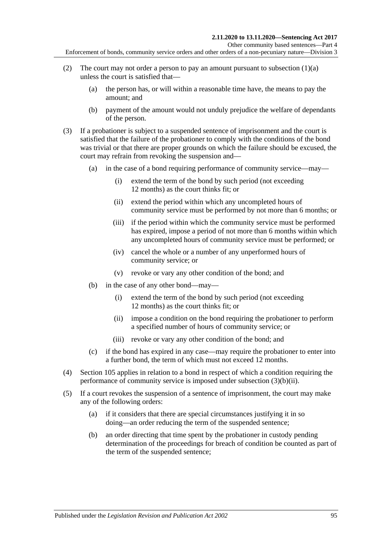Other community based sentences—Part 4

Enforcement of bonds, community service orders and other orders of a non-pecuniary nature—Division 3

- (2) The court may not order a person to pay an amount pursuant to [subsection](#page-93-0)  $(1)(a)$ unless the court is satisfied that—
	- (a) the person has, or will within a reasonable time have, the means to pay the amount; and
	- (b) payment of the amount would not unduly prejudice the welfare of dependants of the person.
- <span id="page-94-0"></span>(3) If a probationer is subject to a suspended sentence of imprisonment and the court is satisfied that the failure of the probationer to comply with the conditions of the bond was trivial or that there are proper grounds on which the failure should be excused, the court may refrain from revoking the suspension and—
	- (a) in the case of a bond requiring performance of community service—may—
		- (i) extend the term of the bond by such period (not exceeding 12 months) as the court thinks fit; or
		- (ii) extend the period within which any uncompleted hours of community service must be performed by not more than 6 months; or
		- (iii) if the period within which the community service must be performed has expired, impose a period of not more than 6 months within which any uncompleted hours of community service must be performed; or
		- (iv) cancel the whole or a number of any unperformed hours of community service; or
		- (v) revoke or vary any other condition of the bond; and
	- (b) in the case of any other bond—may—
		- (i) extend the term of the bond by such period (not exceeding 12 months) as the court thinks fit; or
		- (ii) impose a condition on the bond requiring the probationer to perform a specified number of hours of community service; or
		- (iii) revoke or vary any other condition of the bond; and
	- (c) if the bond has expired in any case—may require the probationer to enter into a further bond, the term of which must not exceed 12 months.
- <span id="page-94-1"></span>(4) [Section](#page-88-2) 105 applies in relation to a bond in respect of which a condition requiring the performance of community service is imposed under [subsection](#page-94-1) (3)(b)(ii).
- (5) If a court revokes the suspension of a sentence of imprisonment, the court may make any of the following orders:
	- (a) if it considers that there are special circumstances justifying it in so doing—an order reducing the term of the suspended sentence;
	- (b) an order directing that time spent by the probationer in custody pending determination of the proceedings for breach of condition be counted as part of the term of the suspended sentence;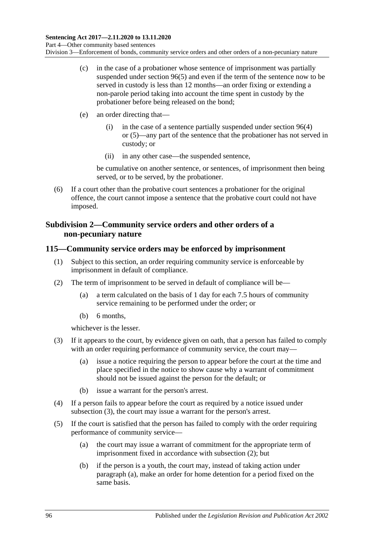- (c) in the case of a probationer whose sentence of imprisonment was partially suspended under [section](#page-80-4) 96(5) and even if the term of the sentence now to be served in custody is less than 12 months—an order fixing or extending a non-parole period taking into account the time spent in custody by the probationer before being released on the bond;
- (e) an order directing that—
	- (i) in the case of a sentence partially suspended under [section](#page-80-3) 96(4) or [\(5\)—](#page-80-4)any part of the sentence that the probationer has not served in custody; or
	- (ii) in any other case—the suspended sentence,

be cumulative on another sentence, or sentences, of imprisonment then being served, or to be served, by the probationer.

(6) If a court other than the probative court sentences a probationer for the original offence, the court cannot impose a sentence that the probative court could not have imposed.

## **Subdivision 2—Community service orders and other orders of a non-pecuniary nature**

### <span id="page-95-4"></span>**115—Community service orders may be enforced by imprisonment**

- (1) Subject to this section, an order requiring community service is enforceable by imprisonment in default of compliance.
- <span id="page-95-1"></span>(2) The term of imprisonment to be served in default of compliance will be—
	- (a) a term calculated on the basis of 1 day for each 7.5 hours of community service remaining to be performed under the order; or
	- (b) 6 months,

whichever is the lesser.

- <span id="page-95-0"></span>(3) If it appears to the court, by evidence given on oath, that a person has failed to comply with an order requiring performance of community service, the court may—
	- (a) issue a notice requiring the person to appear before the court at the time and place specified in the notice to show cause why a warrant of commitment should not be issued against the person for the default; or
	- (b) issue a warrant for the person's arrest.
- (4) If a person fails to appear before the court as required by a notice issued under [subsection](#page-95-0) (3), the court may issue a warrant for the person's arrest.
- <span id="page-95-3"></span><span id="page-95-2"></span>(5) If the court is satisfied that the person has failed to comply with the order requiring performance of community service—
	- (a) the court may issue a warrant of commitment for the appropriate term of imprisonment fixed in accordance with [subsection](#page-95-1) (2); but
	- (b) if the person is a youth, the court may, instead of taking action under [paragraph](#page-95-2) (a), make an order for home detention for a period fixed on the same basis.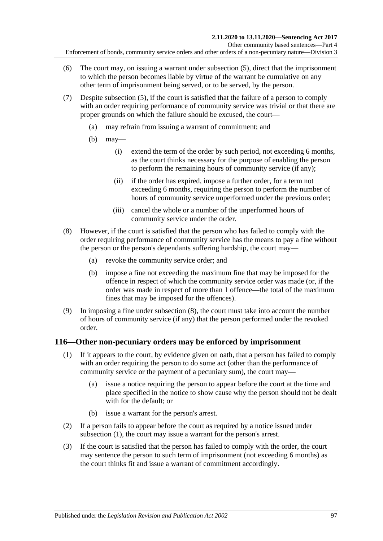- (6) The court may, on issuing a warrant under [subsection](#page-95-3) (5), direct that the imprisonment to which the person becomes liable by virtue of the warrant be cumulative on any other term of imprisonment being served, or to be served, by the person.
- (7) Despite [subsection](#page-95-3) (5), if the court is satisfied that the failure of a person to comply with an order requiring performance of community service was trivial or that there are proper grounds on which the failure should be excused, the court—
	- (a) may refrain from issuing a warrant of commitment; and
	- (b) may—
		- (i) extend the term of the order by such period, not exceeding 6 months, as the court thinks necessary for the purpose of enabling the person to perform the remaining hours of community service (if any);
		- (ii) if the order has expired, impose a further order, for a term not exceeding 6 months, requiring the person to perform the number of hours of community service unperformed under the previous order;
		- (iii) cancel the whole or a number of the unperformed hours of community service under the order.
- <span id="page-96-0"></span>(8) However, if the court is satisfied that the person who has failed to comply with the order requiring performance of community service has the means to pay a fine without the person or the person's dependants suffering hardship, the court may—
	- (a) revoke the community service order; and
	- (b) impose a fine not exceeding the maximum fine that may be imposed for the offence in respect of which the community service order was made (or, if the order was made in respect of more than 1 offence—the total of the maximum fines that may be imposed for the offences).
- (9) In imposing a fine under [subsection](#page-96-0) (8), the court must take into account the number of hours of community service (if any) that the person performed under the revoked order.

## <span id="page-96-3"></span><span id="page-96-1"></span>**116—Other non-pecuniary orders may be enforced by imprisonment**

- (1) If it appears to the court, by evidence given on oath, that a person has failed to comply with an order requiring the person to do some act (other than the performance of community service or the payment of a pecuniary sum), the court may—
	- (a) issue a notice requiring the person to appear before the court at the time and place specified in the notice to show cause why the person should not be dealt with for the default; or
	- (b) issue a warrant for the person's arrest.
- (2) If a person fails to appear before the court as required by a notice issued under [subsection](#page-96-1) (1), the court may issue a warrant for the person's arrest.
- <span id="page-96-2"></span>(3) If the court is satisfied that the person has failed to comply with the order, the court may sentence the person to such term of imprisonment (not exceeding 6 months) as the court thinks fit and issue a warrant of commitment accordingly.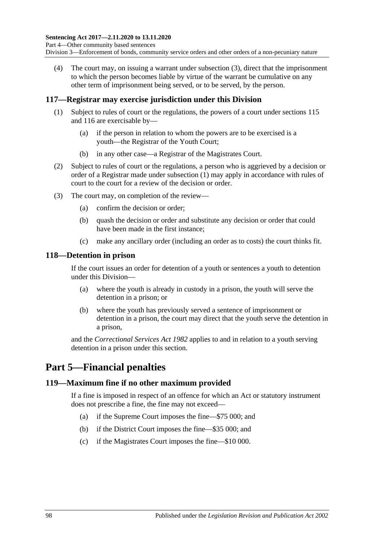(4) The court may, on issuing a warrant under [subsection](#page-96-2) (3), direct that the imprisonment to which the person becomes liable by virtue of the warrant be cumulative on any other term of imprisonment being served, or to be served, by the person.

## <span id="page-97-0"></span>**117—Registrar may exercise jurisdiction under this Division**

- (1) Subject to rules of court or the regulations, the powers of a court under [sections](#page-95-4) 115 and [116](#page-96-3) are exercisable by—
	- (a) if the person in relation to whom the powers are to be exercised is a youth—the Registrar of the Youth Court;
	- (b) in any other case—a Registrar of the Magistrates Court.
- (2) Subject to rules of court or the regulations, a person who is aggrieved by a decision or order of a Registrar made under [subsection](#page-97-0) (1) may apply in accordance with rules of court to the court for a review of the decision or order.
- (3) The court may, on completion of the review—
	- (a) confirm the decision or order;
	- (b) quash the decision or order and substitute any decision or order that could have been made in the first instance;
	- (c) make any ancillary order (including an order as to costs) the court thinks fit.

### **118—Detention in prison**

If the court issues an order for detention of a youth or sentences a youth to detention under this Division—

- (a) where the youth is already in custody in a prison, the youth will serve the detention in a prison; or
- (b) where the youth has previously served a sentence of imprisonment or detention in a prison, the court may direct that the youth serve the detention in a prison,

and the *[Correctional Services Act](http://www.legislation.sa.gov.au/index.aspx?action=legref&type=act&legtitle=Correctional%20Services%20Act%201982) 1982* applies to and in relation to a youth serving detention in a prison under this section.

# **Part 5—Financial penalties**

### **119—Maximum fine if no other maximum provided**

If a fine is imposed in respect of an offence for which an Act or statutory instrument does not prescribe a fine, the fine may not exceed—

- (a) if the Supreme Court imposes the fine—\$75 000; and
- (b) if the District Court imposes the fine—\$35 000; and
- (c) if the Magistrates Court imposes the fine—\$10 000.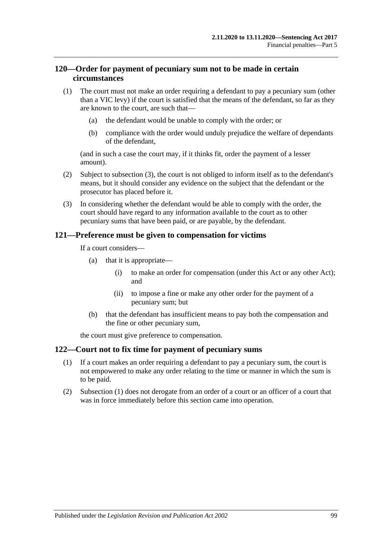## **120—Order for payment of pecuniary sum not to be made in certain circumstances**

- (1) The court must not make an order requiring a defendant to pay a pecuniary sum (other than a VIC levy) if the court is satisfied that the means of the defendant, so far as they are known to the court, are such that—
	- (a) the defendant would be unable to comply with the order; or
	- (b) compliance with the order would unduly prejudice the welfare of dependants of the defendant,

(and in such a case the court may, if it thinks fit, order the payment of a lesser amount).

- (2) Subject to [subsection](#page-98-0) (3), the court is not obliged to inform itself as to the defendant's means, but it should consider any evidence on the subject that the defendant or the prosecutor has placed before it.
- <span id="page-98-0"></span>(3) In considering whether the defendant would be able to comply with the order, the court should have regard to any information available to the court as to other pecuniary sums that have been paid, or are payable, by the defendant.

### **121—Preference must be given to compensation for victims**

If a court considers—

- (a) that it is appropriate—
	- (i) to make an order for compensation (under this Act or any other Act); and
	- (ii) to impose a fine or make any other order for the payment of a pecuniary sum; but
- (b) that the defendant has insufficient means to pay both the compensation and the fine or other pecuniary sum,

the court must give preference to compensation.

#### <span id="page-98-1"></span>**122—Court not to fix time for payment of pecuniary sums**

- (1) If a court makes an order requiring a defendant to pay a pecuniary sum, the court is not empowered to make any order relating to the time or manner in which the sum is to be paid.
- (2) [Subsection](#page-98-1) (1) does not derogate from an order of a court or an officer of a court that was in force immediately before this section came into operation.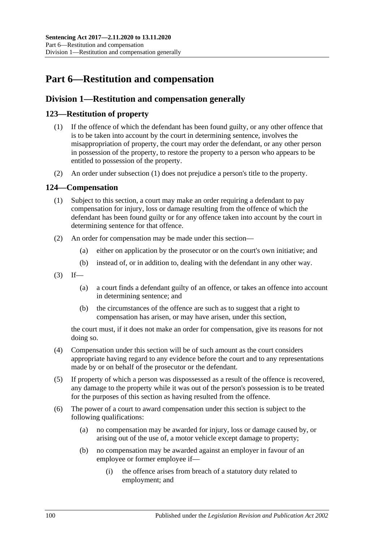# **Part 6—Restitution and compensation**

## **Division 1—Restitution and compensation generally**

## <span id="page-99-1"></span><span id="page-99-0"></span>**123—Restitution of property**

- (1) If the offence of which the defendant has been found guilty, or any other offence that is to be taken into account by the court in determining sentence, involves the misappropriation of property, the court may order the defendant, or any other person in possession of the property, to restore the property to a person who appears to be entitled to possession of the property.
- (2) An order under [subsection](#page-99-0) (1) does not prejudice a person's title to the property.

## **124—Compensation**

- (1) Subject to this section, a court may make an order requiring a defendant to pay compensation for injury, loss or damage resulting from the offence of which the defendant has been found guilty or for any offence taken into account by the court in determining sentence for that offence.
- (2) An order for compensation may be made under this section—
	- (a) either on application by the prosecutor or on the court's own initiative; and
	- (b) instead of, or in addition to, dealing with the defendant in any other way.
- $(3)$  If—
	- (a) a court finds a defendant guilty of an offence, or takes an offence into account in determining sentence; and
	- (b) the circumstances of the offence are such as to suggest that a right to compensation has arisen, or may have arisen, under this section,

the court must, if it does not make an order for compensation, give its reasons for not doing so.

- (4) Compensation under this section will be of such amount as the court considers appropriate having regard to any evidence before the court and to any representations made by or on behalf of the prosecutor or the defendant.
- (5) If property of which a person was dispossessed as a result of the offence is recovered, any damage to the property while it was out of the person's possession is to be treated for the purposes of this section as having resulted from the offence.
- (6) The power of a court to award compensation under this section is subject to the following qualifications:
	- (a) no compensation may be awarded for injury, loss or damage caused by, or arising out of the use of, a motor vehicle except damage to property;
	- (b) no compensation may be awarded against an employer in favour of an employee or former employee if—
		- (i) the offence arises from breach of a statutory duty related to employment; and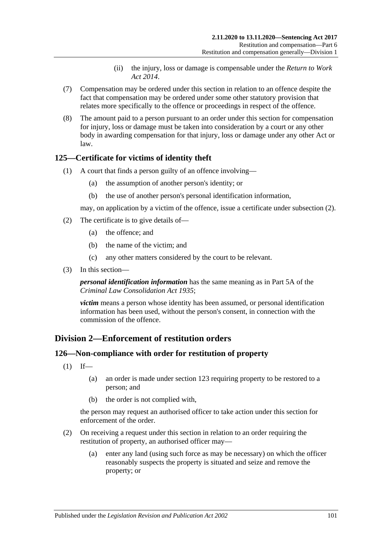- (ii) the injury, loss or damage is compensable under the *[Return to Work](http://www.legislation.sa.gov.au/index.aspx?action=legref&type=act&legtitle=Return%20to%20Work%20Act%202014)  Act [2014](http://www.legislation.sa.gov.au/index.aspx?action=legref&type=act&legtitle=Return%20to%20Work%20Act%202014)*.
- (7) Compensation may be ordered under this section in relation to an offence despite the fact that compensation may be ordered under some other statutory provision that relates more specifically to the offence or proceedings in respect of the offence.
- (8) The amount paid to a person pursuant to an order under this section for compensation for injury, loss or damage must be taken into consideration by a court or any other body in awarding compensation for that injury, loss or damage under any other Act or law.

## **125—Certificate for victims of identity theft**

- (1) A court that finds a person guilty of an offence involving—
	- (a) the assumption of another person's identity; or
	- (b) the use of another person's personal identification information,

may, on application by a victim of the offence, issue a certificate under [subsection](#page-100-0) (2).

- <span id="page-100-0"></span>(2) The certificate is to give details of—
	- (a) the offence; and
	- (b) the name of the victim; and
	- (c) any other matters considered by the court to be relevant.
- (3) In this section—

*personal identification information* has the same meaning as in Part 5A of the *[Criminal Law Consolidation Act](http://www.legislation.sa.gov.au/index.aspx?action=legref&type=act&legtitle=Criminal%20Law%20Consolidation%20Act%201935) 1935*;

*victim* means a person whose identity has been assumed, or personal identification information has been used, without the person's consent, in connection with the commission of the offence.

### **Division 2—Enforcement of restitution orders**

#### **126—Non-compliance with order for restitution of property**

- $(1)$  If—
	- (a) an order is made under [section](#page-99-1) 123 requiring property to be restored to a person; and
	- (b) the order is not complied with,

the person may request an authorised officer to take action under this section for enforcement of the order.

- <span id="page-100-1"></span>(2) On receiving a request under this section in relation to an order requiring the restitution of property, an authorised officer may—
	- (a) enter any land (using such force as may be necessary) on which the officer reasonably suspects the property is situated and seize and remove the property; or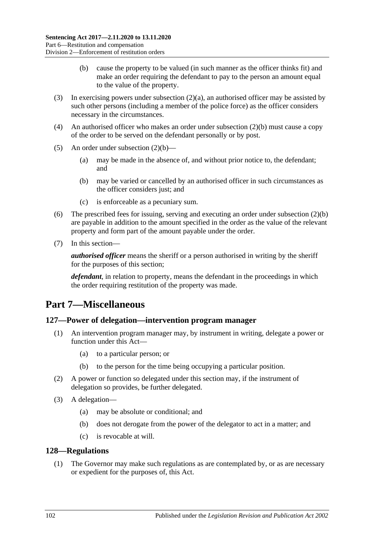- (b) cause the property to be valued (in such manner as the officer thinks fit) and make an order requiring the defendant to pay to the person an amount equal to the value of the property.
- <span id="page-101-0"></span>(3) In exercising powers under [subsection](#page-100-1) (2)(a), an authorised officer may be assisted by such other persons (including a member of the police force) as the officer considers necessary in the circumstances.
- (4) An authorised officer who makes an order under [subsection](#page-101-0) (2)(b) must cause a copy of the order to be served on the defendant personally or by post.
- (5) An order under [subsection](#page-101-0)  $(2)(b)$ 
	- (a) may be made in the absence of, and without prior notice to, the defendant; and
	- (b) may be varied or cancelled by an authorised officer in such circumstances as the officer considers just; and
	- (c) is enforceable as a pecuniary sum.
- (6) The prescribed fees for issuing, serving and executing an order under [subsection](#page-101-0) (2)(b) are payable in addition to the amount specified in the order as the value of the relevant property and form part of the amount payable under the order.
- (7) In this section—

*authorised officer* means the sheriff or a person authorised in writing by the sheriff for the purposes of this section;

*defendant*, in relation to property, means the defendant in the proceedings in which the order requiring restitution of the property was made.

## **Part 7—Miscellaneous**

#### **127—Power of delegation—intervention program manager**

- (1) An intervention program manager may, by instrument in writing, delegate a power or function under this Act—
	- (a) to a particular person; or
	- (b) to the person for the time being occupying a particular position.
- (2) A power or function so delegated under this section may, if the instrument of delegation so provides, be further delegated.
- (3) A delegation—
	- (a) may be absolute or conditional; and
	- (b) does not derogate from the power of the delegator to act in a matter; and
	- (c) is revocable at will.

#### <span id="page-101-1"></span>**128—Regulations**

(1) The Governor may make such regulations as are contemplated by, or as are necessary or expedient for the purposes of, this Act.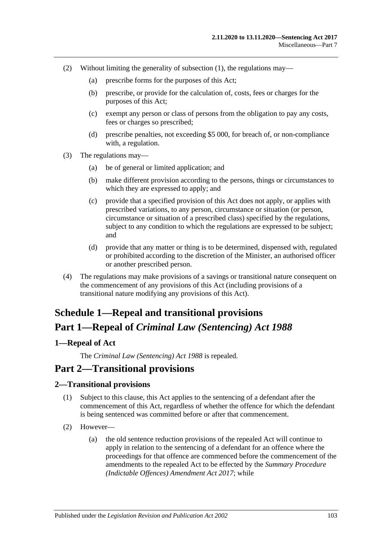- (2) Without limiting the generality of [subsection](#page-101-1) (1), the regulations may—
	- (a) prescribe forms for the purposes of this Act;
	- (b) prescribe, or provide for the calculation of, costs, fees or charges for the purposes of this Act;
	- (c) exempt any person or class of persons from the obligation to pay any costs, fees or charges so prescribed;
	- (d) prescribe penalties, not exceeding \$5 000, for breach of, or non-compliance with, a regulation.
- (3) The regulations may—
	- (a) be of general or limited application; and
	- (b) make different provision according to the persons, things or circumstances to which they are expressed to apply; and
	- (c) provide that a specified provision of this Act does not apply, or applies with prescribed variations, to any person, circumstance or situation (or person, circumstance or situation of a prescribed class) specified by the regulations, subject to any condition to which the regulations are expressed to be subject; and
	- (d) provide that any matter or thing is to be determined, dispensed with, regulated or prohibited according to the discretion of the Minister, an authorised officer or another prescribed person.
- (4) The regulations may make provisions of a savings or transitional nature consequent on the commencement of any provisions of this Act (including provisions of a transitional nature modifying any provisions of this Act).

# **Schedule 1—Repeal and transitional provisions Part 1—Repeal of** *Criminal Law (Sentencing) Act 1988*

## <span id="page-102-0"></span>**1—Repeal of Act**

The *[Criminal Law \(Sentencing\) Act](http://www.legislation.sa.gov.au/index.aspx?action=legref&type=act&legtitle=Criminal%20Law%20(Sentencing)%20Act%201988) 1988* is repealed.

## **Part 2—Transitional provisions**

### **2—Transitional provisions**

- (1) Subject to this clause, this Act applies to the sentencing of a defendant after the commencement of this Act, regardless of whether the offence for which the defendant is being sentenced was committed before or after that commencement.
- (2) However—
	- (a) the old sentence reduction provisions of the repealed Act will continue to apply in relation to the sentencing of a defendant for an offence where the proceedings for that offence are commenced before the commencement of the amendments to the repealed Act to be effected by the *[Summary Procedure](http://www.legislation.sa.gov.au/index.aspx?action=legref&type=act&legtitle=Summary%20Procedure%20(Indictable%20Offences)%20Amendment%20Act%202017)  [\(Indictable Offences\) Amendment Act](http://www.legislation.sa.gov.au/index.aspx?action=legref&type=act&legtitle=Summary%20Procedure%20(Indictable%20Offences)%20Amendment%20Act%202017) 2017*; while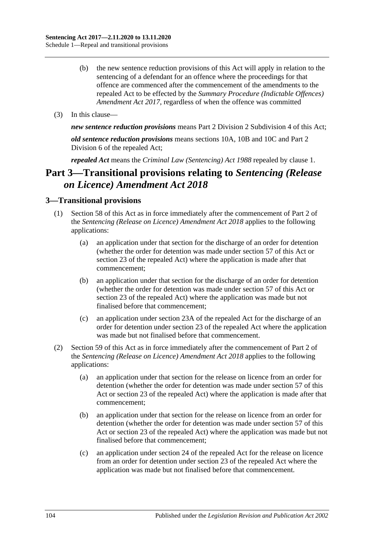- (b) the new sentence reduction provisions of this Act will apply in relation to the sentencing of a defendant for an offence where the proceedings for that offence are commenced after the commencement of the amendments to the repealed Act to be effected by the *[Summary Procedure \(Indictable Offences\)](http://www.legislation.sa.gov.au/index.aspx?action=legref&type=act&legtitle=Summary%20Procedure%20(Indictable%20Offences)%20Amendment%20Act%202017)  [Amendment Act](http://www.legislation.sa.gov.au/index.aspx?action=legref&type=act&legtitle=Summary%20Procedure%20(Indictable%20Offences)%20Amendment%20Act%202017) 2017*, regardless of when the offence was committed
- (3) In this clause—

*new sentence reduction provisions* means Part 2 Division [2 Subdivision](#page-24-0) 4 of this Act;

*old sentence reduction provisions* means sections 10A, 10B and 10C and Part 2 Division 6 of the repealed Act;

*repealed Act* means the *[Criminal Law \(Sentencing\) Act](http://www.legislation.sa.gov.au/index.aspx?action=legref&type=act&legtitle=Criminal%20Law%20(Sentencing)%20Act%201988) 1988* repealed by [clause](#page-102-0) 1.

# **Part 3—Transitional provisions relating to** *Sentencing (Release on Licence) Amendment Act 2018*

### **3—Transitional provisions**

- (1) [Section 58](#page-49-0) of this Act as in force immediately after the commencement of Part 2 of the *[Sentencing \(Release on Licence\) Amendment Act](http://www.legislation.sa.gov.au/index.aspx?action=legref&type=act&legtitle=Sentencing%20(Release%20on%20Licence)%20Amendment%20Act%202018) 2018* applies to the following applications:
	- (a) an application under that section for the discharge of an order for detention (whether the order for detention was made under [section](#page-46-0) 57 of this Act or section 23 of the repealed Act) where the application is made after that commencement;
	- (b) an application under that section for the discharge of an order for detention (whether the order for detention was made under [section](#page-46-0) 57 of this Act or section 23 of the repealed Act) where the application was made but not finalised before that commencement;
	- (c) an application under section 23A of the repealed Act for the discharge of an order for detention under section 23 of the repealed Act where the application was made but not finalised before that commencement.
- (2) [Section 59](#page-50-0) of this Act as in force immediately after the commencement of Part 2 of the *[Sentencing \(Release on Licence\) Amendment Act](http://www.legislation.sa.gov.au/index.aspx?action=legref&type=act&legtitle=Sentencing%20(Release%20on%20Licence)%20Amendment%20Act%202018) 2018* applies to the following applications:
	- (a) an application under that section for the release on licence from an order for detention (whether the order for detention was made under [section](#page-46-0) 57 of this Act or section 23 of the repealed Act) where the application is made after that commencement;
	- (b) an application under that section for the release on licence from an order for detention (whether the order for detention was made under [section](#page-46-0) 57 of this Act or section 23 of the repealed Act) where the application was made but not finalised before that commencement;
	- (c) an application under section 24 of the repealed Act for the release on licence from an order for detention under section 23 of the repealed Act where the application was made but not finalised before that commencement.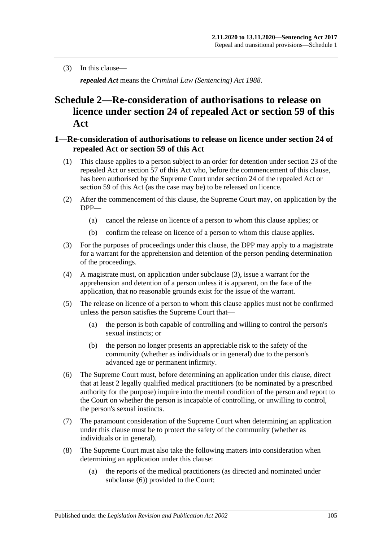(3) In this clause—

*repealed Act* means the *[Criminal Law \(Sentencing\) Act](http://www.legislation.sa.gov.au/index.aspx?action=legref&type=act&legtitle=Criminal%20Law%20(Sentencing)%20Act%201988) 1988*.

# **Schedule 2—Re-consideration of authorisations to release on licence under section 24 of repealed Act or [section](#page-50-0) 59 of this Act**

### **1—Re-consideration of authorisations to release on licence under section 24 of repealed Act or [section](#page-50-0) 59 of this Act**

- (1) This clause applies to a person subject to an order for detention under section 23 of the repealed Act or [section](#page-46-0) 57 of this Act who, before the commencement of this clause, has been authorised by the Supreme Court under section 24 of the repealed Act or [section](#page-50-0) 59 of this Act (as the case may be) to be released on licence.
- (2) After the commencement of this clause, the Supreme Court may, on application by the DPP—
	- (a) cancel the release on licence of a person to whom this clause applies; or
	- (b) confirm the release on licence of a person to whom this clause applies.
- <span id="page-104-0"></span>(3) For the purposes of proceedings under this clause, the DPP may apply to a magistrate for a warrant for the apprehension and detention of the person pending determination of the proceedings.
- (4) A magistrate must, on application under [subclause](#page-104-0) (3), issue a warrant for the apprehension and detention of a person unless it is apparent, on the face of the application, that no reasonable grounds exist for the issue of the warrant.
- (5) The release on licence of a person to whom this clause applies must not be confirmed unless the person satisfies the Supreme Court that—
	- (a) the person is both capable of controlling and willing to control the person's sexual instincts; or
	- (b) the person no longer presents an appreciable risk to the safety of the community (whether as individuals or in general) due to the person's advanced age or permanent infirmity.
- <span id="page-104-1"></span>(6) The Supreme Court must, before determining an application under this clause, direct that at least 2 legally qualified medical practitioners (to be nominated by a prescribed authority for the purpose) inquire into the mental condition of the person and report to the Court on whether the person is incapable of controlling, or unwilling to control, the person's sexual instincts.
- (7) The paramount consideration of the Supreme Court when determining an application under this clause must be to protect the safety of the community (whether as individuals or in general).
- <span id="page-104-2"></span>(8) The Supreme Court must also take the following matters into consideration when determining an application under this clause:
	- (a) the reports of the medical practitioners (as directed and nominated under [subclause](#page-104-1) (6)) provided to the Court;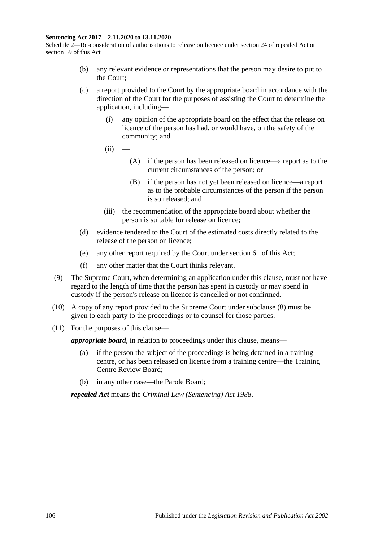#### **Sentencing Act 2017—2.11.2020 to 13.11.2020**

Schedule 2—Re-consideration of authorisations to release on licence under section 24 of repealed Act or section 59 of this Act

- (b) any relevant evidence or representations that the person may desire to put to the Court;
- (c) a report provided to the Court by the appropriate board in accordance with the direction of the Court for the purposes of assisting the Court to determine the application, including—
	- (i) any opinion of the appropriate board on the effect that the release on licence of the person has had, or would have, on the safety of the community; and
	- $(ii)$ 
		- (A) if the person has been released on licence—a report as to the current circumstances of the person; or
		- (B) if the person has not yet been released on licence—a report as to the probable circumstances of the person if the person is so released; and
	- (iii) the recommendation of the appropriate board about whether the person is suitable for release on licence;
- (d) evidence tendered to the Court of the estimated costs directly related to the release of the person on licence;
- (e) any other report required by the Court under [section](#page-53-0) 61 of this Act;
- (f) any other matter that the Court thinks relevant.
- (9) The Supreme Court, when determining an application under this clause, must not have regard to the length of time that the person has spent in custody or may spend in custody if the person's release on licence is cancelled or not confirmed.
- (10) A copy of any report provided to the Supreme Court under [subclause](#page-104-2) (8) must be given to each party to the proceedings or to counsel for those parties.
- (11) For the purposes of this clause—

*appropriate board*, in relation to proceedings under this clause, means—

- (a) if the person the subject of the proceedings is being detained in a training centre, or has been released on licence from a training centre—the Training Centre Review Board;
- (b) in any other case—the Parole Board;

*repealed Act* means the *[Criminal Law \(Sentencing\) Act](http://www.legislation.sa.gov.au/index.aspx?action=legref&type=act&legtitle=Criminal%20Law%20(Sentencing)%20Act%201988) 1988*.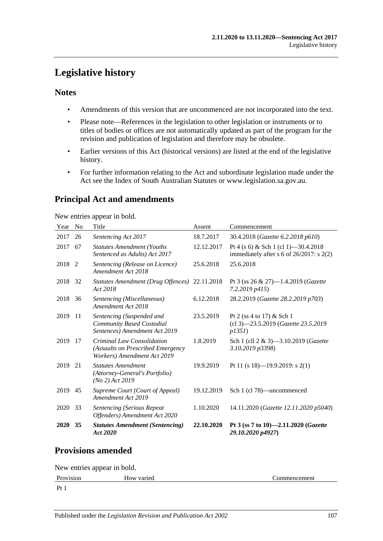# **Legislative history**

## **Notes**

- Amendments of this version that are uncommenced are not incorporated into the text.
- Please note—References in the legislation to other legislation or instruments or to titles of bodies or offices are not automatically updated as part of the program for the revision and publication of legislation and therefore may be obsolete.
- Earlier versions of this Act (historical versions) are listed at the end of the legislative history.
- For further information relating to the Act and subordinate legislation made under the Act see the Index of South Australian Statutes or www.legislation.sa.gov.au.

## **Principal Act and amendments**

New entries appear in bold.

| Year   | N <sub>0</sub> | Title                                                                                          | Assent     | Commencement                                                                          |
|--------|----------------|------------------------------------------------------------------------------------------------|------------|---------------------------------------------------------------------------------------|
| 2017   | 26             | Sentencing Act 2017                                                                            | 18.7.2017  | 30.4.2018 (Gazette 6.2.2018 p610)                                                     |
| 2017   | 67             | <b>Statutes Amendment (Youths</b><br>Sentenced as Adults) Act 2017                             | 12.12.2017 | Pt 4 (s 6) & Sch 1 (cl 1) - 30.4.2018<br>immediately after $s$ 6 of 26/2017: $s$ 2(2) |
| 2018 2 |                | Sentencing (Release on Licence)<br>Amendment Act 2018                                          | 25.6.2018  | 25.6.2018                                                                             |
| 2018   | -32            | Statutes Amendment (Drug Offences) 22.11.2018<br>Act 2018                                      |            | Pt 3 (ss $26 \& 27$ )—1.4.2019 ( <i>Gazette</i><br>7.2.2019 p415)                     |
| 2018   | 36             | Sentencing (Miscellaneous)<br>Amendment Act 2018                                               | 6.12.2018  | 28.2.2019 (Gazette 28.2.2019 p703)                                                    |
| 2019   | -11            | Sentencing (Suspended and<br>Community Based Custodial<br>Sentences) Amendment Act 2019        | 23.5.2019  | Pt 2 (ss 4 to 17) $&$ Sch 1<br>(cl 3)-23.5.2019 (Gazette 23.5.2019<br>p1351           |
| 2019   | 17             | Criminal Law Consolidation<br>(Assaults on Prescribed Emergency<br>Workers) Amendment Act 2019 | 1.8.2019   | Sch 1 (cll 2 & 3)—3.10.2019 ( <i>Gazette</i><br>3.10.2019 p3398)                      |
| 2019   | 21             | <b>Statutes Amendment</b><br>(Attorney-General's Portfolio)<br>$(No 2)$ Act 2019               | 19.9.2019  | Pt 11 (s 18)-19.9.2019: s 2(1)                                                        |
| 2019   | 45             | Supreme Court (Court of Appeal)<br>Amendment Act 2019                                          | 19.12.2019 | Sch 1 (cl 78)—uncommenced                                                             |
| 2020   | 33             | <b>Sentencing (Serious Repeat</b><br>Offenders) Amendment Act 2020                             | 1.10.2020  | 14.11.2020 (Gazette 12.11.2020 p5040)                                                 |
| 2020   | 35             | <b>Statutes Amendment (Sentencing)</b><br>Act 2020                                             | 22.10.2020 | Pt 3 (ss 7 to 10)-2.11.2020 ( <i>Gazette</i><br>29.10.2020 p4927)                     |

## **Provisions amended**

New entries appear in bold.

```
Provision How varied Commencement
```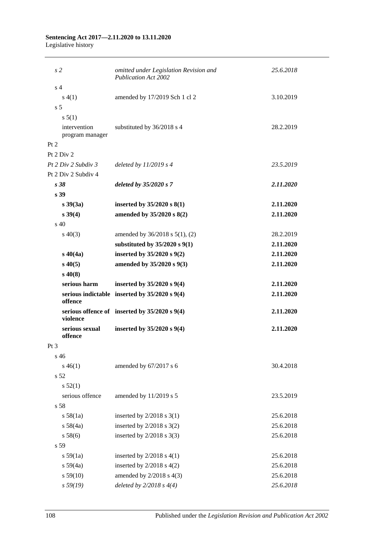#### **Sentencing Act 2017—2.11.2020 to 13.11.2020** Legislative history

| s2                        | omitted under Legislation Revision and<br><b>Publication Act 2002</b> | 25.6.2018 |  |  |  |  |
|---------------------------|-----------------------------------------------------------------------|-----------|--|--|--|--|
| s <sub>4</sub>            |                                                                       |           |  |  |  |  |
| s(4(1))                   | amended by 17/2019 Sch 1 cl 2                                         | 3.10.2019 |  |  |  |  |
| s <sub>5</sub>            |                                                                       |           |  |  |  |  |
| s 5(1)                    |                                                                       |           |  |  |  |  |
| intervention              | substituted by 36/2018 s 4                                            | 28.2.2019 |  |  |  |  |
| program manager           |                                                                       |           |  |  |  |  |
| Pt 2                      |                                                                       |           |  |  |  |  |
| Pt 2 Div 2                |                                                                       |           |  |  |  |  |
| Pt 2 Div 2 Subdiv 3       | deleted by $11/2019$ s 4                                              | 23.5.2019 |  |  |  |  |
| Pt 2 Div 2 Subdiv 4       |                                                                       |           |  |  |  |  |
| s38                       | deleted by 35/2020 s 7                                                | 2.11.2020 |  |  |  |  |
| s 39                      |                                                                       |           |  |  |  |  |
| $s \, 39(3a)$             | inserted by $35/2020$ s $8(1)$                                        | 2.11.2020 |  |  |  |  |
| $s \, 39(4)$              | amended by 35/2020 s 8(2)                                             | 2.11.2020 |  |  |  |  |
| $\rm s$ 40                |                                                                       |           |  |  |  |  |
| $s\ 40(3)$                | amended by 36/2018 s 5(1), (2)                                        | 28.2.2019 |  |  |  |  |
|                           | substituted by $35/2020$ s $9(1)$                                     | 2.11.2020 |  |  |  |  |
| $s\,40(4a)$               | inserted by 35/2020 s 9(2)                                            | 2.11.2020 |  |  |  |  |
| $s\,40(5)$                | amended by 35/2020 s 9(3)                                             | 2.11.2020 |  |  |  |  |
| $s\,40(8)$                |                                                                       |           |  |  |  |  |
| serious harm              | inserted by 35/2020 s 9(4)                                            | 2.11.2020 |  |  |  |  |
| offence                   | serious indictable inserted by $35/2020$ s $9(4)$                     | 2.11.2020 |  |  |  |  |
| violence                  | serious offence of inserted by $35/2020$ s $9(4)$                     | 2.11.2020 |  |  |  |  |
| serious sexual<br>offence | inserted by $35/2020$ s $9(4)$                                        | 2.11.2020 |  |  |  |  |
| $Pt\,3$                   |                                                                       |           |  |  |  |  |
| s 46                      |                                                                       |           |  |  |  |  |
| $s\,46(1)$                | amended by 67/2017 s 6                                                | 30.4.2018 |  |  |  |  |
| s 52                      |                                                                       |           |  |  |  |  |
| s 52(1)                   |                                                                       |           |  |  |  |  |
| serious offence           | amended by 11/2019 s 5                                                | 23.5.2019 |  |  |  |  |
| s 58                      |                                                                       |           |  |  |  |  |
| s 58(1a)                  | inserted by $2/2018$ s 3(1)                                           | 25.6.2018 |  |  |  |  |
| s 58(4a)                  | inserted by $2/2018$ s $3(2)$                                         | 25.6.2018 |  |  |  |  |
| s 58(6)                   |                                                                       | 25.6.2018 |  |  |  |  |
| s 59                      | inserted by $2/2018$ s 3(3)                                           |           |  |  |  |  |
|                           |                                                                       |           |  |  |  |  |
| s 59(1a)                  | inserted by $2/2018$ s $4(1)$                                         | 25.6.2018 |  |  |  |  |
| s 59(4a)                  | inserted by $2/2018$ s $4(2)$                                         | 25.6.2018 |  |  |  |  |
| s 59(10)                  | amended by $2/2018$ s $4(3)$                                          | 25.6.2018 |  |  |  |  |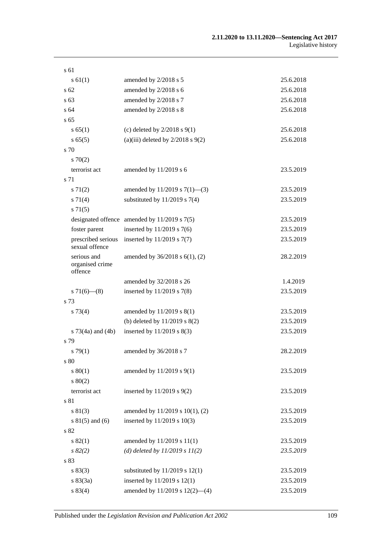| s 61                                      |                                                  |           |
|-------------------------------------------|--------------------------------------------------|-----------|
| $s \, 61(1)$                              | amended by 2/2018 s 5                            | 25.6.2018 |
| $\sqrt{s}$ 62                             | amended by 2/2018 s 6                            | 25.6.2018 |
| s 63                                      | amended by 2/2018 s 7                            | 25.6.2018 |
| s <sub>64</sub>                           | amended by 2/2018 s 8                            | 25.6.2018 |
| s <sub>65</sub>                           |                                                  |           |
| s 65(1)                                   | (c) deleted by $2/2018$ s $9(1)$                 | 25.6.2018 |
| s 65(5)                                   | (a)(iii) deleted by $2/2018$ s $9(2)$            | 25.6.2018 |
| s 70                                      |                                                  |           |
| 570(2)                                    |                                                  |           |
| terrorist act                             | amended by 11/2019 s 6                           | 23.5.2019 |
| s 71                                      |                                                  |           |
| $s \, 71(2)$                              | amended by $11/2019$ s $7(1)$ —(3)               | 23.5.2019 |
| s 71(4)                                   | substituted by $11/2019$ s $7(4)$                | 23.5.2019 |
| $s \, 71(5)$                              |                                                  |           |
|                                           | designated offence amended by $11/2019$ s $7(5)$ | 23.5.2019 |
| foster parent                             | inserted by $11/2019$ s 7(6)                     | 23.5.2019 |
| prescribed serious<br>sexual offence      | inserted by $11/2019$ s $7(7)$                   | 23.5.2019 |
| serious and<br>organised crime<br>offence | amended by 36/2018 s 6(1), (2)                   | 28.2.2019 |
|                                           | amended by 32/2018 s 26                          | 1.4.2019  |
| $s\,71(6)$ — $(8)$                        | inserted by $11/2019$ s 7(8)                     | 23.5.2019 |
| s 73                                      |                                                  |           |
| s 73(4)                                   | amended by 11/2019 s 8(1)                        | 23.5.2019 |
|                                           | (b) deleted by $11/2019$ s $8(2)$                | 23.5.2019 |
| s $73(4a)$ and $(4b)$                     | inserted by $11/2019$ s $8(3)$                   | 23.5.2019 |
| s 79                                      |                                                  |           |
| $s \, 79(1)$                              | amended by 36/2018 s 7                           | 28.2.2019 |
| s 80                                      |                                                  |           |
| s 80(1)                                   | amended by 11/2019 s 9(1)                        | 23.5.2019 |
| $s\ 80(2)$                                |                                                  |           |
| terrorist act                             | inserted by $11/2019$ s $9(2)$                   | 23.5.2019 |
| s 81                                      |                                                  |           |
| s 81(3)                                   | amended by 11/2019 s 10(1), (2)                  | 23.5.2019 |
| $s 81(5)$ and (6)                         | inserted by 11/2019 s 10(3)                      | 23.5.2019 |
| s 82                                      |                                                  |           |
| s 82(1)                                   | amended by 11/2019 s 11(1)                       | 23.5.2019 |
| $s \, 82(2)$                              | (d) deleted by $11/2019 s 11(2)$                 | 23.5.2019 |
| s 83                                      |                                                  |           |
| s 83(3)                                   | substituted by $11/2019$ s $12(1)$               | 23.5.2019 |
| s 83(3a)                                  | inserted by $11/2019$ s $12(1)$                  | 23.5.2019 |
| s 83(4)                                   | amended by $11/2019$ s $12(2)$ —(4)              | 23.5.2019 |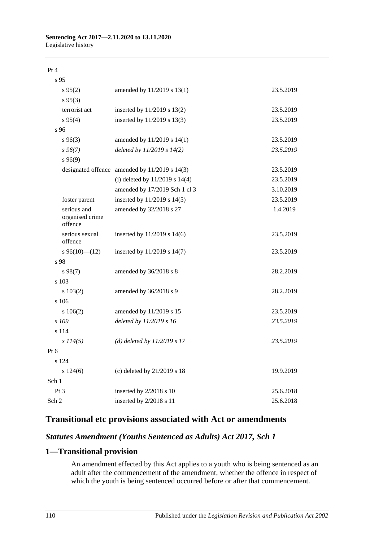# **Sentencing Act 2017—2.11.2020 to 13.11.2020**

Legislative history

Pt 4

| s 95                                      |                                               |           |
|-------------------------------------------|-----------------------------------------------|-----------|
| $s\,95(2)$                                | amended by 11/2019 s 13(1)                    | 23.5.2019 |
| $s\,95(3)$                                |                                               |           |
| terrorist act                             | inserted by 11/2019 s 13(2)                   | 23.5.2019 |
| $s\,95(4)$                                | inserted by 11/2019 s 13(3)                   | 23.5.2019 |
| s 96                                      |                                               |           |
| $s\,96(3)$                                | amended by 11/2019 s 14(1)                    | 23.5.2019 |
| $s\,96(7)$                                | deleted by 11/2019 s 14(2)                    | 23.5.2019 |
| s96(9)                                    |                                               |           |
|                                           | designated offence amended by 11/2019 s 14(3) | 23.5.2019 |
|                                           | (i) deleted by $11/2019$ s $14(4)$            | 23.5.2019 |
|                                           | amended by 17/2019 Sch 1 cl 3                 | 3.10.2019 |
| foster parent                             | inserted by 11/2019 s 14(5)                   | 23.5.2019 |
| serious and<br>organised crime<br>offence | amended by 32/2018 s 27                       | 1.4.2019  |
| serious sexual<br>offence                 | inserted by 11/2019 s 14(6)                   | 23.5.2019 |
| $s\,96(10)$ (12)                          | inserted by 11/2019 s 14(7)                   | 23.5.2019 |
| s 98                                      |                                               |           |
| $s\,98(7)$                                | amended by 36/2018 s 8                        | 28.2.2019 |
| s 103                                     |                                               |           |
| s 103(2)                                  | amended by 36/2018 s 9                        | 28.2.2019 |
| s 106                                     |                                               |           |
| s 106(2)                                  | amended by 11/2019 s 15                       | 23.5.2019 |
| s 109                                     | deleted by 11/2019 s 16                       | 23.5.2019 |
| s 114                                     |                                               |           |
| $s$ 114(5)                                | (d) deleted by $11/2019 s 17$                 | 23.5.2019 |
| Pt 6                                      |                                               |           |
| s 124                                     |                                               |           |
| s 124(6)                                  | (c) deleted by 21/2019 s 18                   | 19.9.2019 |
| Sch 1                                     |                                               |           |
| Pt <sub>3</sub>                           | inserted by 2/2018 s 10                       | 25.6.2018 |
| Sch 2                                     | inserted by 2/2018 s 11                       | 25.6.2018 |

## **Transitional etc provisions associated with Act or amendments**

# *Statutes Amendment (Youths Sentenced as Adults) Act 2017, Sch 1*

## **1—Transitional provision**

An amendment effected by this Act applies to a youth who is being sentenced as an adult after the commencement of the amendment, whether the offence in respect of which the youth is being sentenced occurred before or after that commencement.